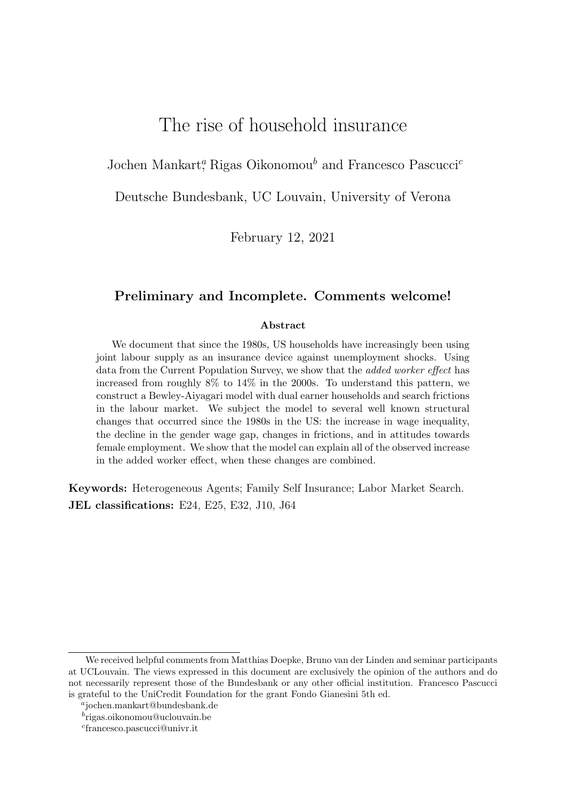# The rise of household insurance

Jochen Mankart<sup>a</sup>, Rigas Oikonomou<sup>b</sup> and Francesco Pascucci<sup>c</sup>

Deutsche Bundesbank, UC Louvain, University of Verona

February 12, 2021

## Preliminary and Incomplete. Comments welcome!

#### Abstract

We document that since the 1980s, US households have increasingly been using joint labour supply as an insurance device against unemployment shocks. Using data from the Current Population Survey, we show that the *added worker effect* has increased from roughly 8% to 14% in the 2000s. To understand this pattern, we construct a Bewley-Aiyagari model with dual earner households and search frictions in the labour market. We subject the model to several well known structural changes that occurred since the 1980s in the US: the increase in wage inequality, the decline in the gender wage gap, changes in frictions, and in attitudes towards female employment. We show that the model can explain all of the observed increase in the added worker effect, when these changes are combined.

Keywords: Heterogeneous Agents; Family Self Insurance; Labor Market Search. JEL classifications: E24, E25, E32, J10, J64

We received helpful comments from Matthias Doepke, Bruno van der Linden and seminar participants at UCLouvain. The views expressed in this document are exclusively the opinion of the authors and do not necessarily represent those of the Bundesbank or any other official institution. Francesco Pascucci is grateful to the UniCredit Foundation for the grant Fondo Gianesini 5th ed.

a jochen.mankart@bundesbank.de

b rigas.oikonomou@uclouvain.be

c francesco.pascucci@univr.it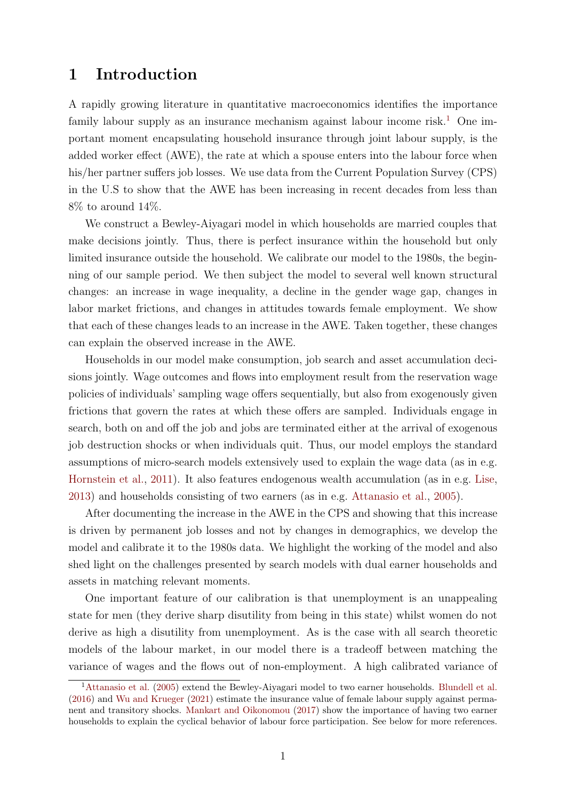# 1 Introduction

A rapidly growing literature in quantitative macroeconomics identifies the importance family labour supply as an insurance mechanism against labour income risk.<sup>[1](#page-1-0)</sup> One important moment encapsulating household insurance through joint labour supply, is the added worker effect (AWE), the rate at which a spouse enters into the labour force when his/her partner suffers job losses. We use data from the Current Population Survey (CPS) in the U.S to show that the AWE has been increasing in recent decades from less than 8% to around 14%.

We construct a Bewley-Aiyagari model in which households are married couples that make decisions jointly. Thus, there is perfect insurance within the household but only limited insurance outside the household. We calibrate our model to the 1980s, the beginning of our sample period. We then subject the model to several well known structural changes: an increase in wage inequality, a decline in the gender wage gap, changes in labor market frictions, and changes in attitudes towards female employment. We show that each of these changes leads to an increase in the AWE. Taken together, these changes can explain the observed increase in the AWE.

Households in our model make consumption, job search and asset accumulation decisions jointly. Wage outcomes and flows into employment result from the reservation wage policies of individuals' sampling wage offers sequentially, but also from exogenously given frictions that govern the rates at which these offers are sampled. Individuals engage in search, both on and off the job and jobs are terminated either at the arrival of exogenous job destruction shocks or when individuals quit. Thus, our model employs the standard assumptions of micro-search models extensively used to explain the wage data (as in e.g. [Hornstein et al.,](#page-44-0) [2011\)](#page-44-0). It also features endogenous wealth accumulation (as in e.g. [Lise,](#page-44-1) [2013\)](#page-44-1) and households consisting of two earners (as in e.g. [Attanasio et al.,](#page-42-0) [2005\)](#page-42-0).

After documenting the increase in the AWE in the CPS and showing that this increase is driven by permanent job losses and not by changes in demographics, we develop the model and calibrate it to the 1980s data. We highlight the working of the model and also shed light on the challenges presented by search models with dual earner households and assets in matching relevant moments.

One important feature of our calibration is that unemployment is an unappealing state for men (they derive sharp disutility from being in this state) whilst women do not derive as high a disutility from unemployment. As is the case with all search theoretic models of the labour market, in our model there is a tradeoff between matching the variance of wages and the flows out of non-employment. A high calibrated variance of

<span id="page-1-0"></span><sup>&</sup>lt;sup>1</sup>[Attanasio et al.](#page-42-0) [\(2005\)](#page-42-0) extend the Bewley-Aiyagari model to two earner households. [Blundell et al.](#page-43-0) [\(2016\)](#page-43-0) and [Wu and Krueger](#page-45-0) [\(2021\)](#page-45-0) estimate the insurance value of female labour supply against permanent and transitory shocks. [Mankart and Oikonomou](#page-44-2) [\(2017\)](#page-44-2) show the importance of having two earner households to explain the cyclical behavior of labour force participation. See below for more references.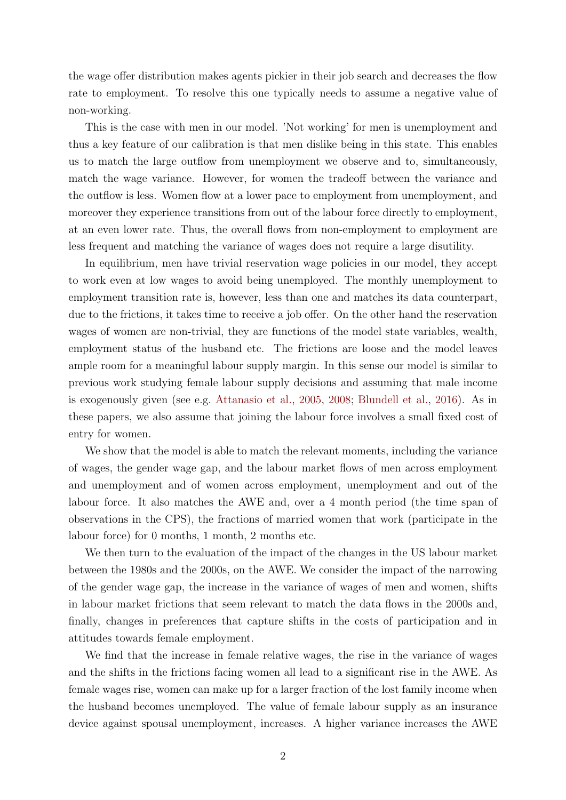the wage offer distribution makes agents pickier in their job search and decreases the flow rate to employment. To resolve this one typically needs to assume a negative value of non-working.

This is the case with men in our model. 'Not working' for men is unemployment and thus a key feature of our calibration is that men dislike being in this state. This enables us to match the large outflow from unemployment we observe and to, simultaneously, match the wage variance. However, for women the tradeoff between the variance and the outflow is less. Women flow at a lower pace to employment from unemployment, and moreover they experience transitions from out of the labour force directly to employment, at an even lower rate. Thus, the overall flows from non-employment to employment are less frequent and matching the variance of wages does not require a large disutility.

In equilibrium, men have trivial reservation wage policies in our model, they accept to work even at low wages to avoid being unemployed. The monthly unemployment to employment transition rate is, however, less than one and matches its data counterpart, due to the frictions, it takes time to receive a job offer. On the other hand the reservation wages of women are non-trivial, they are functions of the model state variables, wealth, employment status of the husband etc. The frictions are loose and the model leaves ample room for a meaningful labour supply margin. In this sense our model is similar to previous work studying female labour supply decisions and assuming that male income is exogenously given (see e.g. [Attanasio et al.,](#page-42-0) [2005,](#page-42-0) [2008;](#page-42-1) [Blundell et al.,](#page-43-0) [2016\)](#page-43-0). As in these papers, we also assume that joining the labour force involves a small fixed cost of entry for women.

We show that the model is able to match the relevant moments, including the variance of wages, the gender wage gap, and the labour market flows of men across employment and unemployment and of women across employment, unemployment and out of the labour force. It also matches the AWE and, over a 4 month period (the time span of observations in the CPS), the fractions of married women that work (participate in the labour force) for 0 months, 1 month, 2 months etc.

We then turn to the evaluation of the impact of the changes in the US labour market between the 1980s and the 2000s, on the AWE. We consider the impact of the narrowing of the gender wage gap, the increase in the variance of wages of men and women, shifts in labour market frictions that seem relevant to match the data flows in the 2000s and, finally, changes in preferences that capture shifts in the costs of participation and in attitudes towards female employment.

We find that the increase in female relative wages, the rise in the variance of wages and the shifts in the frictions facing women all lead to a significant rise in the AWE. As female wages rise, women can make up for a larger fraction of the lost family income when the husband becomes unemployed. The value of female labour supply as an insurance device against spousal unemployment, increases. A higher variance increases the AWE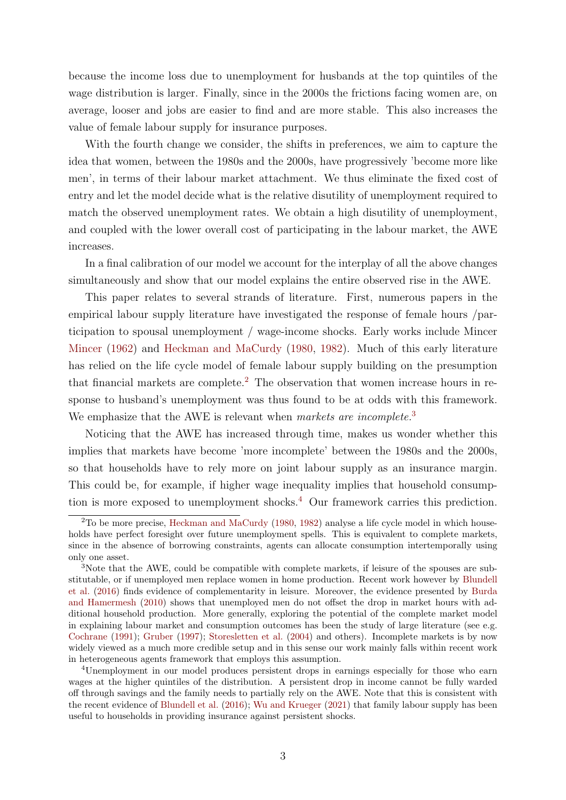because the income loss due to unemployment for husbands at the top quintiles of the wage distribution is larger. Finally, since in the 2000s the frictions facing women are, on average, looser and jobs are easier to find and are more stable. This also increases the value of female labour supply for insurance purposes.

With the fourth change we consider, the shifts in preferences, we aim to capture the idea that women, between the 1980s and the 2000s, have progressively 'become more like men', in terms of their labour market attachment. We thus eliminate the fixed cost of entry and let the model decide what is the relative disutility of unemployment required to match the observed unemployment rates. We obtain a high disutility of unemployment, and coupled with the lower overall cost of participating in the labour market, the AWE increases.

In a final calibration of our model we account for the interplay of all the above changes simultaneously and show that our model explains the entire observed rise in the AWE.

This paper relates to several strands of literature. First, numerous papers in the empirical labour supply literature have investigated the response of female hours /participation to spousal unemployment / wage-income shocks. Early works include Mincer [Mincer](#page-44-3) [\(1962\)](#page-44-3) and [Heckman and MaCurdy](#page-44-4) [\(1980,](#page-44-4) [1982\)](#page-44-5). Much of this early literature has relied on the life cycle model of female labour supply building on the presumption that financial markets are complete.<sup>[2](#page-3-0)</sup> The observation that women increase hours in response to husband's unemployment was thus found to be at odds with this framework. We emphasize that the AWE is relevant when markets are incomplete.<sup>[3](#page-3-1)</sup>

Noticing that the AWE has increased through time, makes us wonder whether this implies that markets have become 'more incomplete' between the 1980s and the 2000s, so that households have to rely more on joint labour supply as an insurance margin. This could be, for example, if higher wage inequality implies that household consumption is more exposed to unemployment shocks.[4](#page-3-2) Our framework carries this prediction.

<span id="page-3-0"></span><sup>2</sup>To be more precise, [Heckman and MaCurdy](#page-44-4) [\(1980,](#page-44-4) [1982\)](#page-44-5) analyse a life cycle model in which households have perfect foresight over future unemployment spells. This is equivalent to complete markets, since in the absence of borrowing constraints, agents can allocate consumption intertemporally using only one asset.

<span id="page-3-1"></span><sup>&</sup>lt;sup>3</sup>Note that the AWE, could be compatible with complete markets, if leisure of the spouses are substitutable, or if unemployed men replace women in home production. Recent work however by [Blundell](#page-43-0) [et al.](#page-43-0) [\(2016\)](#page-43-0) finds evidence of complementarity in leisure. Moreover, the evidence presented by [Burda](#page-43-1) [and Hamermesh](#page-43-1) [\(2010\)](#page-43-1) shows that unemployed men do not offset the drop in market hours with additional household production. More generally, exploring the potential of the complete market model in explaining labour market and consumption outcomes has been the study of large literature (see e.g. [Cochrane](#page-43-2) [\(1991\)](#page-43-2); [Gruber](#page-43-3) [\(1997\)](#page-43-3); [Storesletten et al.](#page-45-1) [\(2004\)](#page-45-1) and others). Incomplete markets is by now widely viewed as a much more credible setup and in this sense our work mainly falls within recent work in heterogeneous agents framework that employs this assumption.

<span id="page-3-2"></span><sup>4</sup>Unemployment in our model produces persistent drops in earnings especially for those who earn wages at the higher quintiles of the distribution. A persistent drop in income cannot be fully warded off through savings and the family needs to partially rely on the AWE. Note that this is consistent with the recent evidence of [Blundell et al.](#page-43-0) [\(2016\)](#page-43-0); [Wu and Krueger](#page-45-0) [\(2021\)](#page-45-0) that family labour supply has been useful to households in providing insurance against persistent shocks.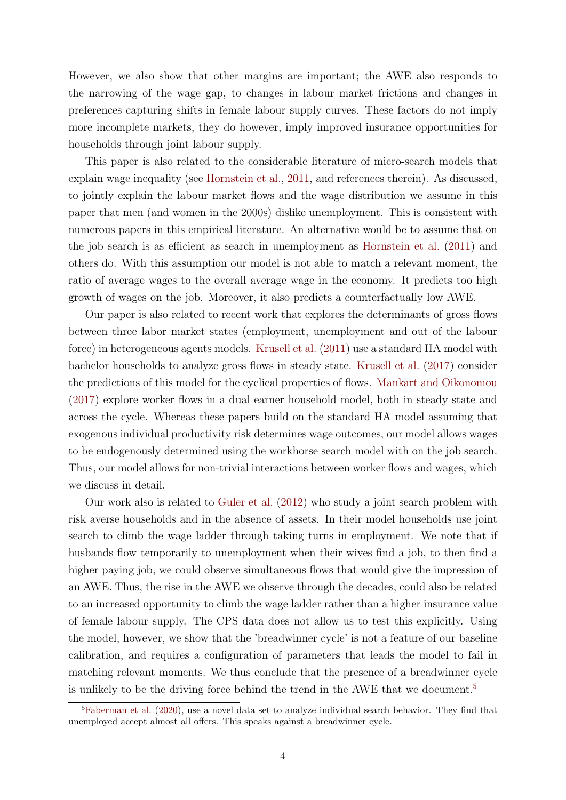However, we also show that other margins are important; the AWE also responds to the narrowing of the wage gap, to changes in labour market frictions and changes in preferences capturing shifts in female labour supply curves. These factors do not imply more incomplete markets, they do however, imply improved insurance opportunities for households through joint labour supply.

This paper is also related to the considerable literature of micro-search models that explain wage inequality (see [Hornstein et al.,](#page-44-0) [2011,](#page-44-0) and references therein). As discussed, to jointly explain the labour market flows and the wage distribution we assume in this paper that men (and women in the 2000s) dislike unemployment. This is consistent with numerous papers in this empirical literature. An alternative would be to assume that on the job search is as efficient as search in unemployment as [Hornstein et al.](#page-44-0) [\(2011\)](#page-44-0) and others do. With this assumption our model is not able to match a relevant moment, the ratio of average wages to the overall average wage in the economy. It predicts too high growth of wages on the job. Moreover, it also predicts a counterfactually low AWE.

Our paper is also related to recent work that explores the determinants of gross flows between three labor market states (employment, unemployment and out of the labour force) in heterogeneous agents models. [Krusell et al.](#page-44-6) [\(2011\)](#page-44-6) use a standard HA model with bachelor households to analyze gross flows in steady state. [Krusell et al.](#page-44-7) [\(2017\)](#page-44-7) consider the predictions of this model for the cyclical properties of flows. [Mankart and Oikonomou](#page-44-2) [\(2017\)](#page-44-2) explore worker flows in a dual earner household model, both in steady state and across the cycle. Whereas these papers build on the standard HA model assuming that exogenous individual productivity risk determines wage outcomes, our model allows wages to be endogenously determined using the workhorse search model with on the job search. Thus, our model allows for non-trivial interactions between worker flows and wages, which we discuss in detail.

Our work also is related to [Guler et al.](#page-43-4) [\(2012\)](#page-43-4) who study a joint search problem with risk averse households and in the absence of assets. In their model households use joint search to climb the wage ladder through taking turns in employment. We note that if husbands flow temporarily to unemployment when their wives find a job, to then find a higher paying job, we could observe simultaneous flows that would give the impression of an AWE. Thus, the rise in the AWE we observe through the decades, could also be related to an increased opportunity to climb the wage ladder rather than a higher insurance value of female labour supply. The CPS data does not allow us to test this explicitly. Using the model, however, we show that the 'breadwinner cycle' is not a feature of our baseline calibration, and requires a configuration of parameters that leads the model to fail in matching relevant moments. We thus conclude that the presence of a breadwinner cycle is unlikely to be the driving force behind the trend in the AWE that we document.<sup>[5](#page-4-0)</sup>

<span id="page-4-0"></span><sup>&</sup>lt;sup>5</sup>[Faberman et al.](#page-43-5) [\(2020\)](#page-43-5), use a novel data set to analyze individual search behavior. They find that unemployed accept almost all offers. This speaks against a breadwinner cycle.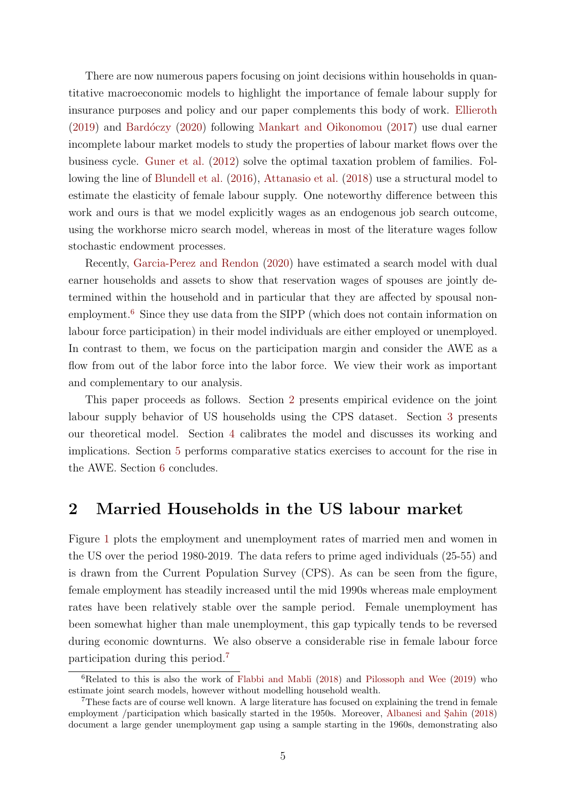There are now numerous papers focusing on joint decisions within households in quantitative macroeconomic models to highlight the importance of female labour supply for insurance purposes and policy and our paper complements this body of work. [Ellieroth](#page-43-6)  $(2019)$  and Bard $\angle$ oczy  $(2020)$  following [Mankart and Oikonomou](#page-44-2)  $(2017)$  use dual earner incomplete labour market models to study the properties of labour market flows over the business cycle. [Guner et al.](#page-43-7) [\(2012\)](#page-43-7) solve the optimal taxation problem of families. Following the line of [Blundell et al.](#page-43-0) [\(2016\)](#page-43-0), [Attanasio et al.](#page-42-3) [\(2018\)](#page-42-3) use a structural model to estimate the elasticity of female labour supply. One noteworthy difference between this work and ours is that we model explicitly wages as an endogenous job search outcome, using the workhorse micro search model, whereas in most of the literature wages follow stochastic endowment processes.

Recently, [Garcia-Perez and Rendon](#page-43-8) [\(2020\)](#page-43-8) have estimated a search model with dual earner households and assets to show that reservation wages of spouses are jointly determined within the household and in particular that they are affected by spousal non-employment.<sup>[6](#page-5-0)</sup> Since they use data from the SIPP (which does not contain information on labour force participation) in their model individuals are either employed or unemployed. In contrast to them, we focus on the participation margin and consider the AWE as a flow from out of the labor force into the labor force. We view their work as important and complementary to our analysis.

This paper proceeds as follows. Section [2](#page-5-1) presents empirical evidence on the joint labour supply behavior of US households using the CPS dataset. Section [3](#page-14-0) presents our theoretical model. Section [4](#page-19-0) calibrates the model and discusses its working and implications. Section [5](#page-36-0) performs comparative statics exercises to account for the rise in the AWE. Section [6](#page-42-4) concludes.

# <span id="page-5-1"></span>2 Married Households in the US labour market

Figure [1](#page-6-0) plots the employment and unemployment rates of married men and women in the US over the period 1980-2019. The data refers to prime aged individuals (25-55) and is drawn from the Current Population Survey (CPS). As can be seen from the figure, female employment has steadily increased until the mid 1990s whereas male employment rates have been relatively stable over the sample period. Female unemployment has been somewhat higher than male unemployment, this gap typically tends to be reversed during economic downturns. We also observe a considerable rise in female labour force participation during this period.[7](#page-5-2)

<span id="page-5-0"></span> ${}^{6}$ Related to this is also the work of [Flabbi and Mabli](#page-43-9) [\(2018\)](#page-43-9) and [Pilossoph and Wee](#page-45-2) [\(2019\)](#page-45-2) who estimate joint search models, however without modelling household wealth.

<span id="page-5-2"></span><sup>&</sup>lt;sup>7</sup>These facts are of course well known. A large literature has focused on explaining the trend in female employment /participation which basically started in the 1950s. Moreover, Albanesi and Sahin [\(2018\)](#page-42-5) document a large gender unemployment gap using a sample starting in the 1960s, demonstrating also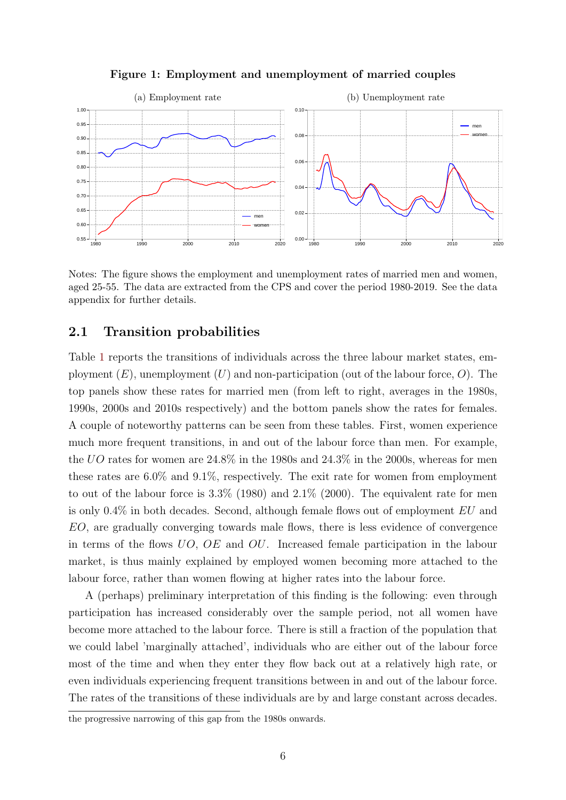

<span id="page-6-0"></span>

Notes: The figure shows the employment and unemployment rates of married men and women, aged 25-55. The data are extracted from the CPS and cover the period 1980-2019. See the data appendix for further details.

## <span id="page-6-1"></span>2.1 Transition probabilities

Table [1](#page-7-0) reports the transitions of individuals across the three labour market states, employment  $(E)$ , unemployment  $(U)$  and non-participation (out of the labour force, O). The top panels show these rates for married men (from left to right, averages in the 1980s, 1990s, 2000s and 2010s respectively) and the bottom panels show the rates for females. A couple of noteworthy patterns can be seen from these tables. First, women experience much more frequent transitions, in and out of the labour force than men. For example, the UO rates for women are 24.8% in the 1980s and 24.3% in the 2000s, whereas for men these rates are 6.0% and 9.1%, respectively. The exit rate for women from employment to out of the labour force is 3.3% (1980) and 2.1% (2000). The equivalent rate for men is only 0.4% in both decades. Second, although female flows out of employment EU and EO, are gradually converging towards male flows, there is less evidence of convergence in terms of the flows UO, OE and OU. Increased female participation in the labour market, is thus mainly explained by employed women becoming more attached to the labour force, rather than women flowing at higher rates into the labour force.

A (perhaps) preliminary interpretation of this finding is the following: even through participation has increased considerably over the sample period, not all women have become more attached to the labour force. There is still a fraction of the population that we could label 'marginally attached', individuals who are either out of the labour force most of the time and when they enter they flow back out at a relatively high rate, or even individuals experiencing frequent transitions between in and out of the labour force. The rates of the transitions of these individuals are by and large constant across decades.

the progressive narrowing of this gap from the 1980s onwards.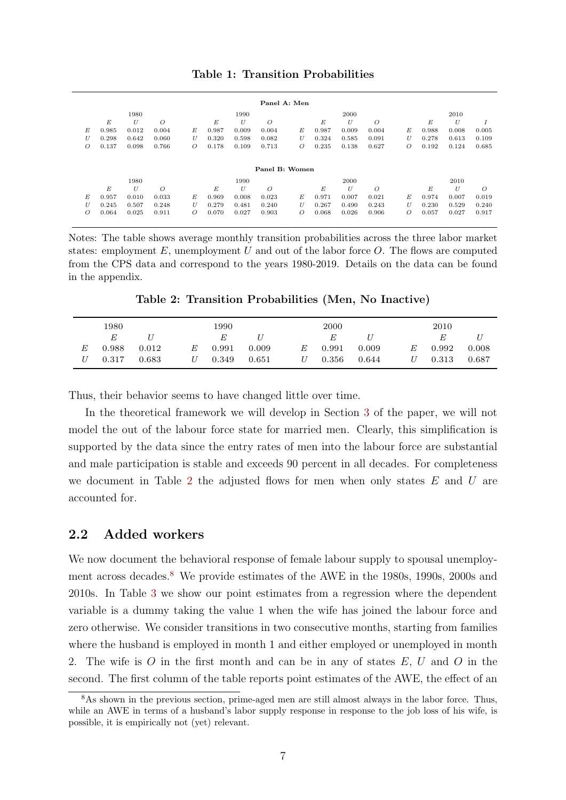#### Table 1: Transition Probabilities

<span id="page-7-0"></span>

|                |       |       |                |   |       |       |                | Panel A: Men   |       |       |          |   |       |       |       |
|----------------|-------|-------|----------------|---|-------|-------|----------------|----------------|-------|-------|----------|---|-------|-------|-------|
|                |       | 1980  |                |   |       | 1990  |                |                |       | 2000  |          |   |       | 2010  |       |
|                | E     | U     | O              |   | E     | U     | $\overline{O}$ |                | E     | U     | $\Omega$ |   | E     | U     |       |
| E              | 0.985 | 0.012 | 0.004          | E | 0.987 | 0.009 | 0.004          | E              | 0.987 | 0.009 | 0.004    | E | 0.988 | 0.008 | 0.005 |
| U              | 0.298 | 0.642 | 0.060          | U | 0.320 | 0.598 | 0.082          | U              | 0.324 | 0.585 | 0.091    | U | 0.278 | 0.613 | 0.109 |
| $\overline{O}$ | 0.137 | 0.098 | 0.766          | O | 0.178 | 0.109 | 0.713          | $\overline{O}$ | 0.235 | 0.138 | 0.627    | Ο | 0.192 | 0.124 | 0.685 |
|                |       |       |                |   |       |       |                |                |       |       |          |   |       |       |       |
|                |       |       |                |   |       |       | Panel B: Women |                |       |       |          |   |       |       |       |
|                |       | 1980  |                |   |       | 1990  |                |                |       | 2000  |          |   |       | 2010  |       |
|                | E     | U     | $\overline{O}$ |   | E     | U     | $\overline{O}$ |                | E     | U     | $\Omega$ |   | E     | U     | O     |
| E              | 0.957 | 0.010 | 0.033          | Е | 0.969 | 0.008 | 0.023          | E              | 0.971 | 0.007 | 0.021    | Е | 0.974 | 0.007 | 0.019 |
| U              | 0.245 | 0.507 | 0.248          | U | 0.279 | 0.481 | 0.240          | U              | 0.267 | 0.490 | 0.243    | U | 0.230 | 0.529 | 0.240 |
| $\overline{O}$ | 0.064 | 0.025 | 0.911          | O | 0.070 | 0.027 | 0.903          | Ο              | 0.068 | 0.026 | 0.906    | Ο | 0.057 | 0.027 | 0.917 |
|                |       |       |                |   |       |       |                |                |       |       |          |   |       |       |       |

Notes: The table shows average monthly transition probabilities across the three labor market states: employment  $E$ , unemployment  $U$  and out of the labor force  $O$ . The flows are computed from the CPS data and correspond to the years 1980-2019. Details on the data can be found in the appendix.

Table 2: Transition Probabilities (Men, No Inactive)

<span id="page-7-1"></span>

|   | 1980  |       |   | 1990  |       |   | 2000  |         |   | 2010  |       |
|---|-------|-------|---|-------|-------|---|-------|---------|---|-------|-------|
|   | E     |       |   | E     |       |   | E     | $\iota$ |   | E     |       |
| E | 0.988 | 0.012 | E | 0.991 | 0.009 | E | 0.991 | 0.009   | E | 0.992 | 0.008 |
| U | 0.317 | 0.683 | U | 0.349 | 0.651 | U | 0.356 | 0.644   |   | 0.313 | 0.687 |

Thus, their behavior seems to have changed little over time.

In the theoretical framework we will develop in Section [3](#page-14-0) of the paper, we will not model the out of the labour force state for married men. Clearly, this simplification is supported by the data since the entry rates of men into the labour force are substantial and male participation is stable and exceeds 90 percent in all decades. For completeness we document in Table [2](#page-7-1) the adjusted flows for men when only states  $E$  and  $U$  are accounted for.

### <span id="page-7-3"></span>2.2 Added workers

We now document the behavioral response of female labour supply to spousal unemploy-ment across decades.<sup>[8](#page-7-2)</sup> We provide estimates of the AWE in the 1980s, 1990s, 2000s and 2010s. In Table [3](#page-8-0) we show our point estimates from a regression where the dependent variable is a dummy taking the value 1 when the wife has joined the labour force and zero otherwise. We consider transitions in two consecutive months, starting from families where the husband is employed in month 1 and either employed or unemployed in month 2. The wife is O in the first month and can be in any of states  $E, U$  and O in the second. The first column of the table reports point estimates of the AWE, the effect of an

<span id="page-7-2"></span><sup>8</sup>As shown in the previous section, prime-aged men are still almost always in the labor force. Thus, while an AWE in terms of a husband's labor supply response in response to the job loss of his wife, is possible, it is empirically not (yet) relevant.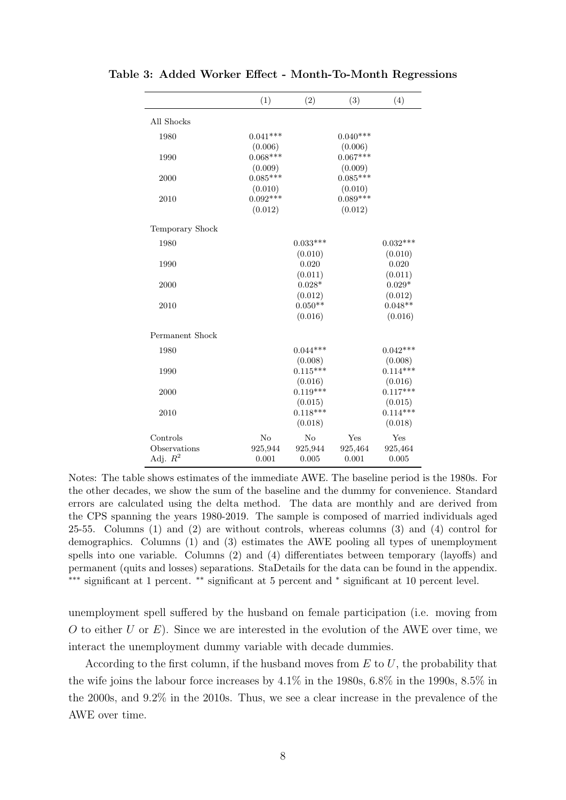|                 | (1)            | (2)        | (3)        | (4)        |
|-----------------|----------------|------------|------------|------------|
| All Shocks      |                |            |            |            |
| 1980            | $0.041***$     |            | $0.040***$ |            |
|                 | (0.006)        |            | (0.006)    |            |
| 1990            | $0.068***$     |            | $0.067***$ |            |
|                 | (0.009)        |            | (0.009)    |            |
| 2000            | $0.085***$     |            | $0.085***$ |            |
|                 | (0.010)        |            | (0.010)    |            |
| 2010            | $0.092***$     |            | $0.089***$ |            |
|                 | (0.012)        |            | (0.012)    |            |
| Temporary Shock |                |            |            |            |
| 1980            |                | $0.033***$ |            | $0.032***$ |
|                 |                | (0.010)    |            | (0.010)    |
| 1990            |                | 0.020      |            | 0.020      |
|                 |                | (0.011)    |            | (0.011)    |
| 2000            |                | $0.028*$   |            | $0.029*$   |
|                 |                | (0.012)    |            | (0.012)    |
| 2010            |                | $0.050**$  |            | $0.048**$  |
|                 |                | (0.016)    |            | (0.016)    |
| Permanent Shock |                |            |            |            |
| 1980            |                | $0.044***$ |            | $0.042***$ |
|                 |                | (0.008)    |            | (0.008)    |
| 1990            |                | $0.115***$ |            | $0.114***$ |
|                 |                | (0.016)    |            | (0.016)    |
| 2000            |                | $0.119***$ |            | $0.117***$ |
|                 |                | (0.015)    |            | (0.015)    |
| 2010            |                | $0.118***$ |            | $0.114***$ |
|                 |                | (0.018)    |            | (0.018)    |
| Controls        | N <sub>o</sub> | No         | Yes        | Yes        |
| Observations    | 925,944        | 925,944    | 925,464    | 925,464    |
| Adj. $R^2$      | 0.001          | 0.005      | 0.001      | 0.005      |

<span id="page-8-0"></span>Table 3: Added Worker Effect - Month-To-Month Regressions

Notes: The table shows estimates of the immediate AWE. The baseline period is the 1980s. For the other decades, we show the sum of the baseline and the dummy for convenience. Standard errors are calculated using the delta method. The data are monthly and are derived from the CPS spanning the years 1980-2019. The sample is composed of married individuals aged 25-55. Columns (1) and (2) are without controls, whereas columns (3) and (4) control for demographics. Columns (1) and (3) estimates the AWE pooling all types of unemployment spells into one variable. Columns (2) and (4) differentiates between temporary (layoffs) and permanent (quits and losses) separations. StaDetails for the data can be found in the appendix. ∗∗∗ significant at 1 percent. ∗∗ significant at 5 percent and <sup>∗</sup> significant at 10 percent level.

unemployment spell suffered by the husband on female participation (i.e. moving from O to either U or  $E$ ). Since we are interested in the evolution of the AWE over time, we interact the unemployment dummy variable with decade dummies.

According to the first column, if the husband moves from  $E$  to  $U$ , the probability that the wife joins the labour force increases by 4.1% in the 1980s, 6.8% in the 1990s, 8.5% in the 2000s, and 9.2% in the 2010s. Thus, we see a clear increase in the prevalence of the AWE over time.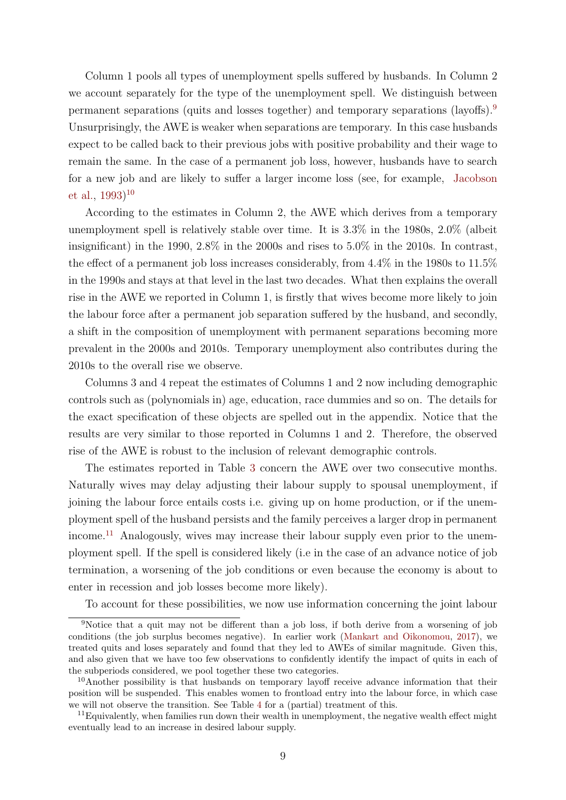Column 1 pools all types of unemployment spells suffered by husbands. In Column 2 we account separately for the type of the unemployment spell. We distinguish between permanent separations (quits and losses together) and temporary separations (layoffs).[9](#page-9-0) Unsurprisingly, the AWE is weaker when separations are temporary. In this case husbands expect to be called back to their previous jobs with positive probability and their wage to remain the same. In the case of a permanent job loss, however, husbands have to search for a new job and are likely to suffer a larger income loss (see, for example, [Jacobson](#page-44-8) [et al.,](#page-44-8) [1993\)](#page-44-8) [10](#page-9-1)

According to the estimates in Column 2, the AWE which derives from a temporary unemployment spell is relatively stable over time. It is 3.3% in the 1980s, 2.0% (albeit insignificant) in the 1990, 2.8% in the 2000s and rises to 5.0% in the 2010s. In contrast, the effect of a permanent job loss increases considerably, from 4.4% in the 1980s to 11.5% in the 1990s and stays at that level in the last two decades. What then explains the overall rise in the AWE we reported in Column 1, is firstly that wives become more likely to join the labour force after a permanent job separation suffered by the husband, and secondly, a shift in the composition of unemployment with permanent separations becoming more prevalent in the 2000s and 2010s. Temporary unemployment also contributes during the 2010s to the overall rise we observe.

Columns 3 and 4 repeat the estimates of Columns 1 and 2 now including demographic controls such as (polynomials in) age, education, race dummies and so on. The details for the exact specification of these objects are spelled out in the appendix. Notice that the results are very similar to those reported in Columns 1 and 2. Therefore, the observed rise of the AWE is robust to the inclusion of relevant demographic controls.

The estimates reported in Table [3](#page-8-0) concern the AWE over two consecutive months. Naturally wives may delay adjusting their labour supply to spousal unemployment, if joining the labour force entails costs i.e. giving up on home production, or if the unemployment spell of the husband persists and the family perceives a larger drop in permanent income.[11](#page-9-2) Analogously, wives may increase their labour supply even prior to the unemployment spell. If the spell is considered likely (i.e in the case of an advance notice of job termination, a worsening of the job conditions or even because the economy is about to enter in recession and job losses become more likely).

<span id="page-9-0"></span>To account for these possibilities, we now use information concerning the joint labour

<sup>9</sup>Notice that a quit may not be different than a job loss, if both derive from a worsening of job conditions (the job surplus becomes negative). In earlier work [\(Mankart and Oikonomou,](#page-44-2) [2017\)](#page-44-2), we treated quits and loses separately and found that they led to AWEs of similar magnitude. Given this, and also given that we have too few observations to confidently identify the impact of quits in each of the subperiods considered, we pool together these two categories.

<span id="page-9-1"></span><sup>&</sup>lt;sup>10</sup>Another possibility is that husbands on temporary layoff receive advance information that their position will be suspended. This enables women to frontload entry into the labour force, in which case we will not observe the transition. See Table [4](#page-10-0) for a (partial) treatment of this.

<span id="page-9-2"></span> $11$ Equivalently, when families run down their wealth in unemployment, the negative wealth effect might eventually lead to an increase in desired labour supply.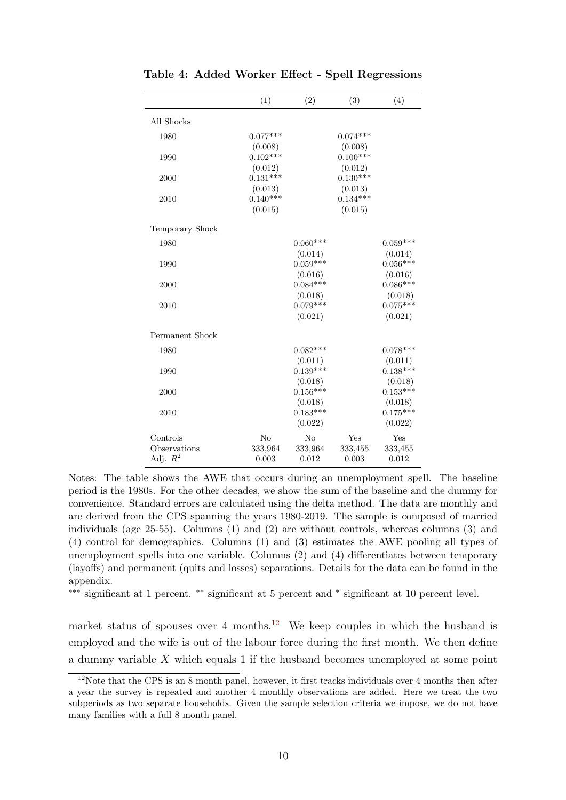|                 | (1)        | (2)        | (3)        | (4)        |
|-----------------|------------|------------|------------|------------|
| All Shocks      |            |            |            |            |
| 1980            | $0.077***$ |            | $0.074***$ |            |
|                 | (0.008)    |            | (0.008)    |            |
| 1990            | $0.102***$ |            | $0.100***$ |            |
|                 | (0.012)    |            | (0.012)    |            |
| 2000            | $0.131***$ |            | $0.130***$ |            |
|                 | (0.013)    |            | (0.013)    |            |
| 2010            | $0.140***$ |            | $0.134***$ |            |
|                 | (0.015)    |            | (0.015)    |            |
| Temporary Shock |            |            |            |            |
| 1980            |            | $0.060***$ |            | $0.059***$ |
|                 |            | (0.014)    |            | (0.014)    |
| 1990            |            | $0.059***$ |            | $0.056***$ |
|                 |            | (0.016)    |            | (0.016)    |
| 2000            |            | $0.084***$ |            | $0.086***$ |
|                 |            | (0.018)    |            | (0.018)    |
| 2010            |            | $0.079***$ |            | $0.075***$ |
|                 |            | (0.021)    |            | (0.021)    |
| Permanent Shock |            |            |            |            |
| 1980            |            | $0.082***$ |            | $0.078***$ |
|                 |            | (0.011)    |            | (0.011)    |
| 1990            |            | $0.139***$ |            | $0.138***$ |
|                 |            | (0.018)    |            | (0.018)    |
| 2000            |            | $0.156***$ |            | $0.153***$ |
|                 |            | (0.018)    |            | (0.018)    |
| 2010            |            | $0.183***$ |            | $0.175***$ |
|                 |            | (0.022)    |            | (0.022)    |
| Controls        | No         | No         | Yes        | Yes        |
| Observations    | 333,964    | 333,964    | 333,455    | 333,455    |
| Adj. $R^2$      | 0.003      | 0.012      | 0.003      | 0.012      |

<span id="page-10-0"></span>Table 4: Added Worker Effect - Spell Regressions

Notes: The table shows the AWE that occurs during an unemployment spell. The baseline period is the 1980s. For the other decades, we show the sum of the baseline and the dummy for convenience. Standard errors are calculated using the delta method. The data are monthly and are derived from the CPS spanning the years 1980-2019. The sample is composed of married individuals (age 25-55). Columns (1) and (2) are without controls, whereas columns (3) and (4) control for demographics. Columns (1) and (3) estimates the AWE pooling all types of unemployment spells into one variable. Columns (2) and (4) differentiates between temporary (layoffs) and permanent (quits and losses) separations. Details for the data can be found in the appendix.

∗∗∗ significant at 1 percent. ∗∗ significant at 5 percent and <sup>∗</sup> significant at 10 percent level.

market status of spouses over 4 months.<sup>[12](#page-10-1)</sup> We keep couples in which the husband is employed and the wife is out of the labour force during the first month. We then define a dummy variable X which equals 1 if the husband becomes unemployed at some point

<span id="page-10-1"></span><sup>&</sup>lt;sup>12</sup>Note that the CPS is an 8 month panel, however, it first tracks individuals over 4 months then after a year the survey is repeated and another 4 monthly observations are added. Here we treat the two subperiods as two separate households. Given the sample selection criteria we impose, we do not have many families with a full 8 month panel.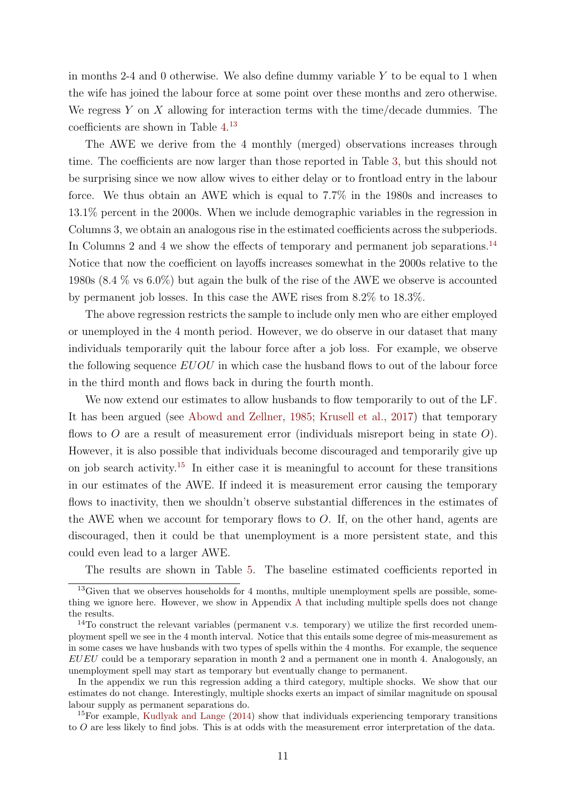in months 2-4 and 0 otherwise. We also define dummy variable  $Y$  to be equal to 1 when the wife has joined the labour force at some point over these months and zero otherwise. We regress  $Y$  on  $X$  allowing for interaction terms with the time/decade dummies. The coefficients are shown in Table [4.](#page-10-0) [13](#page-11-0)

The AWE we derive from the 4 monthly (merged) observations increases through time. The coefficients are now larger than those reported in Table [3,](#page-8-0) but this should not be surprising since we now allow wives to either delay or to frontload entry in the labour force. We thus obtain an AWE which is equal to 7.7% in the 1980s and increases to 13.1% percent in the 2000s. When we include demographic variables in the regression in Columns 3, we obtain an analogous rise in the estimated coefficients across the subperiods. In Columns 2 and 4 we show the effects of temporary and permanent job separations.<sup>[14](#page-11-1)</sup> Notice that now the coefficient on layoffs increases somewhat in the 2000s relative to the 1980s (8.4 % vs 6.0%) but again the bulk of the rise of the AWE we observe is accounted by permanent job losses. In this case the AWE rises from 8.2% to 18.3%.

The above regression restricts the sample to include only men who are either employed or unemployed in the 4 month period. However, we do observe in our dataset that many individuals temporarily quit the labour force after a job loss. For example, we observe the following sequence  $EUOU$  in which case the husband flows to out of the labour force in the third month and flows back in during the fourth month.

We now extend our estimates to allow husbands to flow temporarily to out of the LF. It has been argued (see [Abowd and Zellner,](#page-42-6) [1985;](#page-42-6) [Krusell et al.,](#page-44-7) [2017\)](#page-44-7) that temporary flows to  $O$  are a result of measurement error (individuals misreport being in state  $O$ ). However, it is also possible that individuals become discouraged and temporarily give up on job search activity.<sup>[15](#page-11-2)</sup> In either case it is meaningful to account for these transitions in our estimates of the AWE. If indeed it is measurement error causing the temporary flows to inactivity, then we shouldn't observe substantial differences in the estimates of the AWE when we account for temporary flows to  $O$ . If, on the other hand, agents are discouraged, then it could be that unemployment is a more persistent state, and this could even lead to a larger AWE.

The results are shown in Table [5.](#page-12-0) The baseline estimated coefficients reported in

<span id="page-11-0"></span> $13$  Given that we observes households for 4 months, multiple unemployment spells are possible, something we ignore here. However, we show in Appendix [A](#page-46-0) that including multiple spells does not change the results.

<span id="page-11-1"></span><sup>&</sup>lt;sup>14</sup>To construct the relevant variables (permanent v.s. temporary) we utilize the first recorded unemployment spell we see in the 4 month interval. Notice that this entails some degree of mis-measurement as in some cases we have husbands with two types of spells within the 4 months. For example, the sequence  $EUEU$  could be a temporary separation in month 2 and a permanent one in month 4. Analogously, an unemployment spell may start as temporary but eventually change to permanent.

In the appendix we run this regression adding a third category, multiple shocks. We show that our estimates do not change. Interestingly, multiple shocks exerts an impact of similar magnitude on spousal labour supply as permanent separations do.

<span id="page-11-2"></span><sup>15</sup>For example, [Kudlyak and Lange](#page-44-9) [\(2014\)](#page-44-9) show that individuals experiencing temporary transitions to O are less likely to find jobs. This is at odds with the measurement error interpretation of the data.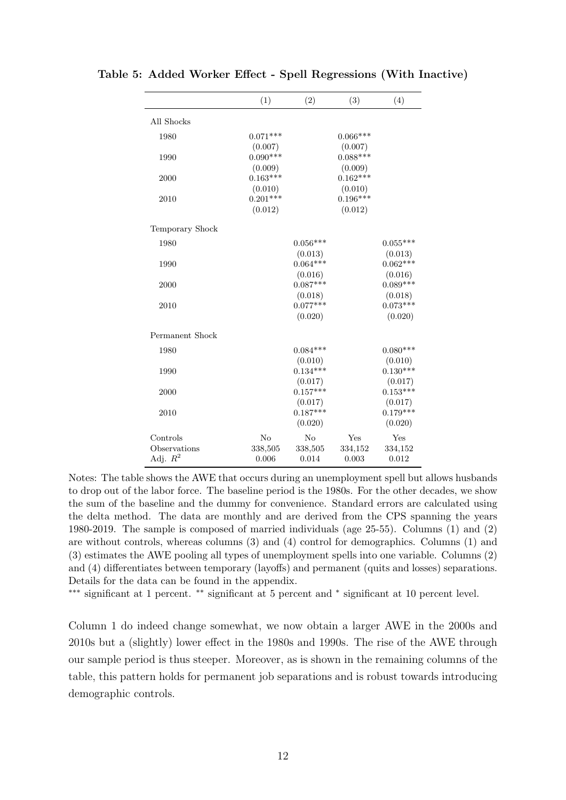|                 | (1)        | (2)        | (3)        | (4)        |
|-----------------|------------|------------|------------|------------|
| All Shocks      |            |            |            |            |
| 1980            | $0.071***$ |            | $0.066***$ |            |
|                 | (0.007)    |            | (0.007)    |            |
| 1990            | $0.090***$ |            | $0.088***$ |            |
|                 | (0.009)    |            | (0.009)    |            |
| 2000            | $0.163***$ |            | $0.162***$ |            |
|                 | (0.010)    |            | (0.010)    |            |
| 2010            | $0.201***$ |            | $0.196***$ |            |
|                 | (0.012)    |            | (0.012)    |            |
| Temporary Shock |            |            |            |            |
| 1980            |            | $0.056***$ |            | $0.055***$ |
|                 |            | (0.013)    |            | (0.013)    |
| 1990            |            | $0.064***$ |            | $0.062***$ |
|                 |            | (0.016)    |            | (0.016)    |
| 2000            |            | $0.087***$ |            | $0.089***$ |
|                 |            | (0.018)    |            | (0.018)    |
| 2010            |            | $0.077***$ |            | $0.073***$ |
|                 |            | (0.020)    |            | (0.020)    |
| Permanent Shock |            |            |            |            |
| 1980            |            | $0.084***$ |            | $0.080***$ |
|                 |            | (0.010)    |            | (0.010)    |
| 1990            |            | $0.134***$ |            | $0.130***$ |
|                 |            | (0.017)    |            | (0.017)    |
| 2000            |            | $0.157***$ |            | $0.153***$ |
|                 |            | (0.017)    |            | (0.017)    |
| 2010            |            | $0.187***$ |            | $0.179***$ |
|                 |            | (0.020)    |            | (0.020)    |
| Controls        | $\rm No$   | No         | Yes        | Yes        |
| Observations    | 338,505    | 338,505    | 334,152    | 334,152    |
| Adj. $R^2$      | 0.006      | 0.014      | 0.003      | 0.012      |

<span id="page-12-0"></span>Table 5: Added Worker Effect - Spell Regressions (With Inactive)

Notes: The table shows the AWE that occurs during an unemployment spell but allows husbands to drop out of the labor force. The baseline period is the 1980s. For the other decades, we show the sum of the baseline and the dummy for convenience. Standard errors are calculated using the delta method. The data are monthly and are derived from the CPS spanning the years 1980-2019. The sample is composed of married individuals (age 25-55). Columns (1) and (2) are without controls, whereas columns (3) and (4) control for demographics. Columns (1) and (3) estimates the AWE pooling all types of unemployment spells into one variable. Columns (2) and (4) differentiates between temporary (layoffs) and permanent (quits and losses) separations. Details for the data can be found in the appendix.

∗∗∗ significant at 1 percent. ∗∗ significant at 5 percent and <sup>∗</sup> significant at 10 percent level.

Column 1 do indeed change somewhat, we now obtain a larger AWE in the 2000s and 2010s but a (slightly) lower effect in the 1980s and 1990s. The rise of the AWE through our sample period is thus steeper. Moreover, as is shown in the remaining columns of the table, this pattern holds for permanent job separations and is robust towards introducing demographic controls.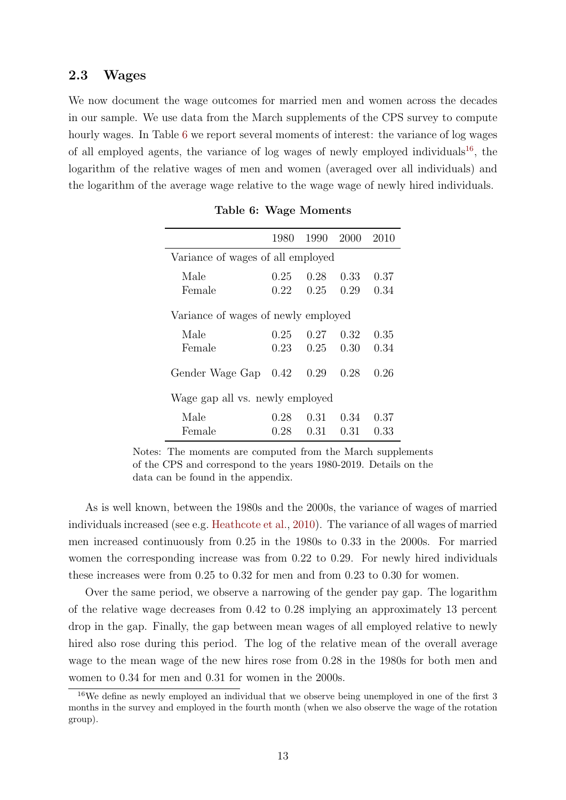### 2.3 Wages

We now document the wage outcomes for married men and women across the decades in our sample. We use data from the March supplements of the CPS survey to compute hourly wages. In Table [6](#page-13-0) we report several moments of interest: the variance of log wages of all employed agents, the variance of log wages of newly employed individuals<sup>[16](#page-13-1)</sup>, the logarithm of the relative wages of men and women (averaged over all individuals) and the logarithm of the average wage relative to the wage wage of newly hired individuals.

<span id="page-13-0"></span>

|                                     | 1980 | 1990 | 2000 | 2010 |  |  |  |  |  |
|-------------------------------------|------|------|------|------|--|--|--|--|--|
| Variance of wages of all employed   |      |      |      |      |  |  |  |  |  |
| Male                                | 0.25 | 0.28 | 0.33 | 0.37 |  |  |  |  |  |
| Female                              | 0.22 | 0.25 | 0.29 | 0.34 |  |  |  |  |  |
| Variance of wages of newly employed |      |      |      |      |  |  |  |  |  |
| Male                                | 0.25 | 0.27 | 0.32 | 0.35 |  |  |  |  |  |
| Female                              | 0.23 | 0.25 | 0.30 | 0.34 |  |  |  |  |  |
| Gender Wage Gap                     | 0.42 | 0.29 | 0.28 | 0.26 |  |  |  |  |  |
| Wage gap all vs. newly employed     |      |      |      |      |  |  |  |  |  |
| Male                                | 0.28 | 0.31 | 0.34 | 0.37 |  |  |  |  |  |
| Female                              | 0.28 | 0.31 | 0.31 | 0.33 |  |  |  |  |  |

|  |  | Table 6: Wage Moments |
|--|--|-----------------------|
|--|--|-----------------------|

Notes: The moments are computed from the March supplements of the CPS and correspond to the years 1980-2019. Details on the data can be found in the appendix.

As is well known, between the 1980s and the 2000s, the variance of wages of married individuals increased (see e.g. [Heathcote et al.,](#page-43-10) [2010\)](#page-43-10). The variance of all wages of married men increased continuously from 0.25 in the 1980s to 0.33 in the 2000s. For married women the corresponding increase was from 0.22 to 0.29. For newly hired individuals these increases were from 0.25 to 0.32 for men and from 0.23 to 0.30 for women.

Over the same period, we observe a narrowing of the gender pay gap. The logarithm of the relative wage decreases from 0.42 to 0.28 implying an approximately 13 percent drop in the gap. Finally, the gap between mean wages of all employed relative to newly hired also rose during this period. The log of the relative mean of the overall average wage to the mean wage of the new hires rose from 0.28 in the 1980s for both men and women to 0.34 for men and 0.31 for women in the 2000s.

<span id="page-13-1"></span><sup>&</sup>lt;sup>16</sup>We define as newly employed an individual that we observe being unemployed in one of the first 3 months in the survey and employed in the fourth month (when we also observe the wage of the rotation group).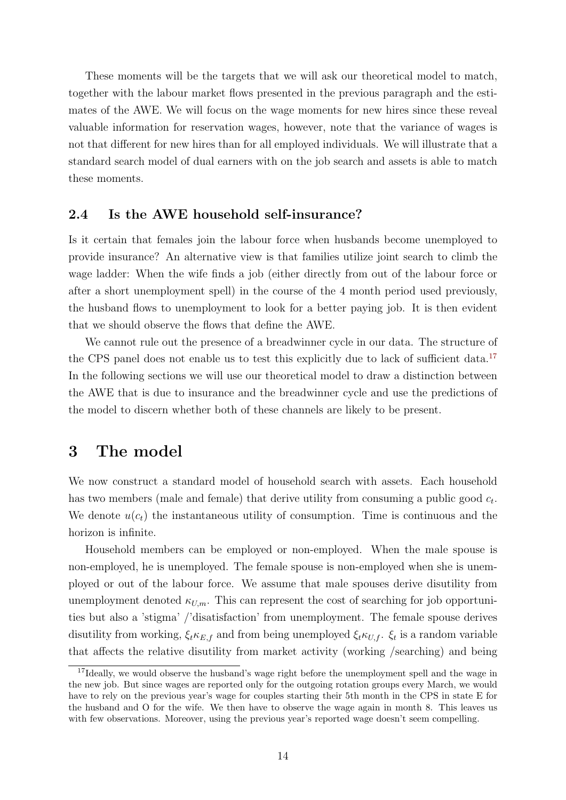These moments will be the targets that we will ask our theoretical model to match, together with the labour market flows presented in the previous paragraph and the estimates of the AWE. We will focus on the wage moments for new hires since these reveal valuable information for reservation wages, however, note that the variance of wages is not that different for new hires than for all employed individuals. We will illustrate that a standard search model of dual earners with on the job search and assets is able to match these moments.

### 2.4 Is the AWE household self-insurance?

Is it certain that females join the labour force when husbands become unemployed to provide insurance? An alternative view is that families utilize joint search to climb the wage ladder: When the wife finds a job (either directly from out of the labour force or after a short unemployment spell) in the course of the 4 month period used previously, the husband flows to unemployment to look for a better paying job. It is then evident that we should observe the flows that define the AWE.

We cannot rule out the presence of a breadwinner cycle in our data. The structure of the CPS panel does not enable us to test this explicitly due to lack of sufficient data.<sup>[17](#page-14-1)</sup> In the following sections we will use our theoretical model to draw a distinction between the AWE that is due to insurance and the breadwinner cycle and use the predictions of the model to discern whether both of these channels are likely to be present.

## <span id="page-14-0"></span>3 The model

We now construct a standard model of household search with assets. Each household has two members (male and female) that derive utility from consuming a public good  $c_t$ . We denote  $u(c_t)$  the instantaneous utility of consumption. Time is continuous and the horizon is infinite.

Household members can be employed or non-employed. When the male spouse is non-employed, he is unemployed. The female spouse is non-employed when she is unemployed or out of the labour force. We assume that male spouses derive disutility from unemployment denoted  $\kappa_{U,m}$ . This can represent the cost of searching for job opportunities but also a 'stigma' /'disatisfaction' from unemployment. The female spouse derives disutility from working,  $\xi_t \kappa_{E,f}$  and from being unemployed  $\xi_t \kappa_{U,f}$ .  $\xi_t$  is a random variable that affects the relative disutility from market activity (working /searching) and being

<span id="page-14-1"></span><sup>&</sup>lt;sup>17</sup>Ideally, we would observe the husband's wage right before the unemployment spell and the wage in the new job. But since wages are reported only for the outgoing rotation groups every March, we would have to rely on the previous year's wage for couples starting their 5th month in the CPS in state E for the husband and O for the wife. We then have to observe the wage again in month 8. This leaves us with few observations. Moreover, using the previous year's reported wage doesn't seem compelling.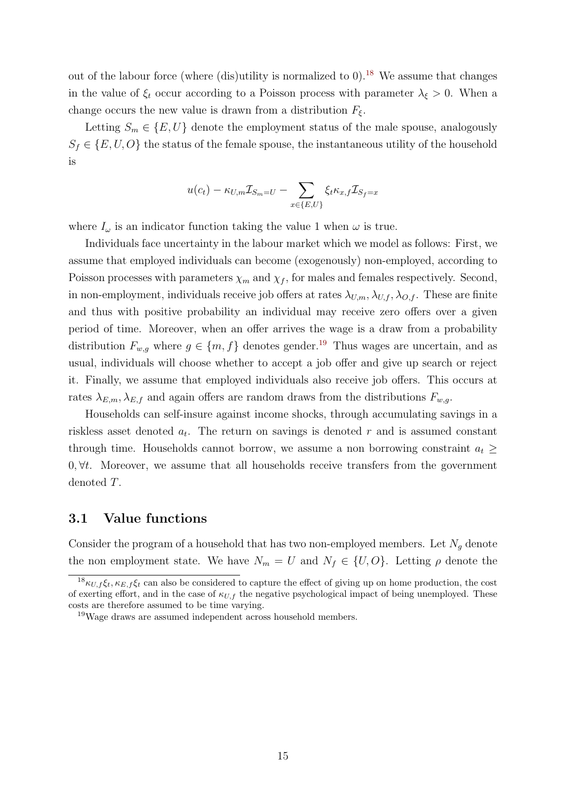out of the labour force (where (dis)utility is normalized to  $0$ ).<sup>[18](#page-15-0)</sup> We assume that changes in the value of  $\xi_t$  occur according to a Poisson process with parameter  $\lambda_{\xi} > 0$ . When a change occurs the new value is drawn from a distribution  $F_{\xi}$ .

Letting  $S_m \in \{E, U\}$  denote the employment status of the male spouse, analogously  $S_f \in \{E, U, O\}$  the status of the female spouse, the instantaneous utility of the household is

$$
u(c_t) - \kappa_{U,m} \mathcal{I}_{S_m = U} - \sum_{x \in \{E, U\}} \xi_t \kappa_{x,f} \mathcal{I}_{S_f = x}
$$

where  $I_{\omega}$  is an indicator function taking the value 1 when  $\omega$  is true.

Individuals face uncertainty in the labour market which we model as follows: First, we assume that employed individuals can become (exogenously) non-employed, according to Poisson processes with parameters  $\chi_m$  and  $\chi_f$ , for males and females respectively. Second, in non-employment, individuals receive job offers at rates  $\lambda_{U,m}, \lambda_{U,f}, \lambda_{O,f}$ . These are finite and thus with positive probability an individual may receive zero offers over a given period of time. Moreover, when an offer arrives the wage is a draw from a probability distribution  $F_{w,g}$  where  $g \in \{m, f\}$  denotes gender.<sup>[19](#page-15-1)</sup> Thus wages are uncertain, and as usual, individuals will choose whether to accept a job offer and give up search or reject it. Finally, we assume that employed individuals also receive job offers. This occurs at rates  $\lambda_{E,m}, \lambda_{E,f}$  and again offers are random draws from the distributions  $F_{w,g}$ .

Households can self-insure against income shocks, through accumulating savings in a riskless asset denoted  $a_t$ . The return on savings is denoted r and is assumed constant through time. Households cannot borrow, we assume a non borrowing constraint  $a_t \geq$  $0, \forall t$ . Moreover, we assume that all households receive transfers from the government denoted T.

## 3.1 Value functions

Consider the program of a household that has two non-employed members. Let  $N_g$  denote the non employment state. We have  $N_m = U$  and  $N_f \in \{U, O\}$ . Letting  $\rho$  denote the

<span id="page-15-0"></span><sup>&</sup>lt;sup>18</sup> $\kappa_{U,f} \xi_t, \kappa_{E,f} \xi_t$  can also be considered to capture the effect of giving up on home production, the cost of exerting effort, and in the case of  $\kappa_{U,f}$  the negative psychological impact of being unemployed. These costs are therefore assumed to be time varying.

<span id="page-15-1"></span><sup>&</sup>lt;sup>19</sup>Wage draws are assumed independent across household members.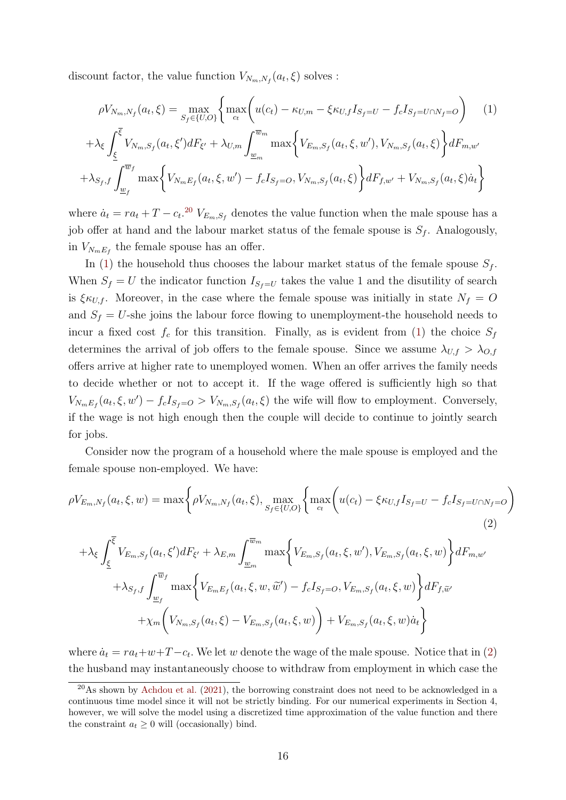discount factor, the value function  $V_{N_m,N_f}(a_t,\xi)$  solves :

<span id="page-16-1"></span>
$$
\rho V_{N_m, N_f}(a_t, \xi) = \max_{S_f \in \{U, O\}} \left\{ \max_{c_t} \left( u(c_t) - \kappa_{U, m} - \xi \kappa_{U, f} I_{S_f = U} - f_c I_{S_f = U \cap N_f = O} \right) \right\} \tag{1}
$$
\n
$$
+ \lambda_{\xi} \int_{\underline{\xi}}^{\overline{\xi}} V_{N_m, S_f}(a_t, \xi') dF_{\xi'} + \lambda_{U, m} \int_{\underline{w}_m}^{\overline{w}_m} \max \left\{ V_{E_m, S_f}(a_t, \xi, w'), V_{N_m, S_f}(a_t, \xi) \right\} dF_{m, w'}
$$
\n
$$
+ \lambda_{S_f, f} \int_{\underline{w}_f}^{\overline{w}_f} \max \left\{ V_{N_m E_f}(a_t, \xi, w') - f_c I_{S_f = O}, V_{N_m, S_f}(a_t, \xi) \right\} dF_{f, w'} + V_{N_m, S_f}(a_t, \xi) \dot{a}_t \right\}
$$

where  $\dot{a}_t = r a_t + T - c_t$ <sup>[20](#page-16-0)</sup>  $V_{E_m, S_f}$  denotes the value function when the male spouse has a job offer at hand and the labour market status of the female spouse is  $S_f$ . Analogously, in  $V_{N_mE_f}$  the female spouse has an offer.

In [\(1\)](#page-16-1) the household thus chooses the labour market status of the female spouse  $S_f$ . When  $S_f = U$  the indicator function  $I_{S_f = U}$  takes the value 1 and the disutility of search is  $\xi \kappa_{U,f}$ . Moreover, in the case where the female spouse was initially in state  $N_f = O$ and  $S_f = U$ -she joins the labour force flowing to unemployment-the household needs to incur a fixed cost  $f_c$  for this transition. Finally, as is evident from [\(1\)](#page-16-1) the choice  $S_f$ determines the arrival of job offers to the female spouse. Since we assume  $\lambda_{U,f} > \lambda_{O,f}$ offers arrive at higher rate to unemployed women. When an offer arrives the family needs to decide whether or not to accept it. If the wage offered is sufficiently high so that  $V_{N_mE_f}(a_t,\xi,w') - f_cI_{S_f=O} > V_{N_m,S_f}(a_t,\xi)$  the wife will flow to employment. Conversely, if the wage is not high enough then the couple will decide to continue to jointly search for jobs.

Consider now the program of a household where the male spouse is employed and the female spouse non-employed. We have:

$$
\rho V_{E_m, N_f}(a_t, \xi, w) = \max \bigg\{ \rho V_{N_m, N_f}(a_t, \xi), \max_{S_f \in \{U, O\}} \bigg\{ \max_{c_t} \bigg( u(c_t) - \xi \kappa_{U, f} I_{S_f = U} - f_c I_{S_f = U \cap N_f = O} \bigg) \tag{2}
$$

<span id="page-16-2"></span>
$$
+ \lambda_{\xi} \int_{\underline{\xi}}^{\overline{\xi}} V_{E_m, S_f}(a_t, \xi') dF_{\xi'} + \lambda_{E, m} \int_{\underline{w}_m}^{\overline{w}_m} \max \Big\{ V_{E_m, S_f}(a_t, \xi, w'), V_{E_m, S_f}(a_t, \xi, w) \Big\} dF_{m, w'}
$$
  
+  $\lambda_{S_f, f} \int_{\underline{w}_f}^{\overline{w}_f} \max \Big\{ V_{E_m E_f}(a_t, \xi, w, \widetilde{w}') - f_c I_{S_f = O}, V_{E_m, S_f}(a_t, \xi, w) \Big\} dF_{f, \widetilde{w}'}$   
+  $\chi_m \Big( V_{N_m, S_f}(a_t, \xi) - V_{E_m, S_f}(a_t, \xi, w) \Big) + V_{E_m, S_f}(a_t, \xi, w) \dot{a}_t \Big\}$ 

where  $\dot{a}_t = ra_t + w + T - c_t$ . We let w denote the wage of the male spouse. Notice that in [\(2\)](#page-16-2) the husband may instantaneously choose to withdraw from employment in which case the

<span id="page-16-0"></span><sup>20</sup>As shown by [Achdou et al.](#page-42-7) [\(2021\)](#page-42-7), the borrowing constraint does not need to be acknowledged in a continuous time model since it will not be strictly binding. For our numerical experiments in Section 4, however, we will solve the model using a discretized time approximation of the value function and there the constraint  $a_t \geq 0$  will (occasionally) bind.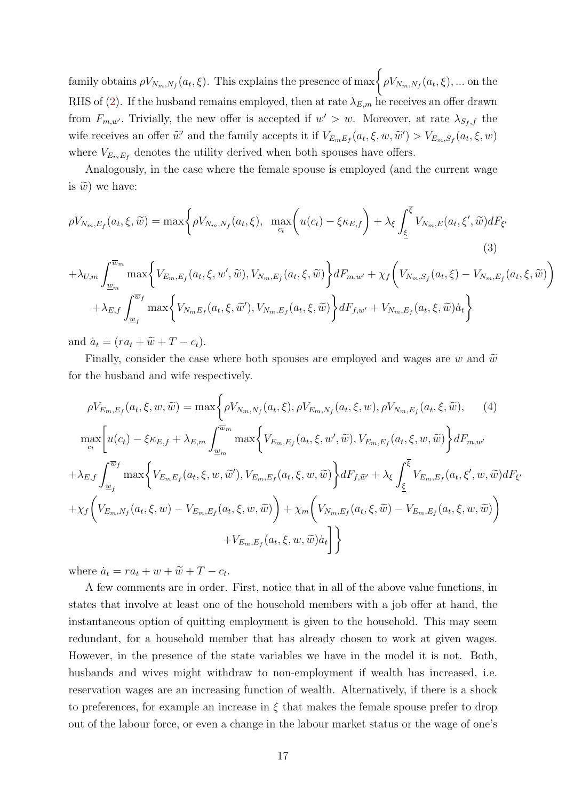family obtains  $\rho V_{N_m,N_f}(a_t,\xi)$ . This explains the presence of  $\max \bigg\{ \rho V_{N_m,N_f}(a_t,\xi), ...$  on the RHS of [\(2\)](#page-16-2). If the husband remains employed, then at rate  $\lambda_{E,m}$  he receives an offer drawn from  $F_{m,w'}$ . Trivially, the new offer is accepted if  $w' > w$ . Moreover, at rate  $\lambda_{S_f,f}$  the wife receives an offer  $\tilde{w}'$  and the family accepts it if  $V_{E_m E_f}(a_t, \xi, w, \tilde{w}') > V_{E_m, S_f}(a_t, \xi, w)$ where  $V_{E_mE_f}$  denotes the utility derived when both spouses have offers.

Analogously, in the case where the female spouse is employed (and the current wage is  $\tilde{w}$ ) we have:

$$
\rho V_{N_m, E_f}(a_t, \xi, \widetilde{w}) = \max \bigg\{ \rho V_{N_m, N_f}(a_t, \xi), \max_{c_t} \bigg( u(c_t) - \xi \kappa_{E, f} \bigg) + \lambda_{\xi} \int_{\underline{\xi}}^{\overline{\xi}} V_{N_m, E}(a_t, \xi', \widetilde{w}) dF_{\xi'} \tag{3}
$$

$$
+\lambda_{U,m}\int_{\underline{w}_m}^{\overline{w}_m} \max\bigg\{V_{E_m,E_f}(a_t,\xi,w',\widetilde{w}),V_{N_m,E_f}(a_t,\xi,\widetilde{w})\bigg\}dF_{m,w'} + \chi_f\bigg(V_{N_m,S_f}(a_t,\xi)-V_{N_m,E_f}(a_t,\xi,\widetilde{w})\bigg) + \lambda_{E,f}\int_{\underline{w}_f}^{\overline{w}_f} \max\bigg\{V_{N_mE_f}(a_t,\xi,\widetilde{w}'),V_{N_m,E_f}(a_t,\xi,\widetilde{w})\bigg\}dF_{f,w'} + V_{N_m,E_f}(a_t,\xi,\widetilde{w})\dot{a}_t\bigg\}
$$

and  $\dot{a}_t = (ra_t + \widetilde{w} + T - c_t).$ 

Finally, consider the case where both spouses are employed and wages are w and  $\tilde{w}$ for the husband and wife respectively.

$$
\rho V_{E_{m},E_{f}}(a_{t}, \xi, w, \tilde{w}) = \max \left\{ \rho V_{N_{m},N_{f}}(a_{t}, \xi), \rho V_{E_{m},N_{f}}(a_{t}, \xi, w), \rho V_{N_{m},E_{f}}(a_{t}, \xi, \tilde{w}), \quad (4)
$$

$$
\max_{c_{t}} \left[ u(c_{t}) - \xi \kappa_{E,f} + \lambda_{E,m} \int_{\underline{w}_{m}}^{\overline{w}_{m}} \max \left\{ V_{E_{m},E_{f}}(a_{t}, \xi, w', \tilde{w}), V_{E_{m},E_{f}}(a_{t}, \xi, w, \tilde{w}) \right\} dF_{m,w'}
$$

$$
+ \lambda_{E,f} \int_{\underline{w}_{f}}^{\overline{w}_{f}} \max \left\{ V_{E_{m},E_{f}}(a_{t}, \xi, w, \tilde{w}'), V_{E_{m},E_{f}}(a_{t}, \xi, w, \tilde{w}) \right\} dF_{f,\tilde{w}'} + \lambda_{\xi} \int_{\underline{\xi}}^{\overline{\xi}} V_{E_{m},E_{f}}(a_{t}, \xi', w, \tilde{w}) dF_{\xi'}
$$

$$
+ \chi_{f} \left( V_{E_{m},N_{f}}(a_{t}, \xi, w) - V_{E_{m},E_{f}}(a_{t}, \xi, w, \tilde{w}) \right) + \chi_{m} \left( V_{N_{m},E_{f}}(a_{t}, \xi, \tilde{w}) - V_{E_{m},E_{f}}(a_{t}, \xi, w, \tilde{w}) \right)
$$

$$
+ V_{E_{m},E_{f}}(a_{t}, \xi, w, \tilde{w}) \tilde{a}_{t} \right] \}
$$

where  $\dot{a}_t = ra_t + w + \tilde{w} + T - c_t$ .

A few comments are in order. First, notice that in all of the above value functions, in states that involve at least one of the household members with a job offer at hand, the instantaneous option of quitting employment is given to the household. This may seem redundant, for a household member that has already chosen to work at given wages. However, in the presence of the state variables we have in the model it is not. Both, husbands and wives might withdraw to non-employment if wealth has increased, i.e. reservation wages are an increasing function of wealth. Alternatively, if there is a shock to preferences, for example an increase in  $\xi$  that makes the female spouse prefer to drop out of the labour force, or even a change in the labour market status or the wage of one's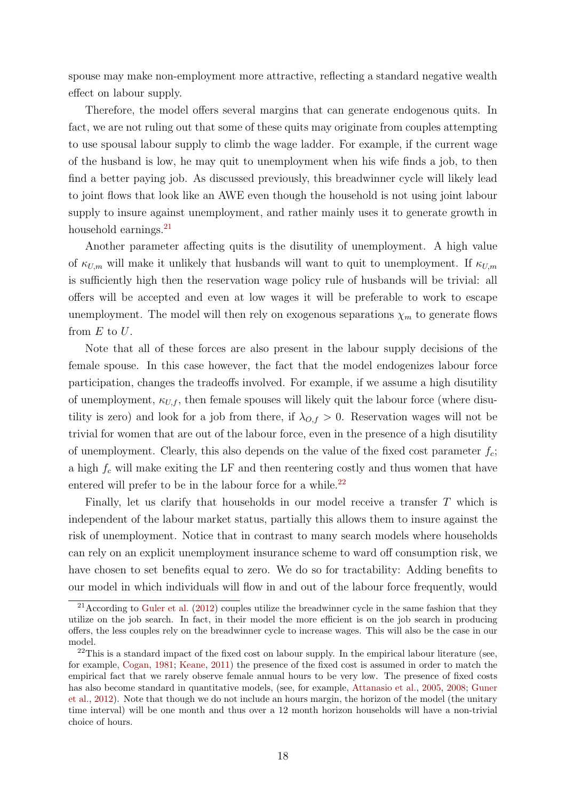spouse may make non-employment more attractive, reflecting a standard negative wealth effect on labour supply.

Therefore, the model offers several margins that can generate endogenous quits. In fact, we are not ruling out that some of these quits may originate from couples attempting to use spousal labour supply to climb the wage ladder. For example, if the current wage of the husband is low, he may quit to unemployment when his wife finds a job, to then find a better paying job. As discussed previously, this breadwinner cycle will likely lead to joint flows that look like an AWE even though the household is not using joint labour supply to insure against unemployment, and rather mainly uses it to generate growth in household earnings.<sup>[21](#page-18-0)</sup>

Another parameter affecting quits is the disutility of unemployment. A high value of  $\kappa_{U,m}$  will make it unlikely that husbands will want to quit to unemployment. If  $\kappa_{U,m}$ is sufficiently high then the reservation wage policy rule of husbands will be trivial: all offers will be accepted and even at low wages it will be preferable to work to escape unemployment. The model will then rely on exogenous separations  $\chi_m$  to generate flows from  $E$  to  $U$ .

Note that all of these forces are also present in the labour supply decisions of the female spouse. In this case however, the fact that the model endogenizes labour force participation, changes the tradeoffs involved. For example, if we assume a high disutility of unemployment,  $\kappa_{U,f}$ , then female spouses will likely quit the labour force (where disutility is zero) and look for a job from there, if  $\lambda_{O,f} > 0$ . Reservation wages will not be trivial for women that are out of the labour force, even in the presence of a high disutility of unemployment. Clearly, this also depends on the value of the fixed cost parameter  $f_c$ ; a high  $f_c$  will make exiting the LF and then reentering costly and thus women that have entered will prefer to be in the labour force for a while.<sup>[22](#page-18-1)</sup>

Finally, let us clarify that households in our model receive a transfer T which is independent of the labour market status, partially this allows them to insure against the risk of unemployment. Notice that in contrast to many search models where households can rely on an explicit unemployment insurance scheme to ward off consumption risk, we have chosen to set benefits equal to zero. We do so for tractability: Adding benefits to our model in which individuals will flow in and out of the labour force frequently, would

<span id="page-18-0"></span> $21$ According to [Guler et al.](#page-43-4) [\(2012\)](#page-43-4) couples utilize the breadwinner cycle in the same fashion that they utilize on the job search. In fact, in their model the more efficient is on the job search in producing offers, the less couples rely on the breadwinner cycle to increase wages. This will also be the case in our model.

<span id="page-18-1"></span> $^{22}$ This is a standard impact of the fixed cost on labour supply. In the empirical labour literature (see, for example, [Cogan,](#page-43-11) [1981;](#page-43-11) [Keane,](#page-44-10) [2011\)](#page-44-10) the presence of the fixed cost is assumed in order to match the empirical fact that we rarely observe female annual hours to be very low. The presence of fixed costs has also become standard in quantitative models, (see, for example, [Attanasio et al.,](#page-42-0) [2005,](#page-42-0) [2008;](#page-42-1) [Guner](#page-43-7) [et al.,](#page-43-7) [2012\)](#page-43-7). Note that though we do not include an hours margin, the horizon of the model (the unitary time interval) will be one month and thus over a 12 month horizon households will have a non-trivial choice of hours.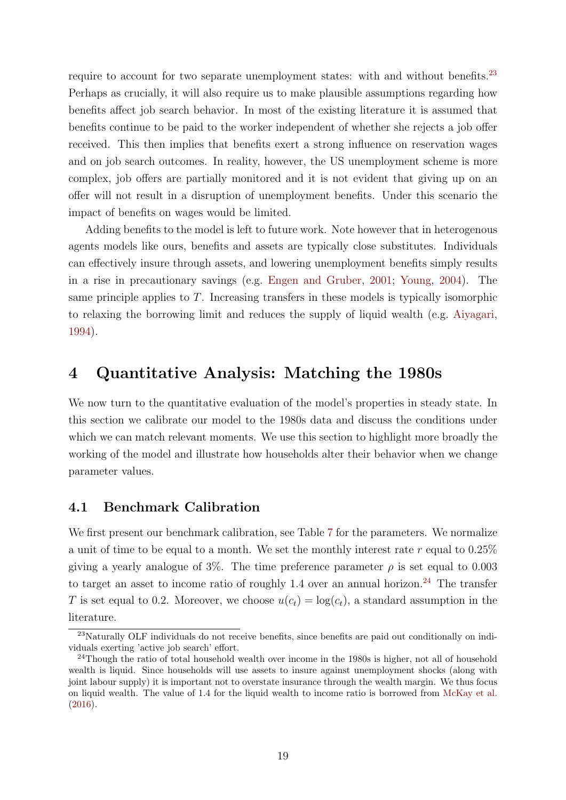require to account for two separate unemployment states: with and without benefits.<sup>[23](#page-19-1)</sup> Perhaps as crucially, it will also require us to make plausible assumptions regarding how benefits affect job search behavior. In most of the existing literature it is assumed that benefits continue to be paid to the worker independent of whether she rejects a job offer received. This then implies that benefits exert a strong influence on reservation wages and on job search outcomes. In reality, however, the US unemployment scheme is more complex, job offers are partially monitored and it is not evident that giving up on an offer will not result in a disruption of unemployment benefits. Under this scenario the impact of benefits on wages would be limited.

Adding benefits to the model is left to future work. Note however that in heterogenous agents models like ours, benefits and assets are typically close substitutes. Individuals can effectively insure through assets, and lowering unemployment benefits simply results in a rise in precautionary savings (e.g. [Engen and Gruber,](#page-43-12) [2001;](#page-43-12) [Young,](#page-45-3) [2004\)](#page-45-3). The same principle applies to T. Increasing transfers in these models is typically isomorphic to relaxing the borrowing limit and reduces the supply of liquid wealth (e.g. [Aiyagari,](#page-42-8) [1994\)](#page-42-8).

# <span id="page-19-0"></span>4 Quantitative Analysis: Matching the 1980s

We now turn to the quantitative evaluation of the model's properties in steady state. In this section we calibrate our model to the 1980s data and discuss the conditions under which we can match relevant moments. We use this section to highlight more broadly the working of the model and illustrate how households alter their behavior when we change parameter values.

### 4.1 Benchmark Calibration

We first present our benchmark calibration, see Table [7](#page-22-0) for the parameters. We normalize a unit of time to be equal to a month. We set the monthly interest rate r equal to  $0.25\%$ giving a yearly analogue of  $3\%$ . The time preference parameter  $\rho$  is set equal to 0.003 to target an asset to income ratio of roughly  $1.4$  over an annual horizon.<sup>[24](#page-19-2)</sup> The transfer T is set equal to 0.2. Moreover, we choose  $u(c_t) = \log(c_t)$ , a standard assumption in the literature.

<span id="page-19-1"></span><sup>23</sup>Naturally OLF individuals do not receive benefits, since benefits are paid out conditionally on individuals exerting 'active job search' effort.

<span id="page-19-2"></span> $^{24}$ Though the ratio of total household wealth over income in the 1980s is higher, not all of household wealth is liquid. Since households will use assets to insure against unemployment shocks (along with joint labour supply) it is important not to overstate insurance through the wealth margin. We thus focus on liquid wealth. The value of 1.4 for the liquid wealth to income ratio is borrowed from [McKay et al.](#page-44-11) [\(2016\)](#page-44-11).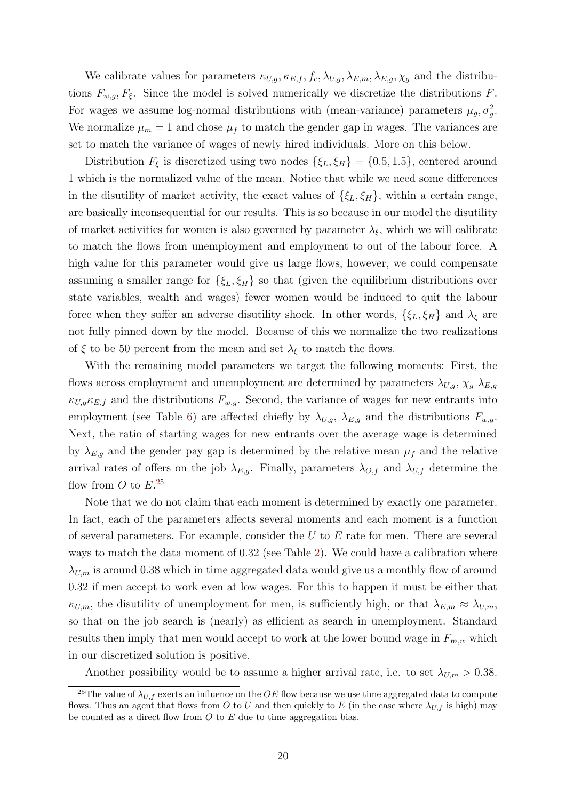We calibrate values for parameters  $\kappa_{U,g}, \kappa_{E,f}, f_c, \lambda_{U,g}, \lambda_{E,m}, \lambda_{E,g}, \chi_g$  and the distributions  $F_{w,q}, F_{\xi}$ . Since the model is solved numerically we discretize the distributions F. For wages we assume log-normal distributions with (mean-variance) parameters  $\mu_g$ ,  $\sigma_g^2$ . We normalize  $\mu_m = 1$  and chose  $\mu_f$  to match the gender gap in wages. The variances are set to match the variance of wages of newly hired individuals. More on this below.

Distribution  $F_{\xi}$  is discretized using two nodes  $\{\xi_L, \xi_H\} = \{0.5, 1.5\}$ , centered around 1 which is the normalized value of the mean. Notice that while we need some differences in the disutility of market activity, the exact values of  $\{\xi_L, \xi_H\}$ , within a certain range, are basically inconsequential for our results. This is so because in our model the disutility of market activities for women is also governed by parameter  $\lambda_{\xi}$ , which we will calibrate to match the flows from unemployment and employment to out of the labour force. A high value for this parameter would give us large flows, however, we could compensate assuming a smaller range for  $\{\xi_L, \xi_H\}$  so that (given the equilibrium distributions over state variables, wealth and wages) fewer women would be induced to quit the labour force when they suffer an adverse disutility shock. In other words,  $\{\xi_L, \xi_H\}$  and  $\lambda_{\xi}$  are not fully pinned down by the model. Because of this we normalize the two realizations of  $\xi$  to be 50 percent from the mean and set  $\lambda_{\xi}$  to match the flows.

With the remaining model parameters we target the following moments: First, the flows across employment and unemployment are determined by parameters  $\lambda_{U,g}$ ,  $\chi_g$ ,  $\lambda_{E,g}$  $\kappa_{U,g}\kappa_{E,f}$  and the distributions  $F_{w,g}$ . Second, the variance of wages for new entrants into employment (see Table [6\)](#page-13-0) are affected chiefly by  $\lambda_{U,g}$ ,  $\lambda_{E,g}$  and the distributions  $F_{w,g}$ . Next, the ratio of starting wages for new entrants over the average wage is determined by  $\lambda_{E,q}$  and the gender pay gap is determined by the relative mean  $\mu_f$  and the relative arrival rates of offers on the job  $\lambda_{E,g}$ . Finally, parameters  $\lambda_{O,f}$  and  $\lambda_{U,f}$  determine the flow from  $O$  to  $E^{25}$  $E^{25}$  $E^{25}$ 

Note that we do not claim that each moment is determined by exactly one parameter. In fact, each of the parameters affects several moments and each moment is a function of several parameters. For example, consider the  $U$  to  $E$  rate for men. There are several ways to match the data moment of 0.32 (see Table [2\)](#page-7-1). We could have a calibration where  $\lambda_{U,m}$  is around 0.38 which in time aggregated data would give us a monthly flow of around 0.32 if men accept to work even at low wages. For this to happen it must be either that  $\kappa_{U,m}$ , the disutility of unemployment for men, is sufficiently high, or that  $\lambda_{E,m} \approx \lambda_{U,m}$ , so that on the job search is (nearly) as efficient as search in unemployment. Standard results then imply that men would accept to work at the lower bound wage in  $F_{m,w}$  which in our discretized solution is positive.

Another possibility would be to assume a higher arrival rate, i.e. to set  $\lambda_{U,m} > 0.38$ .

<span id="page-20-0"></span><sup>&</sup>lt;sup>25</sup>The value of  $\lambda_{U,f}$  exerts an influence on the OE flow because we use time aggregated data to compute flows. Thus an agent that flows from O to U and then quickly to E (in the case where  $\lambda_{U,f}$  is high) may be counted as a direct flow from  $O$  to  $E$  due to time aggregation bias.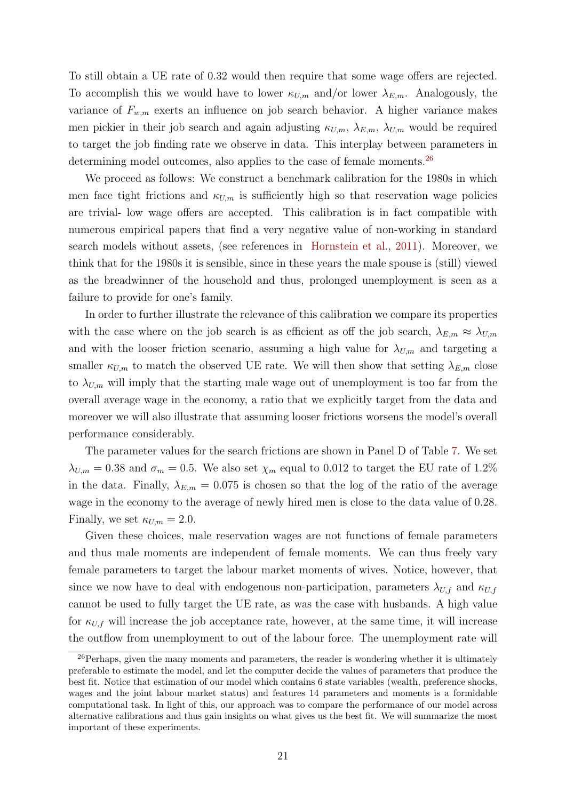To still obtain a UE rate of 0.32 would then require that some wage offers are rejected. To accomplish this we would have to lower  $\kappa_{U,m}$  and/or lower  $\lambda_{E,m}$ . Analogously, the variance of  $F_{w,m}$  exerts an influence on job search behavior. A higher variance makes men pickier in their job search and again adjusting  $\kappa_{U,m}$ ,  $\lambda_{E,m}$ ,  $\lambda_{U,m}$  would be required to target the job finding rate we observe in data. This interplay between parameters in determining model outcomes, also applies to the case of female moments.<sup>[26](#page-21-0)</sup>

We proceed as follows: We construct a benchmark calibration for the 1980s in which men face tight frictions and  $\kappa_{U,m}$  is sufficiently high so that reservation wage policies are trivial- low wage offers are accepted. This calibration is in fact compatible with numerous empirical papers that find a very negative value of non-working in standard search models without assets, (see references in [Hornstein et al.,](#page-44-0) [2011\)](#page-44-0). Moreover, we think that for the 1980s it is sensible, since in these years the male spouse is (still) viewed as the breadwinner of the household and thus, prolonged unemployment is seen as a failure to provide for one's family.

In order to further illustrate the relevance of this calibration we compare its properties with the case where on the job search is as efficient as off the job search,  $\lambda_{E,m} \approx \lambda_{U,m}$ and with the looser friction scenario, assuming a high value for  $\lambda_{U,m}$  and targeting a smaller  $\kappa_{U,m}$  to match the observed UE rate. We will then show that setting  $\lambda_{E,m}$  close to  $\lambda_{U,m}$  will imply that the starting male wage out of unemployment is too far from the overall average wage in the economy, a ratio that we explicitly target from the data and moreover we will also illustrate that assuming looser frictions worsens the model's overall performance considerably.

The parameter values for the search frictions are shown in Panel D of Table [7.](#page-22-0) We set  $\lambda_{U,m} = 0.38$  and  $\sigma_m = 0.5$ . We also set  $\chi_m$  equal to 0.012 to target the EU rate of 1.2% in the data. Finally,  $\lambda_{E,m} = 0.075$  is chosen so that the log of the ratio of the average wage in the economy to the average of newly hired men is close to the data value of 0.28. Finally, we set  $\kappa_{U,m} = 2.0$ .

Given these choices, male reservation wages are not functions of female parameters and thus male moments are independent of female moments. We can thus freely vary female parameters to target the labour market moments of wives. Notice, however, that since we now have to deal with endogenous non-participation, parameters  $\lambda_{U,f}$  and  $\kappa_{U,f}$ cannot be used to fully target the UE rate, as was the case with husbands. A high value for  $\kappa_{U,f}$  will increase the job acceptance rate, however, at the same time, it will increase the outflow from unemployment to out of the labour force. The unemployment rate will

<span id="page-21-0"></span><sup>&</sup>lt;sup>26</sup>Perhaps, given the many moments and parameters, the reader is wondering whether it is ultimately preferable to estimate the model, and let the computer decide the values of parameters that produce the best fit. Notice that estimation of our model which contains 6 state variables (wealth, preference shocks, wages and the joint labour market status) and features 14 parameters and moments is a formidable computational task. In light of this, our approach was to compare the performance of our model across alternative calibrations and thus gain insights on what gives us the best fit. We will summarize the most important of these experiments.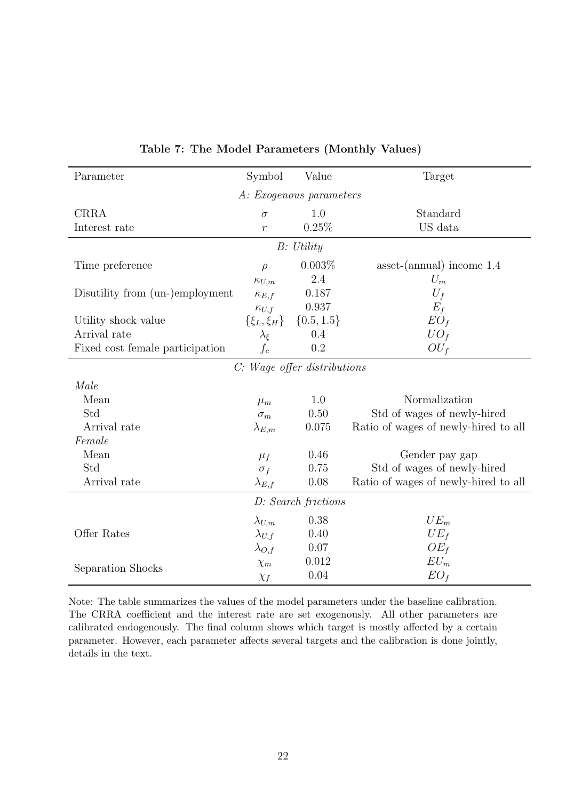<span id="page-22-0"></span>

| Parameter                       | Symbol            | Value                   | Target                               |  |  |  |  |  |
|---------------------------------|-------------------|-------------------------|--------------------------------------|--|--|--|--|--|
|                                 |                   | A: Exogenous parameters |                                      |  |  |  |  |  |
| <b>CRRA</b>                     | $\sigma$          | 1.0                     | Standard                             |  |  |  |  |  |
| Interest rate                   | $\boldsymbol{r}$  | 0.25%                   | US data                              |  |  |  |  |  |
| B: Utility                      |                   |                         |                                      |  |  |  |  |  |
| Time preference                 | $\rho$            | 0.003%                  | $asset-(annual)$ income $1.4$        |  |  |  |  |  |
|                                 | $\kappa_{U,m}$    | 2.4                     | $U_m$                                |  |  |  |  |  |
| Disutility from (un-)employment | $\kappa_{E,f}$    | 0.187                   | $U_f$                                |  |  |  |  |  |
|                                 | $\kappa_{U,f}$    | 0.937                   | $E_f$                                |  |  |  |  |  |
| Utility shock value             | $\{\xi_L,\xi_H\}$ | $\{0.5, 1.5\}$          | $EO_{f}$                             |  |  |  |  |  |
| Arrival rate                    | $\lambda_{\xi}$   | 0.4                     | $UO_f$                               |  |  |  |  |  |
| Fixed cost female participation | $f_c$             | 0.2                     | $OU_f$                               |  |  |  |  |  |
| C: Wage offer distributions     |                   |                         |                                      |  |  |  |  |  |
| Male                            |                   |                         |                                      |  |  |  |  |  |
| Mean                            | $\mu_m$           | 1.0                     | Normalization                        |  |  |  |  |  |
| Std                             | $\sigma_m$        | $0.50\,$                | Std of wages of newly-hired          |  |  |  |  |  |
| Arrival rate                    | $\lambda_{E,m}$   | 0.075                   | Ratio of wages of newly-hired to all |  |  |  |  |  |
| Female                          |                   |                         |                                      |  |  |  |  |  |
| Mean                            | $\mu_f$           | 0.46                    | Gender pay gap                       |  |  |  |  |  |
| Std                             | $\sigma_f$        | 0.75                    | Std of wages of newly-hired          |  |  |  |  |  |
| Arrival rate                    | $\lambda_{E,f}$   | 0.08                    | Ratio of wages of newly-hired to all |  |  |  |  |  |
|                                 |                   | D: Search frictions     |                                      |  |  |  |  |  |
|                                 | $\lambda_{U,m}$   | 0.38                    | $UE_m$                               |  |  |  |  |  |
| Offer Rates                     | $\lambda_{U,f}$   | 0.40                    | $UE_f$                               |  |  |  |  |  |
|                                 | $\lambda_{O,f}$   | 0.07                    | $OE_f$                               |  |  |  |  |  |
|                                 | $\chi_m$          | 0.012                   | $EU_m$                               |  |  |  |  |  |
| Separation Shocks               | $\chi_f$          | 0.04                    | $EO_f$                               |  |  |  |  |  |

Table 7: The Model Parameters (Monthly Values)

Note: The table summarizes the values of the model parameters under the baseline calibration. The CRRA coefficient and the interest rate are set exogenously. All other parameters are calibrated endogenously. The final column shows which target is mostly affected by a certain parameter. However, each parameter affects several targets and the calibration is done jointly, details in the text.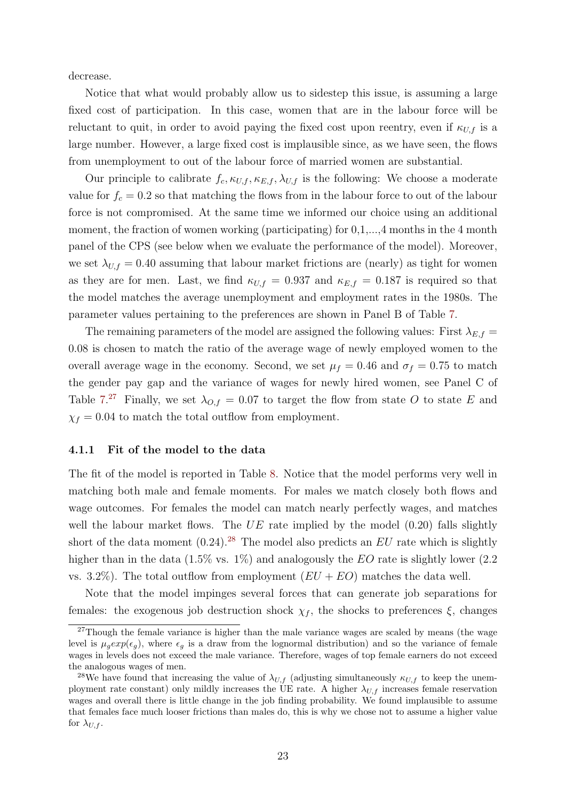decrease.

Notice that what would probably allow us to sidestep this issue, is assuming a large fixed cost of participation. In this case, women that are in the labour force will be reluctant to quit, in order to avoid paying the fixed cost upon reentry, even if  $\kappa_{U,f}$  is a large number. However, a large fixed cost is implausible since, as we have seen, the flows from unemployment to out of the labour force of married women are substantial.

Our principle to calibrate  $f_c$ ,  $\kappa_{U,f}$ ,  $\kappa_{E,f}$ ,  $\lambda_{U,f}$  is the following: We choose a moderate value for  $f_c = 0.2$  so that matching the flows from in the labour force to out of the labour force is not compromised. At the same time we informed our choice using an additional moment, the fraction of women working (participating) for  $0,1,...,4$  months in the 4 month panel of the CPS (see below when we evaluate the performance of the model). Moreover, we set  $\lambda_{U,f} = 0.40$  assuming that labour market frictions are (nearly) as tight for women as they are for men. Last, we find  $\kappa_{U,f} = 0.937$  and  $\kappa_{E,f} = 0.187$  is required so that the model matches the average unemployment and employment rates in the 1980s. The parameter values pertaining to the preferences are shown in Panel B of Table [7.](#page-22-0)

The remaining parameters of the model are assigned the following values: First  $\lambda_{E,f}$  = 0.08 is chosen to match the ratio of the average wage of newly employed women to the overall average wage in the economy. Second, we set  $\mu_f = 0.46$  and  $\sigma_f = 0.75$  to match the gender pay gap and the variance of wages for newly hired women, see Panel C of Table [7.](#page-22-0)<sup>[27](#page-23-0)</sup> Finally, we set  $\lambda_{O,f} = 0.07$  to target the flow from state O to state E and  $\chi_f = 0.04$  to match the total outflow from employment.

#### 4.1.1 Fit of the model to the data

The fit of the model is reported in Table [8.](#page-24-0) Notice that the model performs very well in matching both male and female moments. For males we match closely both flows and wage outcomes. For females the model can match nearly perfectly wages, and matches well the labour market flows. The  $UE$  rate implied by the model  $(0.20)$  falls slightly short of the data moment  $(0.24)$ .<sup>[28](#page-23-1)</sup> The model also predicts an EU rate which is slightly higher than in the data  $(1.5\% \text{ vs. } 1\%)$  and analogously the EO rate is slightly lower  $(2.2)$ vs. 3.2%). The total outflow from employment  $(EU + EO)$  matches the data well.

Note that the model impinges several forces that can generate job separations for females: the exogenous job destruction shock  $\chi_f$ , the shocks to preferences  $\xi$ , changes

<span id="page-23-0"></span><sup>&</sup>lt;sup>27</sup>Though the female variance is higher than the male variance wages are scaled by means (the wage level is  $\mu_q exp(\epsilon_q)$ , where  $\epsilon_q$  is a draw from the lognormal distribution) and so the variance of female wages in levels does not exceed the male variance. Therefore, wages of top female earners do not exceed the analogous wages of men.

<span id="page-23-1"></span><sup>&</sup>lt;sup>28</sup>We have found that increasing the value of  $\lambda_{U,f}$  (adjusting simultaneously  $\kappa_{U,f}$  to keep the unemployment rate constant) only mildly increases the UE rate. A higher  $\lambda_{U,f}$  increases female reservation wages and overall there is little change in the job finding probability. We found implausible to assume that females face much looser frictions than males do, this is why we chose not to assume a higher value for  $\lambda_{U,f}$ .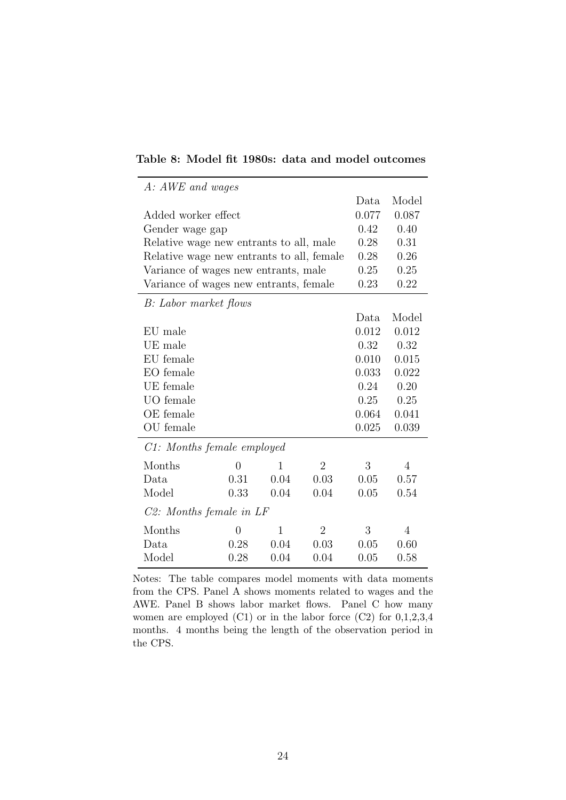|                                           | A: AWE and wages |              |                |       |                |  |  |  |  |
|-------------------------------------------|------------------|--------------|----------------|-------|----------------|--|--|--|--|
|                                           |                  |              |                | Data  | Model          |  |  |  |  |
| Added worker effect                       |                  |              |                | 0.077 | 0.087          |  |  |  |  |
| Gender wage gap                           |                  |              |                | 0.42  | 0.40           |  |  |  |  |
| Relative wage new entrants to all, male   |                  |              |                | 0.28  | 0.31           |  |  |  |  |
| Relative wage new entrants to all, female |                  |              |                | 0.28  | 0.26           |  |  |  |  |
| Variance of wages new entrants, male      |                  |              |                | 0.25  | 0.25           |  |  |  |  |
| Variance of wages new entrants, female    |                  |              |                | 0.23  | 0.22           |  |  |  |  |
| B: Labor market flows                     |                  |              |                |       |                |  |  |  |  |
|                                           |                  |              |                | Data  | Model          |  |  |  |  |
| EU male                                   |                  |              |                | 0.012 | 0.012          |  |  |  |  |
| UE male                                   |                  |              |                | 0.32  | 0.32           |  |  |  |  |
| EU female                                 |                  |              |                | 0.010 | 0.015          |  |  |  |  |
| EO female                                 |                  |              |                | 0.033 | 0.022          |  |  |  |  |
| UE female                                 |                  |              |                | 0.24  | 0.20           |  |  |  |  |
| UO female                                 |                  |              |                | 0.25  | 0.25           |  |  |  |  |
| OE female                                 |                  |              |                | 0.064 | 0.041          |  |  |  |  |
| OU female                                 |                  |              |                | 0.025 | 0.039          |  |  |  |  |
| C1: Months female employed                |                  |              |                |       |                |  |  |  |  |
| Months                                    | $\overline{0}$   | 1            | $\overline{2}$ | 3     | 4              |  |  |  |  |
| Data                                      | 0.31             | 0.04         | 0.03           | 0.05  | 0.57           |  |  |  |  |
| Model                                     | 0.33             | 0.04         | 0.04           | 0.05  | 0.54           |  |  |  |  |
| C2: Months female in LF                   |                  |              |                |       |                |  |  |  |  |
| Months                                    | $\overline{0}$   | $\mathbf{1}$ | $\overline{2}$ | 3     | $\overline{4}$ |  |  |  |  |
| Data                                      | 0.28             | 0.04         | 0.03           | 0.05  | 0.60           |  |  |  |  |
| Model                                     | 0.28             | 0.04         | 0.04           | 0.05  | 0.58           |  |  |  |  |

### <span id="page-24-0"></span>Table 8: Model fit 1980s: data and model outcomes

Notes: The table compares model moments with data moments from the CPS. Panel A shows moments related to wages and the AWE. Panel B shows labor market flows. Panel C how many women are employed (C1) or in the labor force (C2) for 0,1,2,3,4 months. 4 months being the length of the observation period in the CPS.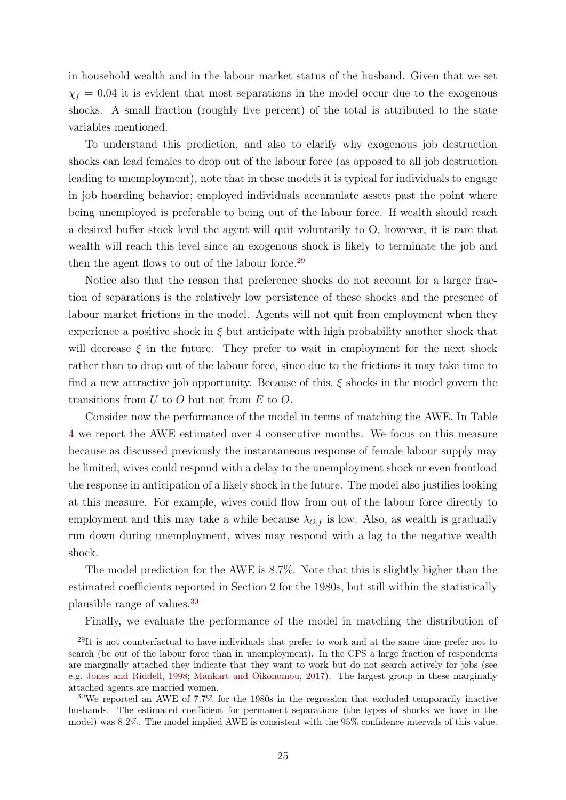in household wealth and in the labour market status of the husband. Given that we set  $\chi_f = 0.04$  it is evident that most separations in the model occur due to the exogenous shocks. A small fraction (roughly five percent) of the total is attributed to the state variables mentioned.

To understand this prediction, and also to clarify why exogenous job destruction shocks can lead females to drop out of the labour force (as opposed to all job destruction leading to unemployment), note that in these models it is typical for individuals to engage in job hoarding behavior; employed individuals accumulate assets past the point where being unemployed is preferable to being out of the labour force. If wealth should reach a desired buffer stock level the agent will quit voluntarily to O, however, it is rare that wealth will reach this level since an exogenous shock is likely to terminate the job and then the agent flows to out of the labour force.<sup>[29](#page-25-0)</sup>

Notice also that the reason that preference shocks do not account for a larger fraction of separations is the relatively low persistence of these shocks and the presence of labour market frictions in the model. Agents will not quit from employment when they experience a positive shock in  $\xi$  but anticipate with high probability another shock that will decrease  $\xi$  in the future. They prefer to wait in employment for the next shock rather than to drop out of the labour force, since due to the frictions it may take time to find a new attractive job opportunity. Because of this, ξ shocks in the model govern the transitions from  $U$  to  $O$  but not from  $E$  to  $O$ .

Consider now the performance of the model in terms of matching the AWE. In Table [4](#page-10-0) we report the AWE estimated over 4 consecutive months. We focus on this measure because as discussed previously the instantaneous response of female labour supply may be limited, wives could respond with a delay to the unemployment shock or even frontload the response in anticipation of a likely shock in the future. The model also justifies looking at this measure. For example, wives could flow from out of the labour force directly to employment and this may take a while because  $\lambda_{O,f}$  is low. Also, as wealth is gradually run down during unemployment, wives may respond with a lag to the negative wealth shock.

The model prediction for the AWE is 8.7%. Note that this is slightly higher than the estimated coefficients reported in Section 2 for the 1980s, but still within the statistically plausible range of values.[30](#page-25-1)

<span id="page-25-0"></span>Finally, we evaluate the performance of the model in matching the distribution of

 $^{29}$ It is not counterfactual to have individuals that prefer to work and at the same time prefer not to search (be out of the labour force than in unemployment). In the CPS a large fraction of respondents are marginally attached they indicate that they want to work but do not search actively for jobs (see e.g. [Jones and Riddell,](#page-44-12) [1998;](#page-44-12) [Mankart and Oikonomou,](#page-44-2) [2017\)](#page-44-2). The largest group in these marginally attached agents are married women.

<span id="page-25-1"></span><sup>&</sup>lt;sup>30</sup>We reported an AWE of 7.7% for the 1980s in the regression that excluded temporarily inactive husbands. The estimated coefficient for permanent separations (the types of shocks we have in the model) was 8.2%. The model implied AWE is consistent with the 95% confidence intervals of this value.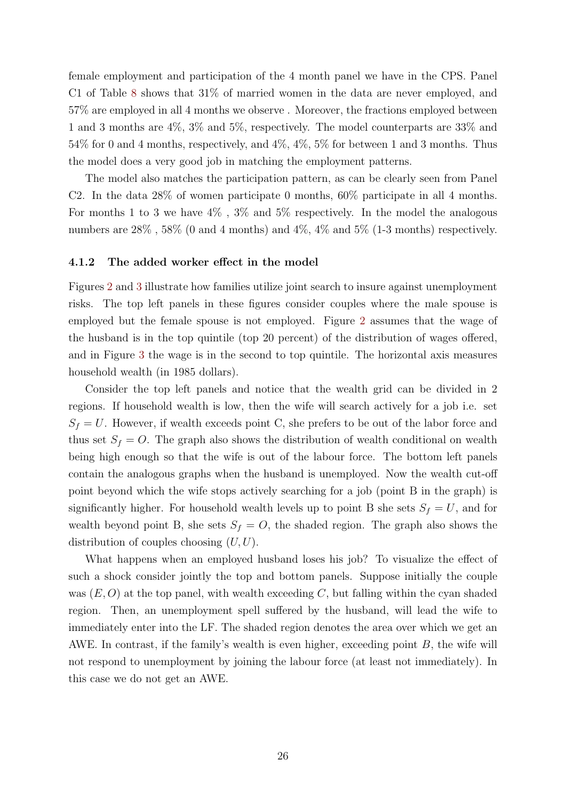female employment and participation of the 4 month panel we have in the CPS. Panel C1 of Table [8](#page-24-0) shows that 31% of married women in the data are never employed, and 57% are employed in all 4 months we observe . Moreover, the fractions employed between 1 and 3 months are 4%, 3% and 5%, respectively. The model counterparts are 33% and 54% for 0 and 4 months, respectively, and 4%, 4%, 5% for between 1 and 3 months. Thus the model does a very good job in matching the employment patterns.

The model also matches the participation pattern, as can be clearly seen from Panel C2. In the data  $28\%$  of women participate 0 months,  $60\%$  participate in all 4 months. For months 1 to 3 we have  $4\%$ ,  $3\%$  and  $5\%$  respectively. In the model the analogous numbers are  $28\%$ ,  $58\%$  (0 and 4 months) and  $4\%$ ,  $4\%$  and  $5\%$  (1-3 months) respectively.

#### 4.1.2 The added worker effect in the model

Figures [2](#page-27-0) and [3](#page-29-0) illustrate how families utilize joint search to insure against unemployment risks. The top left panels in these figures consider couples where the male spouse is employed but the female spouse is not employed. Figure [2](#page-27-0) assumes that the wage of the husband is in the top quintile (top 20 percent) of the distribution of wages offered, and in Figure [3](#page-29-0) the wage is in the second to top quintile. The horizontal axis measures household wealth (in 1985 dollars).

Consider the top left panels and notice that the wealth grid can be divided in 2 regions. If household wealth is low, then the wife will search actively for a job i.e. set  $S_f = U$ . However, if wealth exceeds point C, she prefers to be out of the labor force and thus set  $S_f = O$ . The graph also shows the distribution of wealth conditional on wealth being high enough so that the wife is out of the labour force. The bottom left panels contain the analogous graphs when the husband is unemployed. Now the wealth cut-off point beyond which the wife stops actively searching for a job (point B in the graph) is significantly higher. For household wealth levels up to point B she sets  $S_f = U$ , and for wealth beyond point B, she sets  $S_f = O$ , the shaded region. The graph also shows the distribution of couples choosing  $(U, U)$ .

What happens when an employed husband loses his job? To visualize the effect of such a shock consider jointly the top and bottom panels. Suppose initially the couple was  $(E, O)$  at the top panel, with wealth exceeding C, but falling within the cyan shaded region. Then, an unemployment spell suffered by the husband, will lead the wife to immediately enter into the LF. The shaded region denotes the area over which we get an AWE. In contrast, if the family's wealth is even higher, exceeding point  $B$ , the wife will not respond to unemployment by joining the labour force (at least not immediately). In this case we do not get an AWE.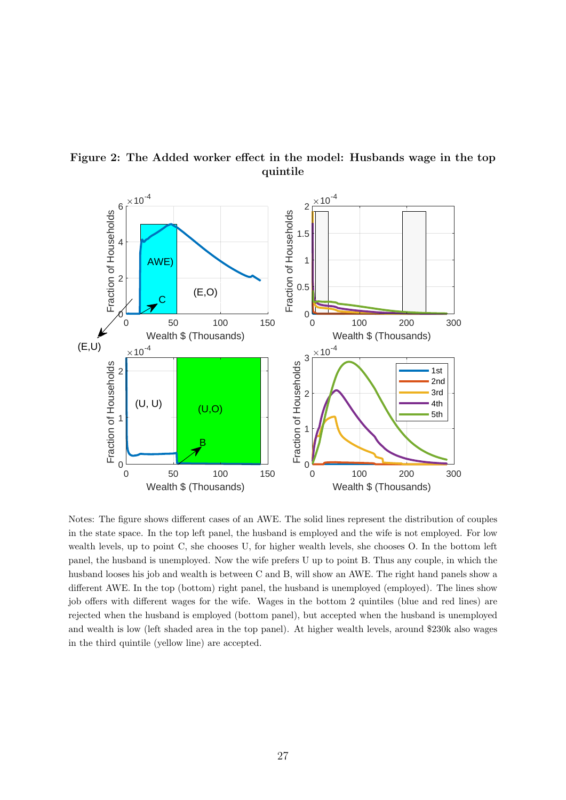<span id="page-27-0"></span>

Figure 2: The Added worker effect in the model: Husbands wage in the top quintile

Notes: The figure shows different cases of an AWE. The solid lines represent the distribution of couples in the state space. In the top left panel, the husband is employed and the wife is not employed. For low wealth levels, up to point C, she chooses U, for higher wealth levels, she chooses O. In the bottom left panel, the husband is unemployed. Now the wife prefers U up to point B. Thus any couple, in which the husband looses his job and wealth is between C and B, will show an AWE. The right hand panels show a different AWE. In the top (bottom) right panel, the husband is unemployed (employed). The lines show job offers with different wages for the wife. Wages in the bottom 2 quintiles (blue and red lines) are rejected when the husband is employed (bottom panel), but accepted when the husband is unemployed and wealth is low (left shaded area in the top panel). At higher wealth levels, around \$230k also wages in the third quintile (yellow line) are accepted.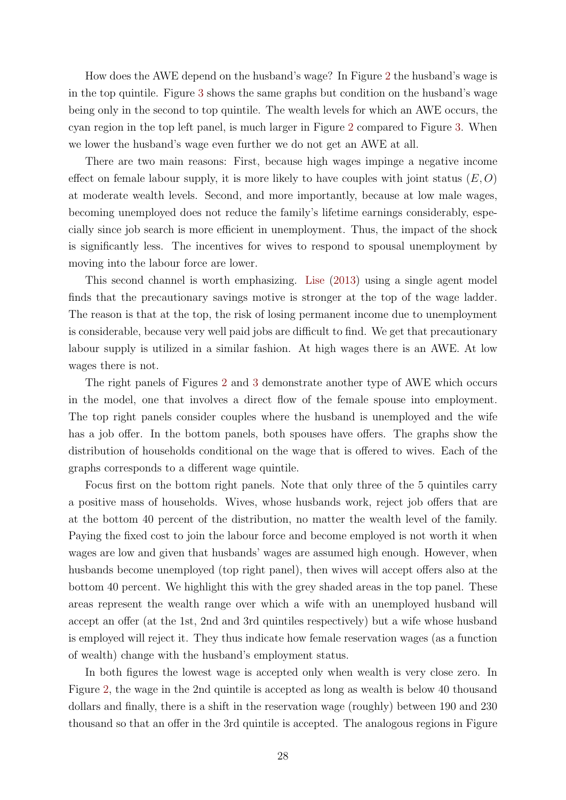How does the AWE depend on the husband's wage? In Figure [2](#page-27-0) the husband's wage is in the top quintile. Figure [3](#page-29-0) shows the same graphs but condition on the husband's wage being only in the second to top quintile. The wealth levels for which an AWE occurs, the cyan region in the top left panel, is much larger in Figure [2](#page-27-0) compared to Figure [3.](#page-29-0) When we lower the husband's wage even further we do not get an AWE at all.

There are two main reasons: First, because high wages impinge a negative income effect on female labour supply, it is more likely to have couples with joint status  $(E, O)$ at moderate wealth levels. Second, and more importantly, because at low male wages, becoming unemployed does not reduce the family's lifetime earnings considerably, especially since job search is more efficient in unemployment. Thus, the impact of the shock is significantly less. The incentives for wives to respond to spousal unemployment by moving into the labour force are lower.

This second channel is worth emphasizing. [Lise](#page-44-1) [\(2013\)](#page-44-1) using a single agent model finds that the precautionary savings motive is stronger at the top of the wage ladder. The reason is that at the top, the risk of losing permanent income due to unemployment is considerable, because very well paid jobs are difficult to find. We get that precautionary labour supply is utilized in a similar fashion. At high wages there is an AWE. At low wages there is not.

The right panels of Figures [2](#page-27-0) and [3](#page-29-0) demonstrate another type of AWE which occurs in the model, one that involves a direct flow of the female spouse into employment. The top right panels consider couples where the husband is unemployed and the wife has a job offer. In the bottom panels, both spouses have offers. The graphs show the distribution of households conditional on the wage that is offered to wives. Each of the graphs corresponds to a different wage quintile.

Focus first on the bottom right panels. Note that only three of the 5 quintiles carry a positive mass of households. Wives, whose husbands work, reject job offers that are at the bottom 40 percent of the distribution, no matter the wealth level of the family. Paying the fixed cost to join the labour force and become employed is not worth it when wages are low and given that husbands' wages are assumed high enough. However, when husbands become unemployed (top right panel), then wives will accept offers also at the bottom 40 percent. We highlight this with the grey shaded areas in the top panel. These areas represent the wealth range over which a wife with an unemployed husband will accept an offer (at the 1st, 2nd and 3rd quintiles respectively) but a wife whose husband is employed will reject it. They thus indicate how female reservation wages (as a function of wealth) change with the husband's employment status.

In both figures the lowest wage is accepted only when wealth is very close zero. In Figure [2,](#page-27-0) the wage in the 2nd quintile is accepted as long as wealth is below 40 thousand dollars and finally, there is a shift in the reservation wage (roughly) between 190 and 230 thousand so that an offer in the 3rd quintile is accepted. The analogous regions in Figure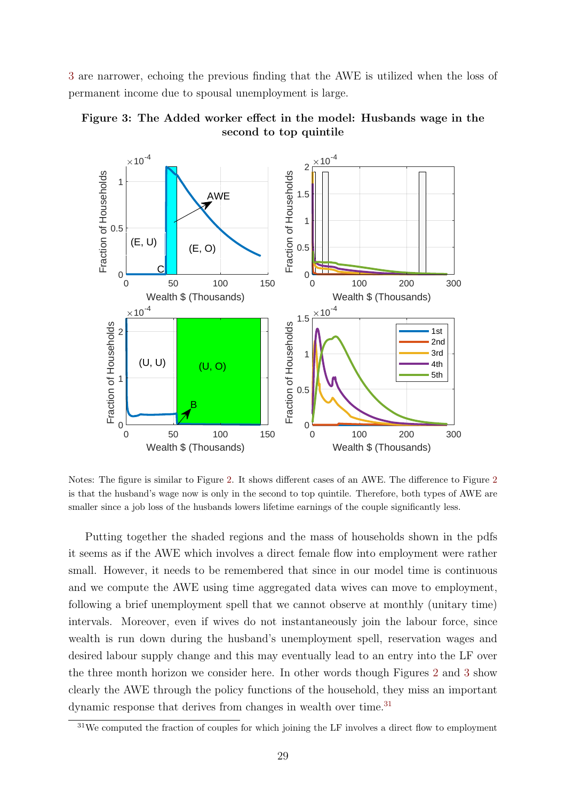[3](#page-29-0) are narrower, echoing the previous finding that the AWE is utilized when the loss of permanent income due to spousal unemployment is large.

<span id="page-29-0"></span>



Notes: The figure is similar to Figure [2.](#page-27-0) It shows different cases of an AWE. The difference to Figure [2](#page-27-0) is that the husband's wage now is only in the second to top quintile. Therefore, both types of AWE are smaller since a job loss of the husbands lowers lifetime earnings of the couple significantly less.

Putting together the shaded regions and the mass of households shown in the pdfs it seems as if the AWE which involves a direct female flow into employment were rather small. However, it needs to be remembered that since in our model time is continuous and we compute the AWE using time aggregated data wives can move to employment, following a brief unemployment spell that we cannot observe at monthly (unitary time) intervals. Moreover, even if wives do not instantaneously join the labour force, since wealth is run down during the husband's unemployment spell, reservation wages and desired labour supply change and this may eventually lead to an entry into the LF over the three month horizon we consider here. In other words though Figures [2](#page-27-0) and [3](#page-29-0) show clearly the AWE through the policy functions of the household, they miss an important dynamic response that derives from changes in wealth over time.<sup>[31](#page-29-1)</sup>

<span id="page-29-1"></span> $31\text{We computed the fraction of couples for which joining the LF involves a direct flow to employment.}$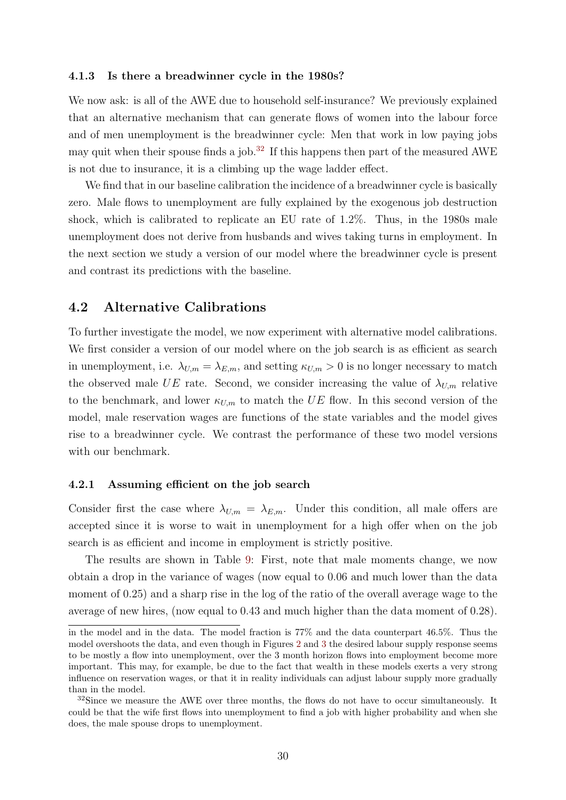#### 4.1.3 Is there a breadwinner cycle in the 1980s?

We now ask: is all of the AWE due to household self-insurance? We previously explained that an alternative mechanism that can generate flows of women into the labour force and of men unemployment is the breadwinner cycle: Men that work in low paying jobs may quit when their spouse finds a job.<sup>[32](#page-30-0)</sup> If this happens then part of the measured AWE is not due to insurance, it is a climbing up the wage ladder effect.

We find that in our baseline calibration the incidence of a breadwinner cycle is basically zero. Male flows to unemployment are fully explained by the exogenous job destruction shock, which is calibrated to replicate an EU rate of 1.2%. Thus, in the 1980s male unemployment does not derive from husbands and wives taking turns in employment. In the next section we study a version of our model where the breadwinner cycle is present and contrast its predictions with the baseline.

## 4.2 Alternative Calibrations

To further investigate the model, we now experiment with alternative model calibrations. We first consider a version of our model where on the job search is as efficient as search in unemployment, i.e.  $\lambda_{U,m} = \lambda_{E,m}$ , and setting  $\kappa_{U,m} > 0$  is no longer necessary to match the observed male UE rate. Second, we consider increasing the value of  $\lambda_{U,m}$  relative to the benchmark, and lower  $\kappa_{U,m}$  to match the UE flow. In this second version of the model, male reservation wages are functions of the state variables and the model gives rise to a breadwinner cycle. We contrast the performance of these two model versions with our benchmark.

#### 4.2.1 Assuming efficient on the job search

Consider first the case where  $\lambda_{U,m} = \lambda_{E,m}$ . Under this condition, all male offers are accepted since it is worse to wait in unemployment for a high offer when on the job search is as efficient and income in employment is strictly positive.

The results are shown in Table [9:](#page-31-0) First, note that male moments change, we now obtain a drop in the variance of wages (now equal to 0.06 and much lower than the data moment of 0.25) and a sharp rise in the log of the ratio of the overall average wage to the average of new hires, (now equal to 0.43 and much higher than the data moment of 0.28).

in the model and in the data. The model fraction is 77% and the data counterpart 46.5%. Thus the model overshoots the data, and even though in Figures [2](#page-27-0) and [3](#page-29-0) the desired labour supply response seems to be mostly a flow into unemployment, over the 3 month horizon flows into employment become more important. This may, for example, be due to the fact that wealth in these models exerts a very strong influence on reservation wages, or that it in reality individuals can adjust labour supply more gradually than in the model.

<span id="page-30-0"></span> $32\text{Since we measure the AWE over three months, the flows do not have to occur simultaneously. It$ could be that the wife first flows into unemployment to find a job with higher probability and when she does, the male spouse drops to unemployment.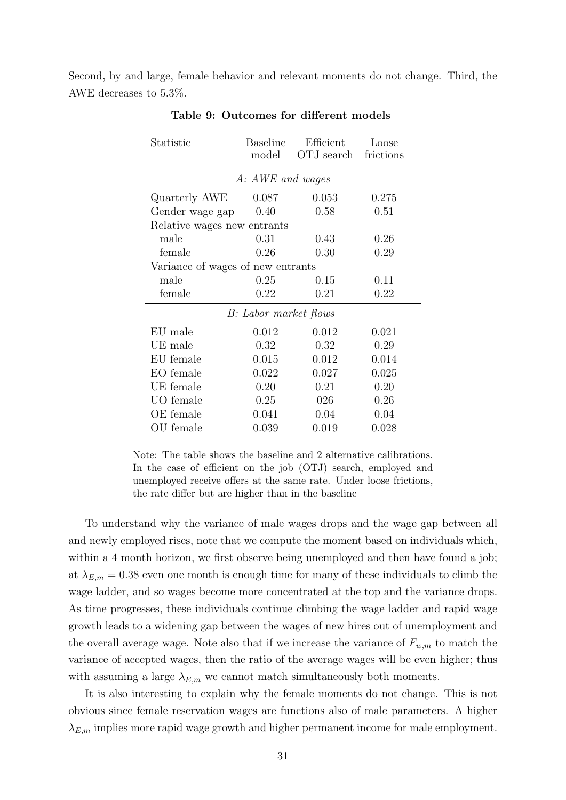<span id="page-31-0"></span>Second, by and large, female behavior and relevant moments do not change. Third, the AWE decreases to 5.3%.

| Statistic                         | <b>Baseline</b><br>model | Efficient<br>OTJ search | Loose<br>frictions |  |  |  |  |  |
|-----------------------------------|--------------------------|-------------------------|--------------------|--|--|--|--|--|
| A: AWE and wages                  |                          |                         |                    |  |  |  |  |  |
| Quarterly AWE                     | 0.087                    | 0.053                   | 0.275              |  |  |  |  |  |
| Gender wage gap                   | 0.40                     | 0.58                    | 0.51               |  |  |  |  |  |
| Relative wages new entrants       |                          |                         |                    |  |  |  |  |  |
| male                              | 0.31                     | 0.43                    | 0.26               |  |  |  |  |  |
| female                            | 0.26                     | 0.30                    | 0.29               |  |  |  |  |  |
| Variance of wages of new entrants |                          |                         |                    |  |  |  |  |  |
| male                              | 0.25                     | 0.15                    | 0.11               |  |  |  |  |  |
| female                            | 0.22                     | 0.21                    | 0.22               |  |  |  |  |  |
|                                   | B: Labor market flows    |                         |                    |  |  |  |  |  |
| EU male                           | 0.012                    | 0.012                   | 0.021              |  |  |  |  |  |
| UE male                           | 0.32                     | 0.32                    | 0.29               |  |  |  |  |  |
| EU female                         | 0.015                    | 0.012                   | 0.014              |  |  |  |  |  |
| EO female                         | 0.022                    | 0.027                   | 0.025              |  |  |  |  |  |
| UE female                         | 0.20                     | 0.21                    | 0.20               |  |  |  |  |  |
| UO female                         | 0.25                     | 026                     | 0.26               |  |  |  |  |  |
| OE female                         | 0.041                    | 0.04                    | 0.04               |  |  |  |  |  |
| OU female                         | 0.039                    | 0.019                   | 0.028              |  |  |  |  |  |

Table 9: Outcomes for different models

Note: The table shows the baseline and 2 alternative calibrations. In the case of efficient on the job (OTJ) search, employed and unemployed receive offers at the same rate. Under loose frictions, the rate differ but are higher than in the baseline

To understand why the variance of male wages drops and the wage gap between all and newly employed rises, note that we compute the moment based on individuals which, within a 4 month horizon, we first observe being unemployed and then have found a job; at  $\lambda_{E,m} = 0.38$  even one month is enough time for many of these individuals to climb the wage ladder, and so wages become more concentrated at the top and the variance drops. As time progresses, these individuals continue climbing the wage ladder and rapid wage growth leads to a widening gap between the wages of new hires out of unemployment and the overall average wage. Note also that if we increase the variance of  $F_{w,m}$  to match the variance of accepted wages, then the ratio of the average wages will be even higher; thus with assuming a large  $\lambda_{E,m}$  we cannot match simultaneously both moments.

It is also interesting to explain why the female moments do not change. This is not obvious since female reservation wages are functions also of male parameters. A higher  $\lambda_{E,m}$  implies more rapid wage growth and higher permanent income for male employment.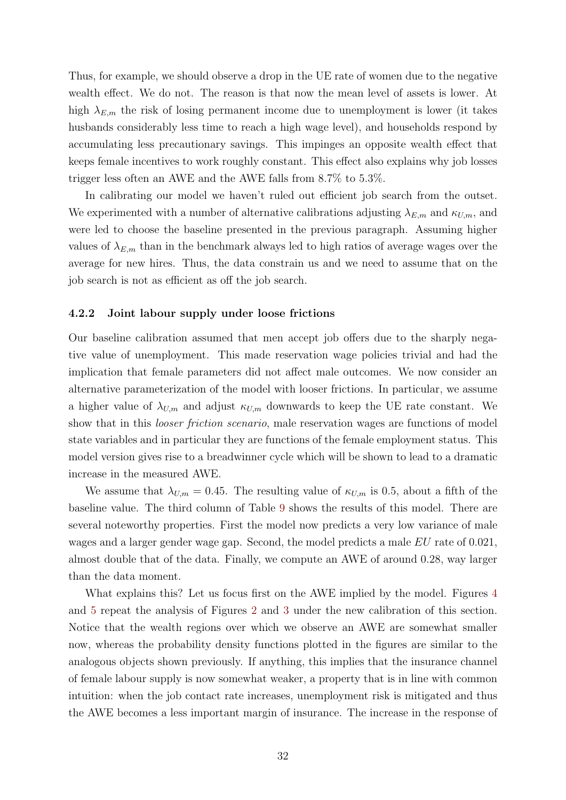Thus, for example, we should observe a drop in the UE rate of women due to the negative wealth effect. We do not. The reason is that now the mean level of assets is lower. At high  $\lambda_{E,m}$  the risk of losing permanent income due to unemployment is lower (it takes husbands considerably less time to reach a high wage level), and households respond by accumulating less precautionary savings. This impinges an opposite wealth effect that keeps female incentives to work roughly constant. This effect also explains why job losses trigger less often an AWE and the AWE falls from 8.7% to 5.3%.

In calibrating our model we haven't ruled out efficient job search from the outset. We experimented with a number of alternative calibrations adjusting  $\lambda_{E,m}$  and  $\kappa_{U,m}$ , and were led to choose the baseline presented in the previous paragraph. Assuming higher values of  $\lambda_{E,m}$  than in the benchmark always led to high ratios of average wages over the average for new hires. Thus, the data constrain us and we need to assume that on the job search is not as efficient as off the job search.

#### <span id="page-32-0"></span>4.2.2 Joint labour supply under loose frictions

Our baseline calibration assumed that men accept job offers due to the sharply negative value of unemployment. This made reservation wage policies trivial and had the implication that female parameters did not affect male outcomes. We now consider an alternative parameterization of the model with looser frictions. In particular, we assume a higher value of  $\lambda_{U,m}$  and adjust  $\kappa_{U,m}$  downwards to keep the UE rate constant. We show that in this *looser friction scenario*, male reservation wages are functions of model state variables and in particular they are functions of the female employment status. This model version gives rise to a breadwinner cycle which will be shown to lead to a dramatic increase in the measured AWE.

We assume that  $\lambda_{U,m} = 0.45$ . The resulting value of  $\kappa_{U,m}$  is 0.5, about a fifth of the baseline value. The third column of Table [9](#page-31-0) shows the results of this model. There are several noteworthy properties. First the model now predicts a very low variance of male wages and a larger gender wage gap. Second, the model predicts a male EU rate of 0.021, almost double that of the data. Finally, we compute an AWE of around 0.28, way larger than the data moment.

What explains this? Let us focus first on the AWE implied by the model. Figures [4](#page-33-0) and [5](#page-34-0) repeat the analysis of Figures [2](#page-27-0) and [3](#page-29-0) under the new calibration of this section. Notice that the wealth regions over which we observe an AWE are somewhat smaller now, whereas the probability density functions plotted in the figures are similar to the analogous objects shown previously. If anything, this implies that the insurance channel of female labour supply is now somewhat weaker, a property that is in line with common intuition: when the job contact rate increases, unemployment risk is mitigated and thus the AWE becomes a less important margin of insurance. The increase in the response of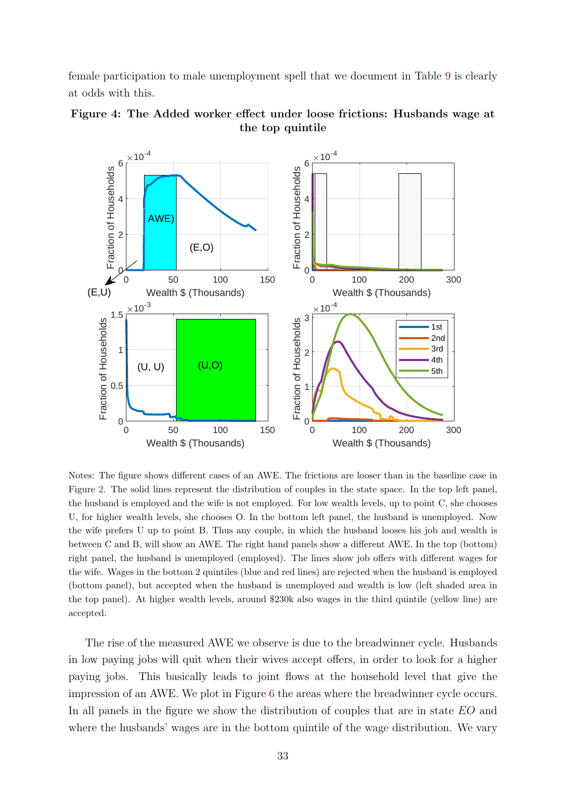female participation to male unemployment spell that we document in Table [9](#page-31-0) is clearly at odds with this.

<span id="page-33-0"></span>



Notes: The figure shows different cases of an AWE. The frictions are looser than in the baseline case in Figure [2.](#page-27-0) The solid lines represent the distribution of couples in the state space. In the top left panel, the husband is employed and the wife is not employed. For low wealth levels, up to point C, she chooses U, for higher wealth levels, she chooses O. In the bottom left panel, the husband is unemployed. Now the wife prefers U up to point B. Thus any couple, in which the husband looses his job and wealth is between C and B, will show an AWE. The right hand panels show a different AWE. In the top (bottom) right panel, the husband is unemployed (employed). The lines show job offers with different wages for the wife. Wages in the bottom 2 quintiles (blue and red lines) are rejected when the husband is employed (bottom panel), but accepted when the husband is unemployed and wealth is low (left shaded area in the top panel). At higher wealth levels, around \$230k also wages in the third quintile (yellow line) are accepted.

The rise of the measured AWE we observe is due to the breadwinner cycle. Husbands in low paying jobs will quit when their wives accept offers, in order to look for a higher paying jobs. This basically leads to joint flows at the household level that give the impression of an AWE. We plot in Figure [6](#page-35-0) the areas where the breadwinner cycle occurs. In all panels in the figure we show the distribution of couples that are in state EO and where the husbands' wages are in the bottom quintile of the wage distribution. We vary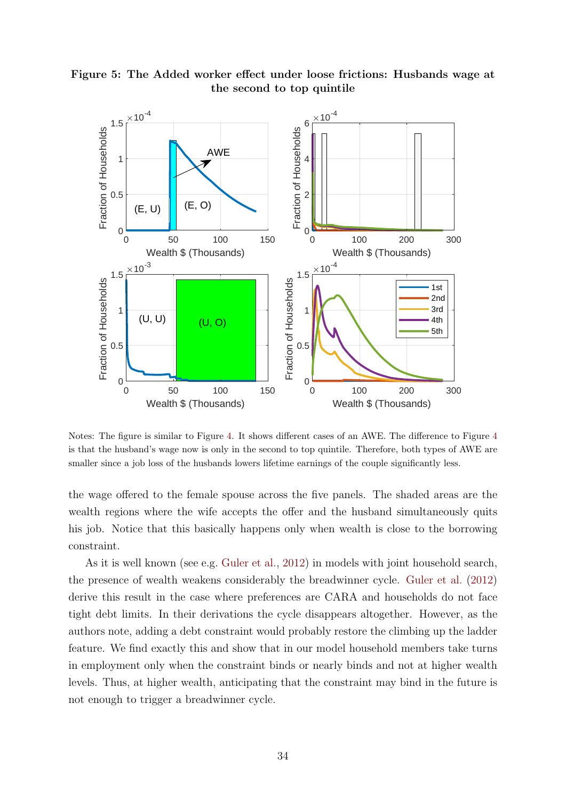<span id="page-34-0"></span>

Figure 5: The Added worker effect under loose frictions: Husbands wage at the second to top quintile

Notes: The figure is similar to Figure [4.](#page-33-0) It shows different cases of an AWE. The difference to Figure [4](#page-33-0) is that the husband's wage now is only in the second to top quintile. Therefore, both types of AWE are smaller since a job loss of the husbands lowers lifetime earnings of the couple significantly less.

the wage offered to the female spouse across the five panels. The shaded areas are the wealth regions where the wife accepts the offer and the husband simultaneously quits his job. Notice that this basically happens only when wealth is close to the borrowing constraint.

As it is well known (see e.g. [Guler et al.,](#page-43-4) [2012\)](#page-43-4) in models with joint household search, the presence of wealth weakens considerably the breadwinner cycle. [Guler et al.](#page-43-4) [\(2012\)](#page-43-4) derive this result in the case where preferences are CARA and households do not face tight debt limits. In their derivations the cycle disappears altogether. However, as the authors note, adding a debt constraint would probably restore the climbing up the ladder feature. We find exactly this and show that in our model household members take turns in employment only when the constraint binds or nearly binds and not at higher wealth levels. Thus, at higher wealth, anticipating that the constraint may bind in the future is not enough to trigger a breadwinner cycle.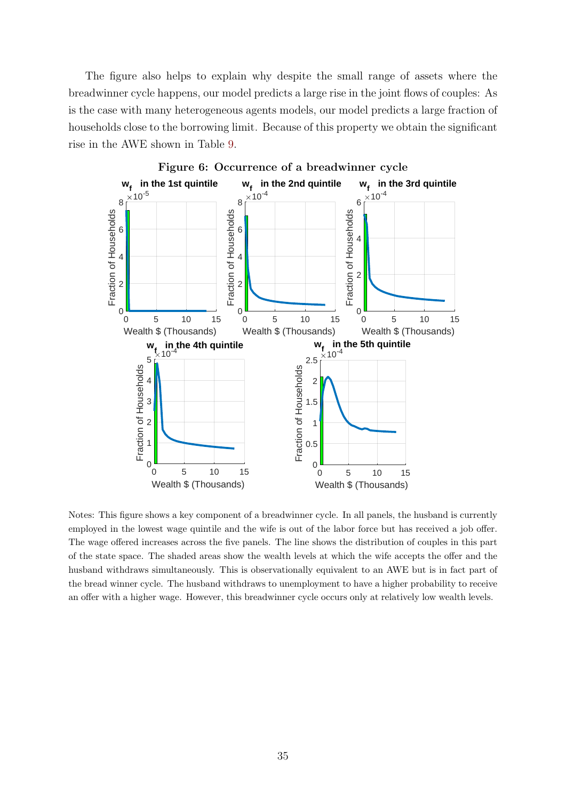The figure also helps to explain why despite the small range of assets where the breadwinner cycle happens, our model predicts a large rise in the joint flows of couples: As is the case with many heterogeneous agents models, our model predicts a large fraction of households close to the borrowing limit. Because of this property we obtain the significant rise in the AWE shown in Table [9.](#page-31-0)

<span id="page-35-0"></span>

Notes: This figure shows a key component of a breadwinner cycle. In all panels, the husband is currently employed in the lowest wage quintile and the wife is out of the labor force but has received a job offer. The wage offered increases across the five panels. The line shows the distribution of couples in this part of the state space. The shaded areas show the wealth levels at which the wife accepts the offer and the husband withdraws simultaneously. This is observationally equivalent to an AWE but is in fact part of the bread winner cycle. The husband withdraws to unemployment to have a higher probability to receive an offer with a higher wage. However, this breadwinner cycle occurs only at relatively low wealth levels.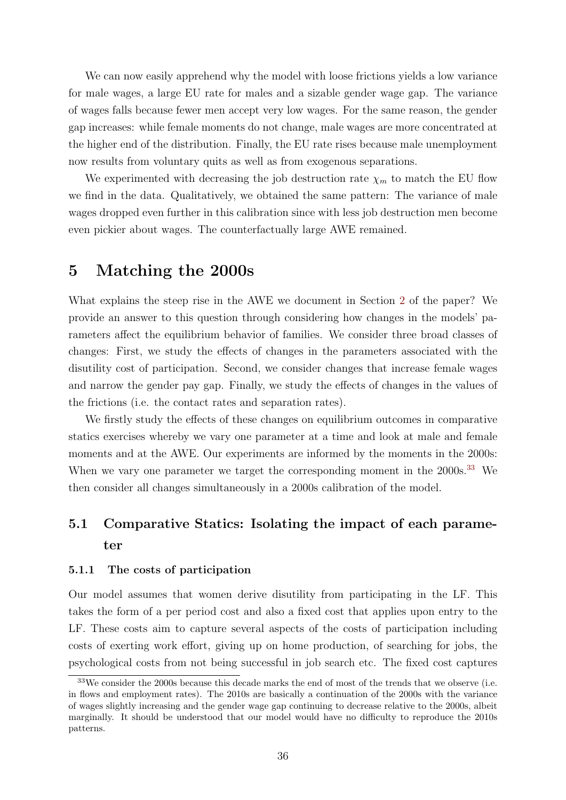We can now easily apprehend why the model with loose frictions yields a low variance for male wages, a large EU rate for males and a sizable gender wage gap. The variance of wages falls because fewer men accept very low wages. For the same reason, the gender gap increases: while female moments do not change, male wages are more concentrated at the higher end of the distribution. Finally, the EU rate rises because male unemployment now results from voluntary quits as well as from exogenous separations.

We experimented with decreasing the job destruction rate  $\chi_m$  to match the EU flow we find in the data. Qualitatively, we obtained the same pattern: The variance of male wages dropped even further in this calibration since with less job destruction men become even pickier about wages. The counterfactually large AWE remained.

# <span id="page-36-0"></span>5 Matching the 2000s

What explains the steep rise in the AWE we document in Section [2](#page-5-1) of the paper? We provide an answer to this question through considering how changes in the models' parameters affect the equilibrium behavior of families. We consider three broad classes of changes: First, we study the effects of changes in the parameters associated with the disutility cost of participation. Second, we consider changes that increase female wages and narrow the gender pay gap. Finally, we study the effects of changes in the values of the frictions (i.e. the contact rates and separation rates).

We firstly study the effects of these changes on equilibrium outcomes in comparative statics exercises whereby we vary one parameter at a time and look at male and female moments and at the AWE. Our experiments are informed by the moments in the 2000s: When we vary one parameter we target the corresponding moment in the 2000s.<sup>[33](#page-36-1)</sup> We then consider all changes simultaneously in a 2000s calibration of the model.

# 5.1 Comparative Statics: Isolating the impact of each parameter

### <span id="page-36-2"></span>5.1.1 The costs of participation

Our model assumes that women derive disutility from participating in the LF. This takes the form of a per period cost and also a fixed cost that applies upon entry to the LF. These costs aim to capture several aspects of the costs of participation including costs of exerting work effort, giving up on home production, of searching for jobs, the psychological costs from not being successful in job search etc. The fixed cost captures

<span id="page-36-1"></span><sup>&</sup>lt;sup>33</sup>We consider the 2000s because this decade marks the end of most of the trends that we observe (i.e. in flows and employment rates). The 2010s are basically a continuation of the 2000s with the variance of wages slightly increasing and the gender wage gap continuing to decrease relative to the 2000s, albeit marginally. It should be understood that our model would have no difficulty to reproduce the 2010s patterns.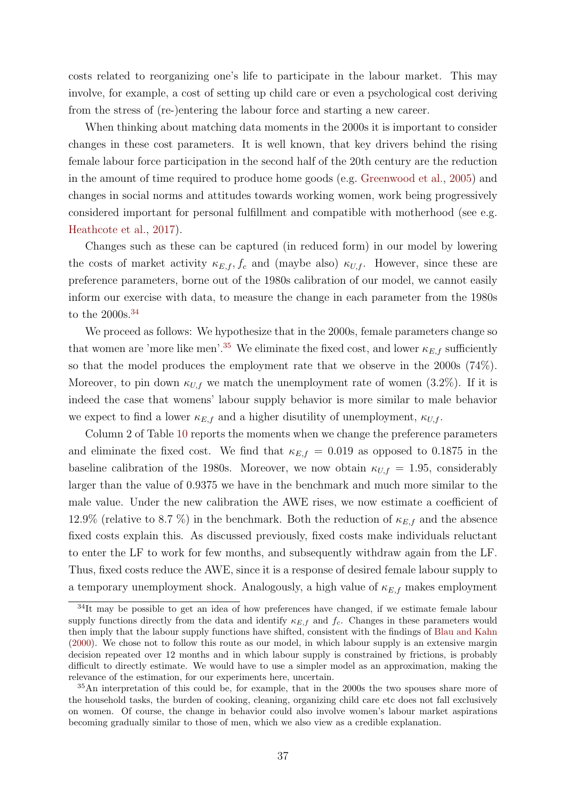costs related to reorganizing one's life to participate in the labour market. This may involve, for example, a cost of setting up child care or even a psychological cost deriving from the stress of (re-)entering the labour force and starting a new career.

When thinking about matching data moments in the 2000s it is important to consider changes in these cost parameters. It is well known, that key drivers behind the rising female labour force participation in the second half of the 20th century are the reduction in the amount of time required to produce home goods (e.g. [Greenwood et al.,](#page-43-13) [2005\)](#page-43-13) and changes in social norms and attitudes towards working women, work being progressively considered important for personal fulfillment and compatible with motherhood (see e.g. [Heathcote et al.,](#page-44-13) [2017\)](#page-44-13).

Changes such as these can be captured (in reduced form) in our model by lowering the costs of market activity  $\kappa_{E,f}, f_c$  and (maybe also)  $\kappa_{U,f}$ . However, since these are preference parameters, borne out of the 1980s calibration of our model, we cannot easily inform our exercise with data, to measure the change in each parameter from the 1980s to the  $2000s.^{34}$  $2000s.^{34}$  $2000s.^{34}$ 

We proceed as follows: We hypothesize that in the 2000s, female parameters change so that women are 'more like men'.<sup>[35](#page-37-1)</sup> We eliminate the fixed cost, and lower  $\kappa_{E,f}$  sufficiently so that the model produces the employment rate that we observe in the 2000s (74%). Moreover, to pin down  $\kappa_{U,f}$  we match the unemployment rate of women (3.2%). If it is indeed the case that womens' labour supply behavior is more similar to male behavior we expect to find a lower  $\kappa_{E,f}$  and a higher disutility of unemployment,  $\kappa_{U,f}$ .

Column 2 of Table [10](#page-38-0) reports the moments when we change the preference parameters and eliminate the fixed cost. We find that  $\kappa_{E,f} = 0.019$  as opposed to 0.1875 in the baseline calibration of the 1980s. Moreover, we now obtain  $\kappa_{U,f} = 1.95$ , considerably larger than the value of 0.9375 we have in the benchmark and much more similar to the male value. Under the new calibration the AWE rises, we now estimate a coefficient of 12.9% (relative to 8.7 %) in the benchmark. Both the reduction of  $\kappa_{E,f}$  and the absence fixed costs explain this. As discussed previously, fixed costs make individuals reluctant to enter the LF to work for few months, and subsequently withdraw again from the LF. Thus, fixed costs reduce the AWE, since it is a response of desired female labour supply to a temporary unemployment shock. Analogously, a high value of  $\kappa_{E,f}$  makes employment

<span id="page-37-0"></span><sup>&</sup>lt;sup>34</sup>It may be possible to get an idea of how preferences have changed, if we estimate female labour supply functions directly from the data and identify  $\kappa_{E,f}$  and  $f_c$ . Changes in these parameters would then imply that the labour supply functions have shifted, consistent with the findings of [Blau and Kahn](#page-43-14) [\(2000\)](#page-43-14). We chose not to follow this route as our model, in which labour supply is an extensive margin decision repeated over 12 months and in which labour supply is constrained by frictions, is probably difficult to directly estimate. We would have to use a simpler model as an approximation, making the relevance of the estimation, for our experiments here, uncertain.

<span id="page-37-1"></span><sup>35</sup>An interpretation of this could be, for example, that in the 2000s the two spouses share more of the household tasks, the burden of cooking, cleaning, organizing child care etc does not fall exclusively on women. Of course, the change in behavior could also involve women's labour market aspirations becoming gradually similar to those of men, which we also view as a credible explanation.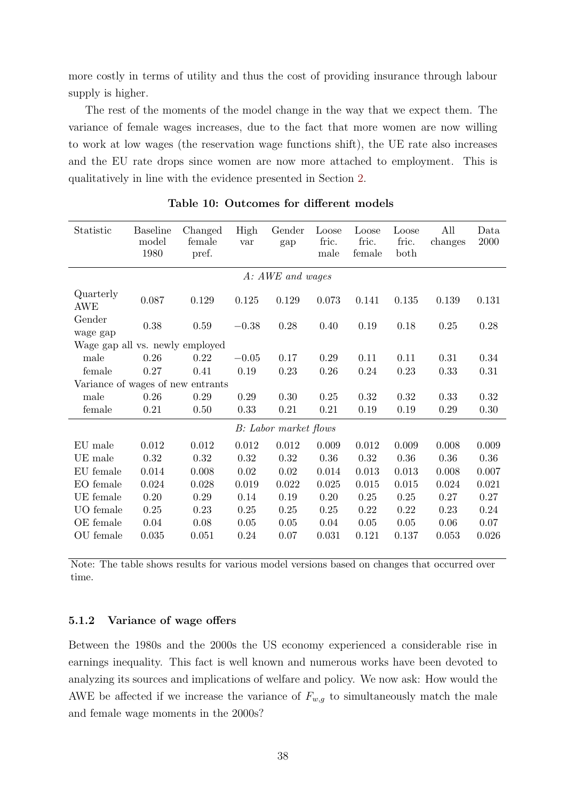more costly in terms of utility and thus the cost of providing insurance through labour supply is higher.

The rest of the moments of the model change in the way that we expect them. The variance of female wages increases, due to the fact that more women are now willing to work at low wages (the reservation wage functions shift), the UE rate also increases and the EU rate drops since women are now more attached to employment. This is qualitatively in line with the evidence presented in Section [2.](#page-5-1)

<span id="page-38-0"></span>

| Statistic                         | <b>Baseline</b><br>model<br>1980 | Changed<br>female<br>pref. | High<br>var | Gender<br>gap                 | Loose<br>fric.<br>male | Loose<br>fric.<br>female | Loose<br>fric.<br>both | All<br>changes | Data<br>2000 |
|-----------------------------------|----------------------------------|----------------------------|-------------|-------------------------------|------------------------|--------------------------|------------------------|----------------|--------------|
|                                   |                                  |                            |             | A: AWE and wages              |                        |                          |                        |                |              |
| Quarterly<br>AWE                  | 0.087                            | 0.129                      | 0.125       | 0.129                         | 0.073                  | 0.141                    | 0.135                  | 0.139          | 0.131        |
| Gender<br>wage gap                | 0.38                             | 0.59                       | $-0.38$     | 0.28                          | 0.40                   | 0.19                     | 0.18                   | 0.25           | 0.28         |
| Wage gap all vs. newly employed   |                                  |                            |             |                               |                        |                          |                        |                |              |
| male                              | 0.26                             | 0.22                       | $-0.05$     | 0.17                          | 0.29                   | 0.11                     | 0.11                   | 0.31           | 0.34         |
| female                            | 0.27                             | 0.41                       | 0.19        | 0.23                          | 0.26                   | 0.24                     | 0.23                   | 0.33           | 0.31         |
| Variance of wages of new entrants |                                  |                            |             |                               |                        |                          |                        |                |              |
| male                              | 0.26                             | 0.29                       | 0.29        | 0.30                          | 0.25                   | 0.32                     | 0.32                   | 0.33           | 0.32         |
| female                            | 0.21                             | 0.50                       | 0.33        | 0.21                          | 0.21                   | 0.19                     | 0.19                   | 0.29           | $0.30\,$     |
|                                   |                                  |                            |             | <b>B</b> : Labor market flows |                        |                          |                        |                |              |
| EU male                           | 0.012                            | 0.012                      | 0.012       | 0.012                         | 0.009                  | 0.012                    | 0.009                  | 0.008          | 0.009        |
| UE male                           | 0.32                             | 0.32                       | 0.32        | 0.32                          | 0.36                   | 0.32                     | 0.36                   | $0.36\,$       | $0.36\,$     |
| EU female                         | 0.014                            | 0.008                      | 0.02        | 0.02                          | 0.014                  | 0.013                    | 0.013                  | 0.008          | 0.007        |
| EO female                         | 0.024                            | 0.028                      | 0.019       | 0.022                         | 0.025                  | 0.015                    | 0.015                  | 0.024          | 0.021        |
| UE female                         | 0.20                             | 0.29                       | 0.14        | 0.19                          | 0.20                   | 0.25                     | 0.25                   | 0.27           | 0.27         |
| UO female                         | 0.25                             | 0.23                       | 0.25        | 0.25                          | 0.25                   | 0.22                     | 0.22                   | 0.23           | $0.24\,$     |
| OE female                         | 0.04                             | 0.08                       | $0.05\,$    | 0.05                          | 0.04                   | 0.05                     | 0.05                   | 0.06           | 0.07         |
| OU female                         | 0.035                            | 0.051                      | 0.24        | 0.07                          | 0.031                  | 0.121                    | 0.137                  | 0.053          | 0.026        |

Table 10: Outcomes for different models

Note: The table shows results for various model versions based on changes that occurred over time.

#### 5.1.2 Variance of wage offers

Between the 1980s and the 2000s the US economy experienced a considerable rise in earnings inequality. This fact is well known and numerous works have been devoted to analyzing its sources and implications of welfare and policy. We now ask: How would the AWE be affected if we increase the variance of  $F_{w,g}$  to simultaneously match the male and female wage moments in the 2000s?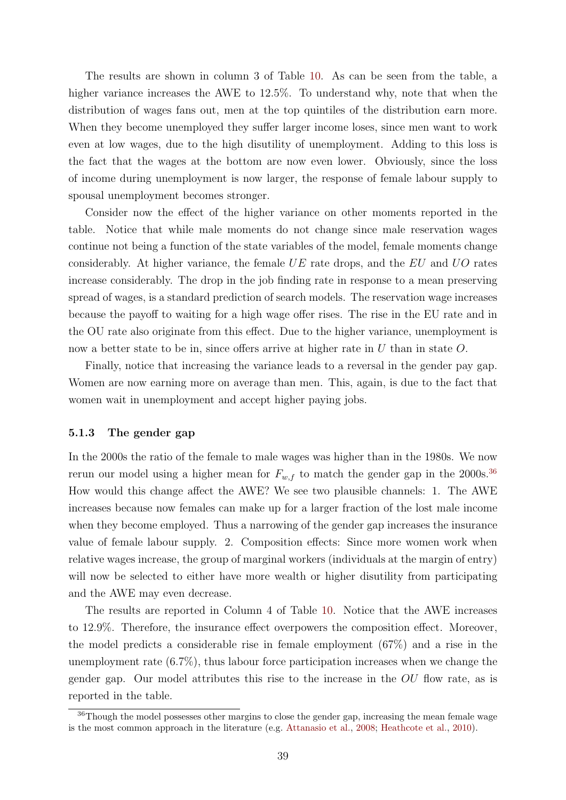The results are shown in column 3 of Table [10.](#page-38-0) As can be seen from the table, a higher variance increases the AWE to 12.5%. To understand why, note that when the distribution of wages fans out, men at the top quintiles of the distribution earn more. When they become unemployed they suffer larger income loses, since men want to work even at low wages, due to the high disutility of unemployment. Adding to this loss is the fact that the wages at the bottom are now even lower. Obviously, since the loss of income during unemployment is now larger, the response of female labour supply to spousal unemployment becomes stronger.

Consider now the effect of the higher variance on other moments reported in the table. Notice that while male moments do not change since male reservation wages continue not being a function of the state variables of the model, female moments change considerably. At higher variance, the female  $UE$  rate drops, and the  $EU$  and  $UO$  rates increase considerably. The drop in the job finding rate in response to a mean preserving spread of wages, is a standard prediction of search models. The reservation wage increases because the payoff to waiting for a high wage offer rises. The rise in the EU rate and in the OU rate also originate from this effect. Due to the higher variance, unemployment is now a better state to be in, since offers arrive at higher rate in U than in state O.

Finally, notice that increasing the variance leads to a reversal in the gender pay gap. Women are now earning more on average than men. This, again, is due to the fact that women wait in unemployment and accept higher paying jobs.

### 5.1.3 The gender gap

In the 2000s the ratio of the female to male wages was higher than in the 1980s. We now rerun our model using a higher mean for  $F_{w,f}$  to match the gender gap in the 2000s.<sup>[36](#page-39-0)</sup> How would this change affect the AWE? We see two plausible channels: 1. The AWE increases because now females can make up for a larger fraction of the lost male income when they become employed. Thus a narrowing of the gender gap increases the insurance value of female labour supply. 2. Composition effects: Since more women work when relative wages increase, the group of marginal workers (individuals at the margin of entry) will now be selected to either have more wealth or higher disutility from participating and the AWE may even decrease.

The results are reported in Column 4 of Table [10.](#page-38-0) Notice that the AWE increases to 12.9%. Therefore, the insurance effect overpowers the composition effect. Moreover, the model predicts a considerable rise in female employment (67%) and a rise in the unemployment rate (6.7%), thus labour force participation increases when we change the gender gap. Our model attributes this rise to the increase in the OU flow rate, as is reported in the table.

<span id="page-39-0"></span><sup>&</sup>lt;sup>36</sup>Though the model possesses other margins to close the gender gap, increasing the mean female wage is the most common approach in the literature (e.g. [Attanasio et al.,](#page-42-1) [2008;](#page-42-1) [Heathcote et al.,](#page-43-10) [2010\)](#page-43-10).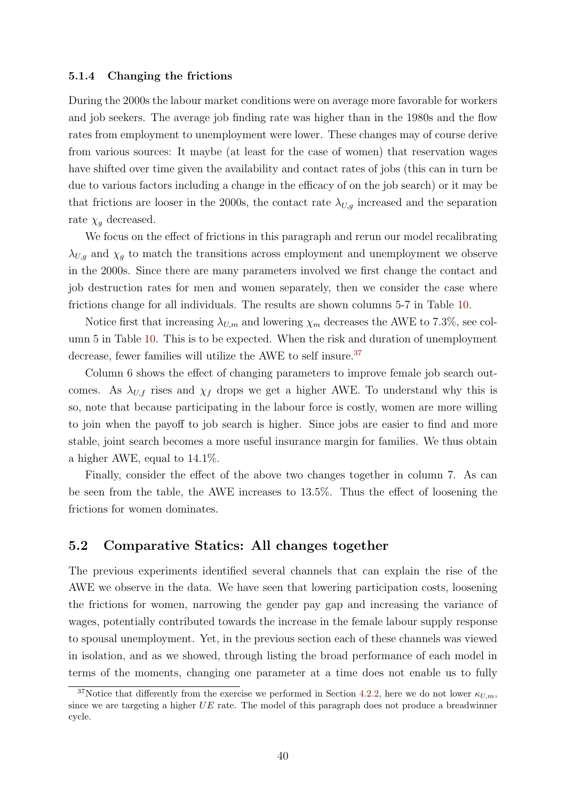#### 5.1.4 Changing the frictions

During the 2000s the labour market conditions were on average more favorable for workers and job seekers. The average job finding rate was higher than in the 1980s and the flow rates from employment to unemployment were lower. These changes may of course derive from various sources: It maybe (at least for the case of women) that reservation wages have shifted over time given the availability and contact rates of jobs (this can in turn be due to various factors including a change in the efficacy of on the job search) or it may be that frictions are looser in the 2000s, the contact rate  $\lambda_{U,q}$  increased and the separation rate  $\chi_g$  decreased.

We focus on the effect of frictions in this paragraph and rerun our model recalibrating  $\lambda_{U,q}$  and  $\chi_q$  to match the transitions across employment and unemployment we observe in the 2000s. Since there are many parameters involved we first change the contact and job destruction rates for men and women separately, then we consider the case where frictions change for all individuals. The results are shown columns 5-7 in Table [10.](#page-38-0)

Notice first that increasing  $\lambda_{U,m}$  and lowering  $\chi_m$  decreases the AWE to 7.3%, see column 5 in Table [10.](#page-38-0) This is to be expected. When the risk and duration of unemployment decrease, fewer families will utilize the AWE to self insure.<sup>[37](#page-40-0)</sup>

Column 6 shows the effect of changing parameters to improve female job search outcomes. As  $\lambda_{U,f}$  rises and  $\chi_f$  drops we get a higher AWE. To understand why this is so, note that because participating in the labour force is costly, women are more willing to join when the payoff to job search is higher. Since jobs are easier to find and more stable, joint search becomes a more useful insurance margin for families. We thus obtain a higher AWE, equal to 14.1%.

Finally, consider the effect of the above two changes together in column 7. As can be seen from the table, the AWE increases to 13.5%. Thus the effect of loosening the frictions for women dominates.

## <span id="page-40-1"></span>5.2 Comparative Statics: All changes together

The previous experiments identified several channels that can explain the rise of the AWE we observe in the data. We have seen that lowering participation costs, loosening the frictions for women, narrowing the gender pay gap and increasing the variance of wages, potentially contributed towards the increase in the female labour supply response to spousal unemployment. Yet, in the previous section each of these channels was viewed in isolation, and as we showed, through listing the broad performance of each model in terms of the moments, changing one parameter at a time does not enable us to fully

<span id="page-40-0"></span><sup>&</sup>lt;sup>37</sup>Notice that differently from the exercise we performed in Section [4.2.2,](#page-32-0) here we do not lower  $\kappa_{U,m}$ , since we are targeting a higher  $UE$  rate. The model of this paragraph does not produce a breadwinner cycle.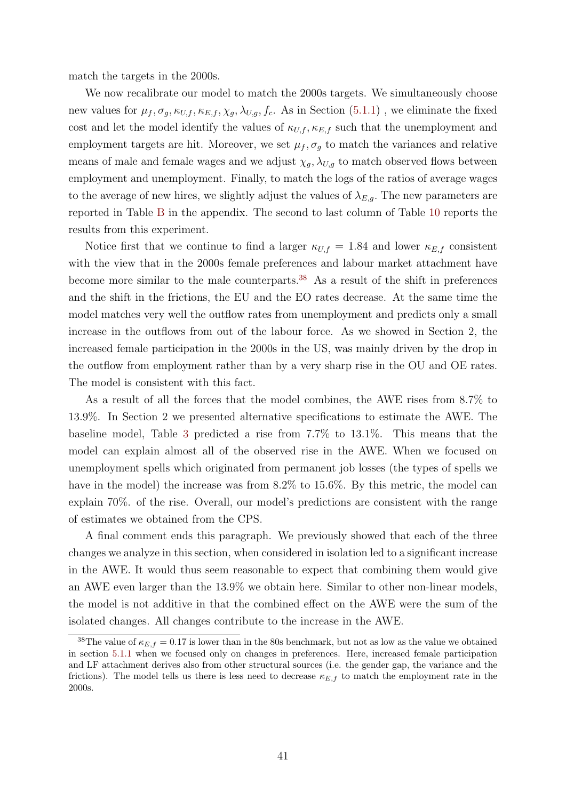match the targets in the 2000s.

We now recalibrate our model to match the 2000s targets. We simultaneously choose new values for  $\mu_f$ ,  $\sigma_g$ ,  $\kappa_{U,f}$ ,  $\kappa_{E,f}$ ,  $\chi_g$ ,  $\lambda_{U,g}$ ,  $f_c$ . As in Section [\(5.1.1\)](#page-36-2), we eliminate the fixed cost and let the model identify the values of  $\kappa_{U,f}, \kappa_{E,f}$  such that the unemployment and employment targets are hit. Moreover, we set  $\mu_f$ ,  $\sigma_g$  to match the variances and relative means of male and female wages and we adjust  $\chi_g, \lambda_{U,g}$  to match observed flows between employment and unemployment. Finally, to match the logs of the ratios of average wages to the average of new hires, we slightly adjust the values of  $\lambda_{E,q}$ . The new parameters are reported in Table [B](#page-49-0) in the appendix. The second to last column of Table [10](#page-38-0) reports the results from this experiment.

Notice first that we continue to find a larger  $\kappa_{U,f} = 1.84$  and lower  $\kappa_{E,f}$  consistent with the view that in the 2000s female preferences and labour market attachment have become more similar to the male counterparts.[38](#page-41-0) As a result of the shift in preferences and the shift in the frictions, the EU and the EO rates decrease. At the same time the model matches very well the outflow rates from unemployment and predicts only a small increase in the outflows from out of the labour force. As we showed in Section 2, the increased female participation in the 2000s in the US, was mainly driven by the drop in the outflow from employment rather than by a very sharp rise in the OU and OE rates. The model is consistent with this fact.

As a result of all the forces that the model combines, the AWE rises from 8.7% to 13.9%. In Section 2 we presented alternative specifications to estimate the AWE. The baseline model, Table [3](#page-8-0) predicted a rise from 7.7% to 13.1%. This means that the model can explain almost all of the observed rise in the AWE. When we focused on unemployment spells which originated from permanent job losses (the types of spells we have in the model) the increase was from 8.2% to 15.6%. By this metric, the model can explain 70%. of the rise. Overall, our model's predictions are consistent with the range of estimates we obtained from the CPS.

A final comment ends this paragraph. We previously showed that each of the three changes we analyze in this section, when considered in isolation led to a significant increase in the AWE. It would thus seem reasonable to expect that combining them would give an AWE even larger than the 13.9% we obtain here. Similar to other non-linear models, the model is not additive in that the combined effect on the AWE were the sum of the isolated changes. All changes contribute to the increase in the AWE.

<span id="page-41-0"></span><sup>&</sup>lt;sup>38</sup>The value of  $\kappa_{E,f} = 0.17$  is lower than in the 80s benchmark, but not as low as the value we obtained in section [5.1.1](#page-36-2) when we focused only on changes in preferences. Here, increased female participation and LF attachment derives also from other structural sources (i.e. the gender gap, the variance and the frictions). The model tells us there is less need to decrease  $\kappa_{E,f}$  to match the employment rate in the 2000s.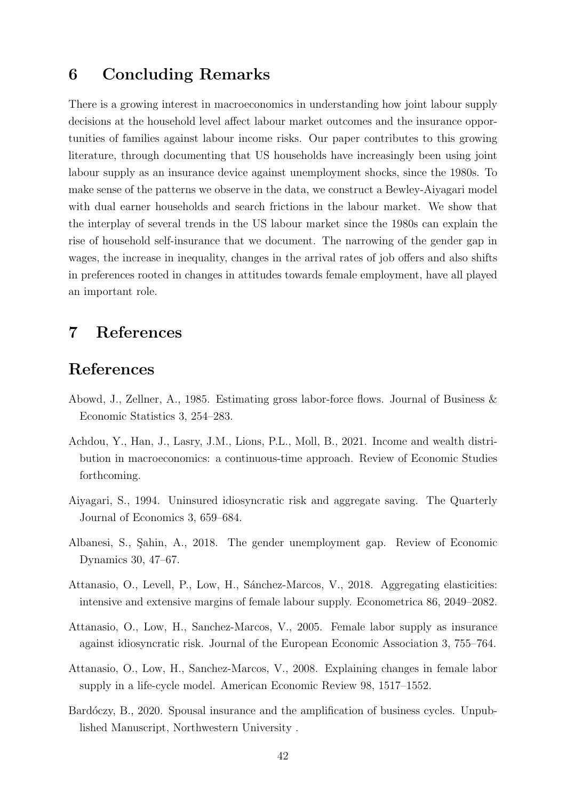# <span id="page-42-4"></span>6 Concluding Remarks

There is a growing interest in macroeconomics in understanding how joint labour supply decisions at the household level affect labour market outcomes and the insurance opportunities of families against labour income risks. Our paper contributes to this growing literature, through documenting that US households have increasingly been using joint labour supply as an insurance device against unemployment shocks, since the 1980s. To make sense of the patterns we observe in the data, we construct a Bewley-Aiyagari model with dual earner households and search frictions in the labour market. We show that the interplay of several trends in the US labour market since the 1980s can explain the rise of household self-insurance that we document. The narrowing of the gender gap in wages, the increase in inequality, changes in the arrival rates of job offers and also shifts in preferences rooted in changes in attitudes towards female employment, have all played an important role.

# 7 References

## References

- <span id="page-42-6"></span>Abowd, J., Zellner, A., 1985. Estimating gross labor-force flows. Journal of Business & Economic Statistics 3, 254–283.
- <span id="page-42-7"></span>Achdou, Y., Han, J., Lasry, J.M., Lions, P.L., Moll, B., 2021. Income and wealth distribution in macroeconomics: a continuous-time approach. Review of Economic Studies forthcoming.
- <span id="page-42-8"></span>Aiyagari, S., 1994. Uninsured idiosyncratic risk and aggregate saving. The Quarterly Journal of Economics 3, 659–684.
- <span id="page-42-5"></span>Albanesi, S., Sahin, A., 2018. The gender unemployment gap. Review of Economic Dynamics 30, 47–67.
- <span id="page-42-3"></span>Attanasio, O., Levell, P., Low, H., Sánchez-Marcos, V., 2018. Aggregating elasticities: intensive and extensive margins of female labour supply. Econometrica 86, 2049–2082.
- <span id="page-42-0"></span>Attanasio, O., Low, H., Sanchez-Marcos, V., 2005. Female labor supply as insurance against idiosyncratic risk. Journal of the European Economic Association 3, 755–764.
- <span id="page-42-1"></span>Attanasio, O., Low, H., Sanchez-Marcos, V., 2008. Explaining changes in female labor supply in a life-cycle model. American Economic Review 98, 1517–1552.
- <span id="page-42-2"></span>Bardóczy, B., 2020. Spousal insurance and the amplification of business cycles. Unpublished Manuscript, Northwestern University .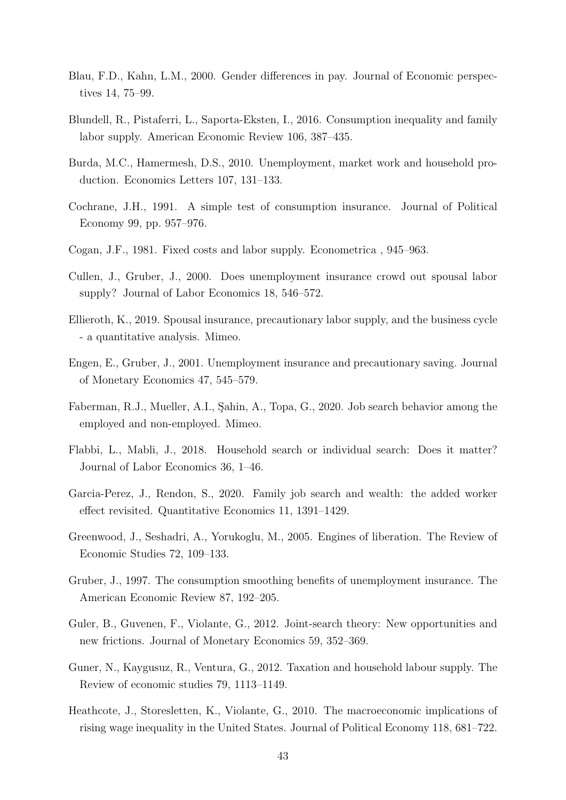- <span id="page-43-14"></span>Blau, F.D., Kahn, L.M., 2000. Gender differences in pay. Journal of Economic perspectives 14, 75–99.
- <span id="page-43-0"></span>Blundell, R., Pistaferri, L., Saporta-Eksten, I., 2016. Consumption inequality and family labor supply. American Economic Review 106, 387–435.
- <span id="page-43-1"></span>Burda, M.C., Hamermesh, D.S., 2010. Unemployment, market work and household production. Economics Letters 107, 131–133.
- <span id="page-43-2"></span>Cochrane, J.H., 1991. A simple test of consumption insurance. Journal of Political Economy 99, pp. 957–976.
- <span id="page-43-11"></span>Cogan, J.F., 1981. Fixed costs and labor supply. Econometrica , 945–963.
- <span id="page-43-15"></span>Cullen, J., Gruber, J., 2000. Does unemployment insurance crowd out spousal labor supply? Journal of Labor Economics 18, 546–572.
- <span id="page-43-6"></span>Ellieroth, K., 2019. Spousal insurance, precautionary labor supply, and the business cycle - a quantitative analysis. Mimeo.
- <span id="page-43-12"></span>Engen, E., Gruber, J., 2001. Unemployment insurance and precautionary saving. Journal of Monetary Economics 47, 545–579.
- <span id="page-43-5"></span>Faberman, R.J., Mueller, A.I., Sahin, A., Topa, G., 2020. Job search behavior among the employed and non-employed. Mimeo.
- <span id="page-43-9"></span>Flabbi, L., Mabli, J., 2018. Household search or individual search: Does it matter? Journal of Labor Economics 36, 1–46.
- <span id="page-43-8"></span>Garcia-Perez, J., Rendon, S., 2020. Family job search and wealth: the added worker effect revisited. Quantitative Economics 11, 1391–1429.
- <span id="page-43-13"></span>Greenwood, J., Seshadri, A., Yorukoglu, M., 2005. Engines of liberation. The Review of Economic Studies 72, 109–133.
- <span id="page-43-3"></span>Gruber, J., 1997. The consumption smoothing benefits of unemployment insurance. The American Economic Review 87, 192–205.
- <span id="page-43-4"></span>Guler, B., Guvenen, F., Violante, G., 2012. Joint-search theory: New opportunities and new frictions. Journal of Monetary Economics 59, 352–369.
- <span id="page-43-7"></span>Guner, N., Kaygusuz, R., Ventura, G., 2012. Taxation and household labour supply. The Review of economic studies 79, 1113–1149.
- <span id="page-43-10"></span>Heathcote, J., Storesletten, K., Violante, G., 2010. The macroeconomic implications of rising wage inequality in the United States. Journal of Political Economy 118, 681–722.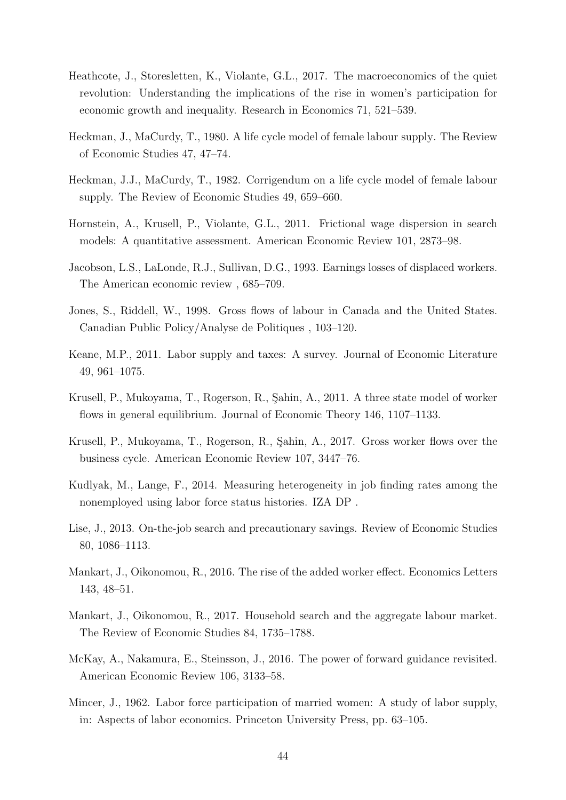- <span id="page-44-13"></span>Heathcote, J., Storesletten, K., Violante, G.L., 2017. The macroeconomics of the quiet revolution: Understanding the implications of the rise in women's participation for economic growth and inequality. Research in Economics 71, 521–539.
- <span id="page-44-4"></span>Heckman, J., MaCurdy, T., 1980. A life cycle model of female labour supply. The Review of Economic Studies 47, 47–74.
- <span id="page-44-5"></span>Heckman, J.J., MaCurdy, T., 1982. Corrigendum on a life cycle model of female labour supply. The Review of Economic Studies 49, 659–660.
- <span id="page-44-0"></span>Hornstein, A., Krusell, P., Violante, G.L., 2011. Frictional wage dispersion in search models: A quantitative assessment. American Economic Review 101, 2873–98.
- <span id="page-44-8"></span>Jacobson, L.S., LaLonde, R.J., Sullivan, D.G., 1993. Earnings losses of displaced workers. The American economic review , 685–709.
- <span id="page-44-12"></span>Jones, S., Riddell, W., 1998. Gross flows of labour in Canada and the United States. Canadian Public Policy/Analyse de Politiques , 103–120.
- <span id="page-44-10"></span>Keane, M.P., 2011. Labor supply and taxes: A survey. Journal of Economic Literature 49, 961–1075.
- <span id="page-44-6"></span>Krusell, P., Mukoyama, T., Rogerson, R., Şahin, A., 2011. A three state model of worker flows in general equilibrium. Journal of Economic Theory 146, 1107–1133.
- <span id="page-44-7"></span>Krusell, P., Mukoyama, T., Rogerson, R., Sahin, A., 2017. Gross worker flows over the business cycle. American Economic Review 107, 3447–76.
- <span id="page-44-9"></span>Kudlyak, M., Lange, F., 2014. Measuring heterogeneity in job finding rates among the nonemployed using labor force status histories. IZA DP .
- <span id="page-44-1"></span>Lise, J., 2013. On-the-job search and precautionary savings. Review of Economic Studies 80, 1086–1113.
- <span id="page-44-14"></span>Mankart, J., Oikonomou, R., 2016. The rise of the added worker effect. Economics Letters 143, 48–51.
- <span id="page-44-2"></span>Mankart, J., Oikonomou, R., 2017. Household search and the aggregate labour market. The Review of Economic Studies 84, 1735–1788.
- <span id="page-44-11"></span>McKay, A., Nakamura, E., Steinsson, J., 2016. The power of forward guidance revisited. American Economic Review 106, 3133–58.
- <span id="page-44-3"></span>Mincer, J., 1962. Labor force participation of married women: A study of labor supply, in: Aspects of labor economics. Princeton University Press, pp. 63–105.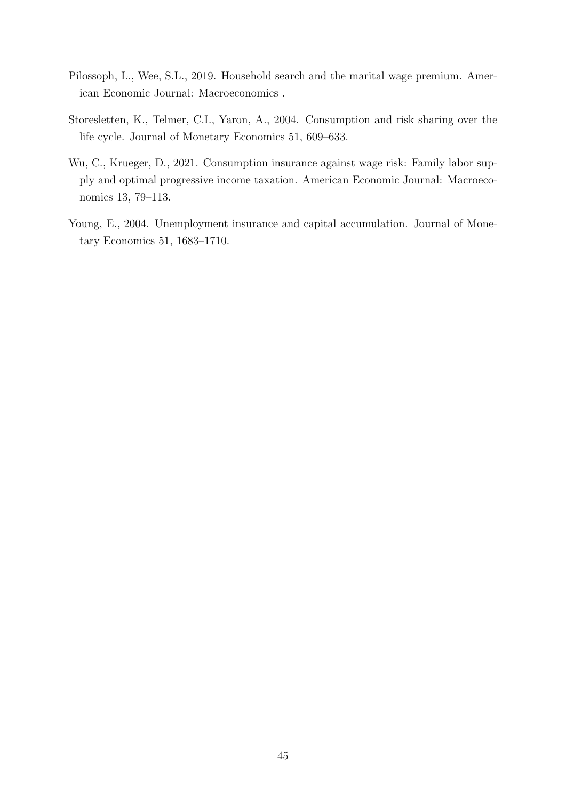- <span id="page-45-2"></span>Pilossoph, L., Wee, S.L., 2019. Household search and the marital wage premium. American Economic Journal: Macroeconomics .
- <span id="page-45-1"></span>Storesletten, K., Telmer, C.I., Yaron, A., 2004. Consumption and risk sharing over the life cycle. Journal of Monetary Economics 51, 609–633.
- <span id="page-45-0"></span>Wu, C., Krueger, D., 2021. Consumption insurance against wage risk: Family labor supply and optimal progressive income taxation. American Economic Journal: Macroeconomics 13, 79–113.
- <span id="page-45-3"></span>Young, E., 2004. Unemployment insurance and capital accumulation. Journal of Monetary Economics 51, 1683–1710.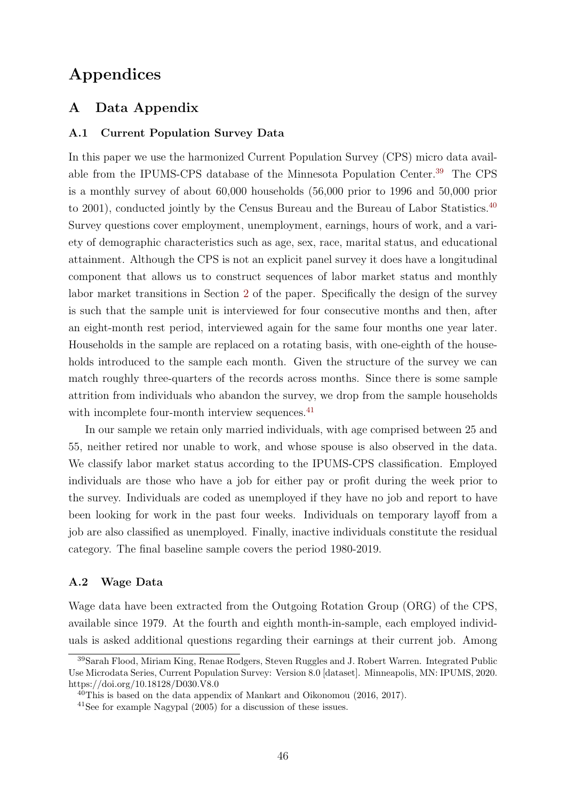# Appendices

## <span id="page-46-0"></span>A Data Appendix

### A.1 Current Population Survey Data

In this paper we use the harmonized Current Population Survey (CPS) micro data available from the IPUMS-CPS database of the Minnesota Population Center.[39](#page-46-1) The CPS is a monthly survey of about 60,000 households (56,000 prior to 1996 and 50,000 prior to 2001), conducted jointly by the Census Bureau and the Bureau of Labor Statistics.<sup>[40](#page-46-2)</sup> Survey questions cover employment, unemployment, earnings, hours of work, and a variety of demographic characteristics such as age, sex, race, marital status, and educational attainment. Although the CPS is not an explicit panel survey it does have a longitudinal component that allows us to construct sequences of labor market status and monthly labor market transitions in Section [2](#page-5-1) of the paper. Specifically the design of the survey is such that the sample unit is interviewed for four consecutive months and then, after an eight-month rest period, interviewed again for the same four months one year later. Households in the sample are replaced on a rotating basis, with one-eighth of the households introduced to the sample each month. Given the structure of the survey we can match roughly three-quarters of the records across months. Since there is some sample attrition from individuals who abandon the survey, we drop from the sample households with incomplete four-month interview sequences.<sup>[41](#page-46-3)</sup>

In our sample we retain only married individuals, with age comprised between 25 and 55, neither retired nor unable to work, and whose spouse is also observed in the data. We classify labor market status according to the IPUMS-CPS classification. Employed individuals are those who have a job for either pay or profit during the week prior to the survey. Individuals are coded as unemployed if they have no job and report to have been looking for work in the past four weeks. Individuals on temporary layoff from a job are also classified as unemployed. Finally, inactive individuals constitute the residual category. The final baseline sample covers the period 1980-2019.

#### A.2 Wage Data

Wage data have been extracted from the Outgoing Rotation Group (ORG) of the CPS, available since 1979. At the fourth and eighth month-in-sample, each employed individuals is asked additional questions regarding their earnings at their current job. Among

<span id="page-46-1"></span><sup>39</sup>Sarah Flood, Miriam King, Renae Rodgers, Steven Ruggles and J. Robert Warren. Integrated Public Use Microdata Series, Current Population Survey: Version 8.0 [dataset]. Minneapolis, MN: IPUMS, 2020. https://doi.org/10.18128/D030.V8.0

<span id="page-46-2"></span> $40$ This is based on the data appendix of Mankart and Oikonomou (2016, 2017).

<span id="page-46-3"></span><sup>41</sup>See for example Nagypal (2005) for a discussion of these issues.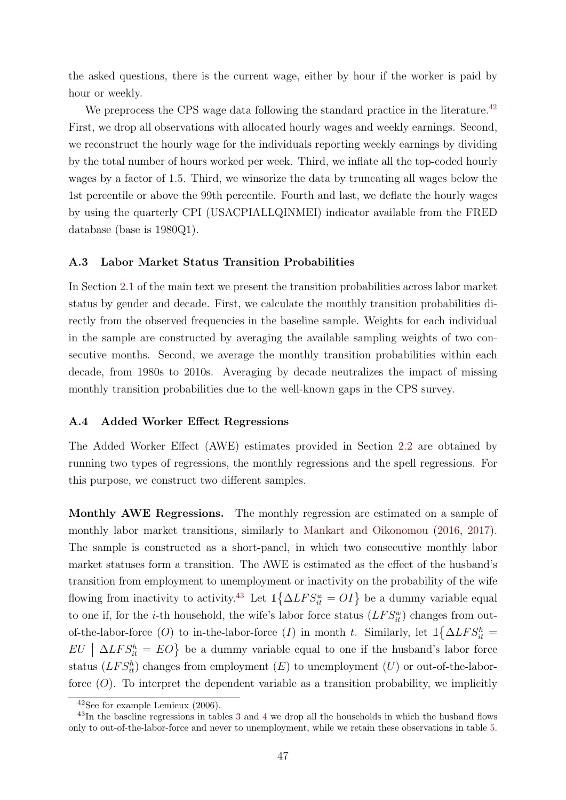the asked questions, there is the current wage, either by hour if the worker is paid by hour or weekly.

We preprocess the CPS wage data following the standard practice in the literature.<sup>[42](#page-47-0)</sup> First, we drop all observations with allocated hourly wages and weekly earnings. Second, we reconstruct the hourly wage for the individuals reporting weekly earnings by dividing by the total number of hours worked per week. Third, we inflate all the top-coded hourly wages by a factor of 1.5. Third, we winsorize the data by truncating all wages below the 1st percentile or above the 99th percentile. Fourth and last, we deflate the hourly wages by using the quarterly CPI (USACPIALLQINMEI) indicator available from the FRED database (base is 1980Q1).

#### A.3 Labor Market Status Transition Probabilities

In Section [2.1](#page-6-1) of the main text we present the transition probabilities across labor market status by gender and decade. First, we calculate the monthly transition probabilities directly from the observed frequencies in the baseline sample. Weights for each individual in the sample are constructed by averaging the available sampling weights of two consecutive months. Second, we average the monthly transition probabilities within each decade, from 1980s to 2010s. Averaging by decade neutralizes the impact of missing monthly transition probabilities due to the well-known gaps in the CPS survey.

### A.4 Added Worker Effect Regressions

The Added Worker Effect (AWE) estimates provided in Section [2.2](#page-7-3) are obtained by running two types of regressions, the monthly regressions and the spell regressions. For this purpose, we construct two different samples.

Monthly AWE Regressions. The monthly regression are estimated on a sample of monthly labor market transitions, similarly to [Mankart and Oikonomou](#page-44-14) [\(2016,](#page-44-14) [2017\)](#page-44-2). The sample is constructed as a short-panel, in which two consecutive monthly labor market statuses form a transition. The AWE is estimated as the effect of the husband's transition from employment to unemployment or inactivity on the probability of the wife flowing from inactivity to activity.<sup>[43](#page-47-1)</sup> Let  $\mathbb{1}\left\{\Delta LFS_{it}^w=OI\right\}$  be a dummy variable equal to one if, for the *i*-th household, the wife's labor force status  $(LFS_{it}^w)$  changes from outof-the-labor-force (O) to in-the-labor-force (I) in month t. Similarly, let  $\mathbb{1}\left\{\Delta LFS_{it}^{h}=\right\}$  $EU \mid \Delta LFS_{it}^h = EO$  be a dummy variable equal to one if the husband's labor force status  $(LFS<sub>it</sub><sup>h</sup>)$  changes from employment  $(E)$  to unemployment  $(U)$  or out-of-the-laborforce  $(O)$ . To interpret the dependent variable as a transition probability, we implicitly

<span id="page-47-1"></span><span id="page-47-0"></span> $42$ See for example Lemieux  $(2006)$ .

<sup>&</sup>lt;sup>4[3](#page-8-0)</sup>In the baseline regressions in tables 3 and [4](#page-10-0) we drop all the households in which the husband flows only to out-of-the-labor-force and never to unemployment, while we retain these observations in table [5.](#page-12-0)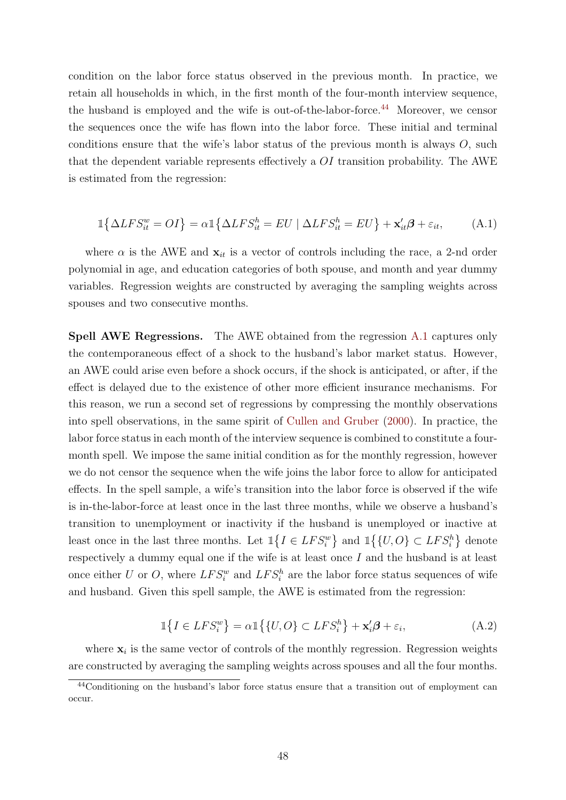condition on the labor force status observed in the previous month. In practice, we retain all households in which, in the first month of the four-month interview sequence, the husband is employed and the wife is out-of-the-labor-force.<sup>[44](#page-48-0)</sup> Moreover, we censor the sequences once the wife has flown into the labor force. These initial and terminal conditions ensure that the wife's labor status of the previous month is always  $O$ , such that the dependent variable represents effectively a OI transition probability. The AWE is estimated from the regression:

<span id="page-48-1"></span>
$$
\mathbb{1}\{\Delta LFS_{it}^w = O I\} = \alpha \mathbb{1}\{\Delta LFS_{it}^h = EU \mid \Delta LFS_{it}^h = EU\} + \mathbf{x}_{it}'\boldsymbol{\beta} + \varepsilon_{it},\tag{A.1}
$$

where  $\alpha$  is the AWE and  $\mathbf{x}_{it}$  is a vector of controls including the race, a 2-nd order polynomial in age, and education categories of both spouse, and month and year dummy variables. Regression weights are constructed by averaging the sampling weights across spouses and two consecutive months.

Spell AWE Regressions. The AWE obtained from the regression [A.1](#page-48-1) captures only the contemporaneous effect of a shock to the husband's labor market status. However, an AWE could arise even before a shock occurs, if the shock is anticipated, or after, if the effect is delayed due to the existence of other more efficient insurance mechanisms. For this reason, we run a second set of regressions by compressing the monthly observations into spell observations, in the same spirit of [Cullen and Gruber](#page-43-15) [\(2000\)](#page-43-15). In practice, the labor force status in each month of the interview sequence is combined to constitute a fourmonth spell. We impose the same initial condition as for the monthly regression, however we do not censor the sequence when the wife joins the labor force to allow for anticipated effects. In the spell sample, a wife's transition into the labor force is observed if the wife is in-the-labor-force at least once in the last three months, while we observe a husband's transition to unemployment or inactivity if the husband is unemployed or inactive at least once in the last three months. Let  $\mathbb{1}{I \in LFS_i^w}$  and  $\mathbb{1}{U, O} \subset LFS_i^h$  denote respectively a dummy equal one if the wife is at least once  $I$  and the husband is at least once either U or O, where  $LFS_i^w$  and  $LFS_i^h$  are the labor force status sequences of wife and husband. Given this spell sample, the AWE is estimated from the regression:

$$
\mathbb{1}\lbrace I \in LFS_i^w \rbrace = \alpha \mathbb{1}\lbrace \lbrace U, O \rbrace \subset LFS_i^h \rbrace + \mathbf{x}_i'\boldsymbol{\beta} + \varepsilon_i,
$$
\n(A.2)

where  $x_i$  is the same vector of controls of the monthly regression. Regression weights are constructed by averaging the sampling weights across spouses and all the four months.

<span id="page-48-0"></span><sup>44</sup>Conditioning on the husband's labor force status ensure that a transition out of employment can occur.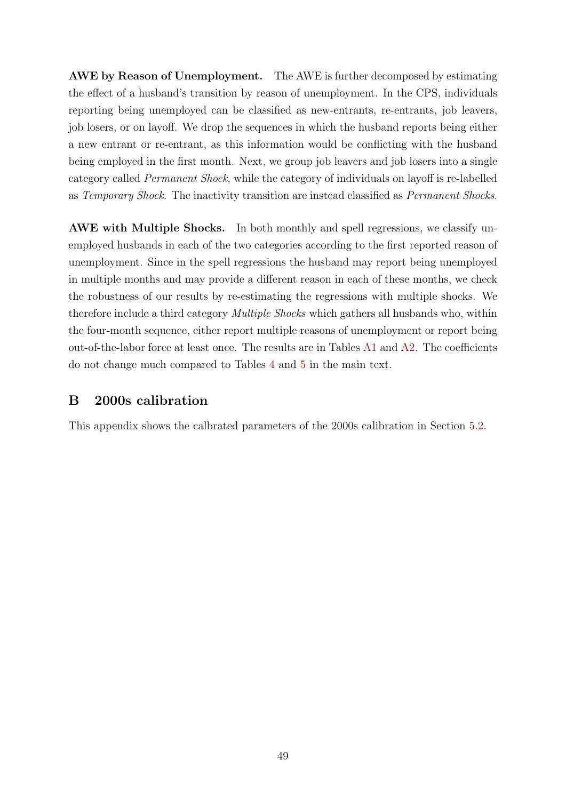AWE by Reason of Unemployment. The AWE is further decomposed by estimating the effect of a husband's transition by reason of unemployment. In the CPS, individuals reporting being unemployed can be classified as new-entrants, re-entrants, job leavers, job losers, or on layoff. We drop the sequences in which the husband reports being either a new entrant or re-entrant, as this information would be conflicting with the husband being employed in the first month. Next, we group job leavers and job losers into a single category called Permanent Shock, while the category of individuals on layoff is re-labelled as Temporary Shock. The inactivity transition are instead classified as Permanent Shocks.

AWE with Multiple Shocks. In both monthly and spell regressions, we classify unemployed husbands in each of the two categories according to the first reported reason of unemployment. Since in the spell regressions the husband may report being unemployed in multiple months and may provide a different reason in each of these months, we check the robustness of our results by re-estimating the regressions with multiple shocks. We therefore include a third category Multiple Shocks which gathers all husbands who, within the four-month sequence, either report multiple reasons of unemployment or report being out-of-the-labor force at least once. The results are in Tables [A1](#page-50-0) and [A2.](#page-51-0) The coefficients do not change much compared to Tables [4](#page-10-0) and [5](#page-12-0) in the main text.

## <span id="page-49-0"></span>B 2000s calibration

This appendix shows the calbrated parameters of the 2000s calibration in Section [5.2.](#page-40-1)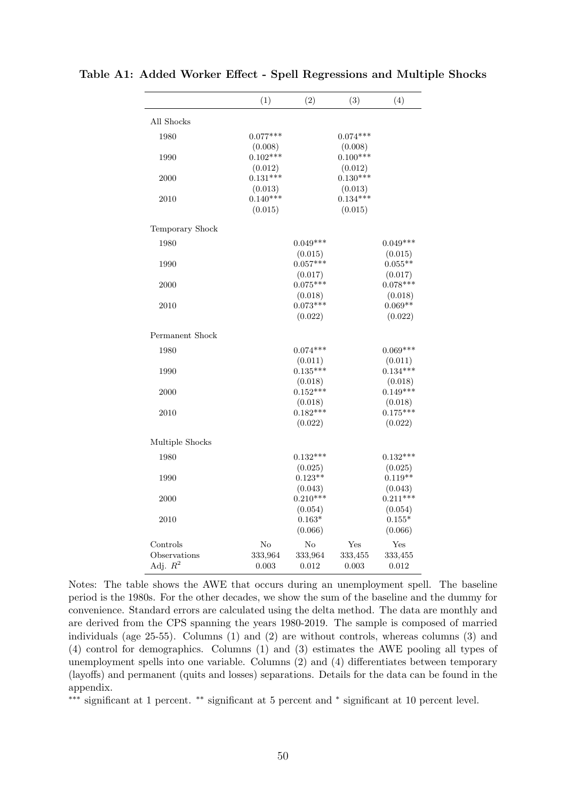|                 | (1)        | (2)        | (3)        | (4)        |
|-----------------|------------|------------|------------|------------|
| All Shocks      |            |            |            |            |
| 1980            | $0.077***$ |            | $0.074***$ |            |
|                 | (0.008)    |            | (0.008)    |            |
| 1990            | $0.102***$ |            | $0.100***$ |            |
|                 | (0.012)    |            | (0.012)    |            |
| 2000            | $0.131***$ |            | $0.130***$ |            |
|                 | (0.013)    |            | (0.013)    |            |
| 2010            | $0.140***$ |            | $0.134***$ |            |
|                 | (0.015)    |            | (0.015)    |            |
| Temporary Shock |            |            |            |            |
| 1980            |            | $0.049***$ |            | $0.049***$ |
|                 |            | (0.015)    |            | (0.015)    |
| 1990            |            | $0.057***$ |            | $0.055**$  |
|                 |            | (0.017)    |            | (0.017)    |
| 2000            |            | $0.075***$ |            | $0.078***$ |
|                 |            | (0.018)    |            | (0.018)    |
| 2010            |            | $0.073***$ |            | $0.069**$  |
|                 |            | (0.022)    |            | (0.022)    |
| Permanent Shock |            |            |            |            |
| 1980            |            | $0.074***$ |            | $0.069***$ |
|                 |            | (0.011)    |            | (0.011)    |
| 1990            |            | $0.135***$ |            | $0.134***$ |
|                 |            | (0.018)    |            | (0.018)    |
| 2000            |            | $0.152***$ |            | $0.149***$ |
|                 |            | (0.018)    |            | (0.018)    |
| 2010            |            | $0.182***$ |            | $0.175***$ |
|                 |            | (0.022)    |            | (0.022)    |
| Multiple Shocks |            |            |            |            |
| 1980            |            | $0.132***$ |            | $0.132***$ |
|                 |            | (0.025)    |            | (0.025)    |
| 1990            |            | $0.123**$  |            | $0.119**$  |
|                 |            | (0.043)    |            | (0.043)    |
| 2000            |            | $0.210***$ |            | $0.211***$ |
|                 |            | (0.054)    |            | (0.054)    |
| 2010            |            | $0.163*$   |            | $0.155*$   |
|                 |            | (0.066)    |            | (0.066)    |
| Controls        | No         | No         | Yes        | Yes        |
| Observations    | 333,964    | 333,964    | 333,455    | 333,455    |
| Adj. $R^2$      | 0.003      | 0.012      | 0.003      | 0.012      |

<span id="page-50-0"></span>Table A1: Added Worker Effect - Spell Regressions and Multiple Shocks

Notes: The table shows the AWE that occurs during an unemployment spell. The baseline period is the 1980s. For the other decades, we show the sum of the baseline and the dummy for convenience. Standard errors are calculated using the delta method. The data are monthly and are derived from the CPS spanning the years 1980-2019. The sample is composed of married individuals (age 25-55). Columns (1) and (2) are without controls, whereas columns (3) and (4) control for demographics. Columns (1) and (3) estimates the AWE pooling all types of unemployment spells into one variable. Columns (2) and (4) differentiates between temporary (layoffs) and permanent (quits and losses) separations. Details for the data can be found in the appendix.

∗∗∗ significant at 1 percent. ∗∗ significant at 5 percent and <sup>∗</sup> significant at 10 percent level.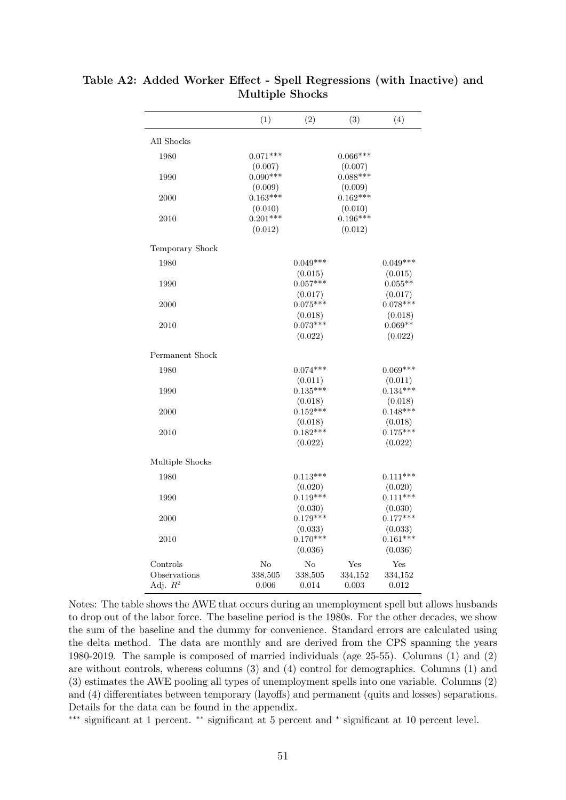|                            | (1)                              | (2)                              | (3)                              | (4)                              |
|----------------------------|----------------------------------|----------------------------------|----------------------------------|----------------------------------|
| All Shocks                 |                                  |                                  |                                  |                                  |
| 1980                       | $0.071***$                       |                                  | $0.066***$                       |                                  |
| 1990                       | (0.007)<br>$0.090***$<br>(0.009) |                                  | (0.007)<br>$0.088***$<br>(0.009) |                                  |
| 2000                       | $0.163***$<br>(0.010)            |                                  | $0.162***$<br>(0.010)            |                                  |
| 2010                       | $0.201***$<br>(0.012)            |                                  | $0.196***$<br>(0.012)            |                                  |
| Temporary Shock            |                                  |                                  |                                  |                                  |
| 1980                       |                                  | $0.049***$                       |                                  | $0.049***$                       |
| 1990                       |                                  | (0.015)<br>$0.057***$<br>(0.017) |                                  | (0.015)<br>$0.055**$<br>(0.017)  |
| 2000                       |                                  | $0.075***$                       |                                  | $0.078***$                       |
| 2010                       |                                  | (0.018)<br>$0.073***$<br>(0.022) |                                  | (0.018)<br>$0.069**$<br>(0.022)  |
| Permanent Shock            |                                  |                                  |                                  |                                  |
| 1980                       |                                  | $0.074***$                       |                                  | $0.069***$                       |
| 1990                       |                                  | (0.011)<br>$0.135***$            |                                  | (0.011)<br>$0.134***$            |
| 2000                       |                                  | (0.018)<br>$0.152***$            |                                  | (0.018)<br>$0.148***$            |
| 2010                       |                                  | (0.018)<br>$0.182***$<br>(0.022) |                                  | (0.018)<br>$0.175***$<br>(0.022) |
| Multiple Shocks            |                                  |                                  |                                  |                                  |
| 1980                       |                                  | $0.113***$                       |                                  | $0.111***$                       |
| 1990                       |                                  | (0.020)<br>$0.119***$<br>(0.030) |                                  | (0.020)<br>$0.111***$<br>(0.030) |
| 2000                       |                                  | $0.179***$<br>(0.033)            |                                  | $0.177***$<br>(0.033)            |
| 2010                       |                                  | $0.170***$<br>(0.036)            |                                  | $0.161***$<br>(0.036)            |
| Controls                   | No                               | $\rm No$                         | Yes                              | Yes                              |
| Observations<br>Adj. $R^2$ | 338,505<br>0.006                 | 338,505<br>0.014                 | 334,152<br>0.003                 | 334,152<br>0.012                 |

<span id="page-51-0"></span>Table A2: Added Worker Effect - Spell Regressions (with Inactive) and Multiple Shocks

Notes: The table shows the AWE that occurs during an unemployment spell but allows husbands to drop out of the labor force. The baseline period is the 1980s. For the other decades, we show the sum of the baseline and the dummy for convenience. Standard errors are calculated using the delta method. The data are monthly and are derived from the CPS spanning the years 1980-2019. The sample is composed of married individuals (age 25-55). Columns (1) and (2) are without controls, whereas columns (3) and (4) control for demographics. Columns (1) and (3) estimates the AWE pooling all types of unemployment spells into one variable. Columns (2) and (4) differentiates between temporary (layoffs) and permanent (quits and losses) separations. Details for the data can be found in the appendix.

∗∗∗ significant at 1 percent. ∗∗ significant at 5 percent and <sup>∗</sup> significant at 10 percent level.